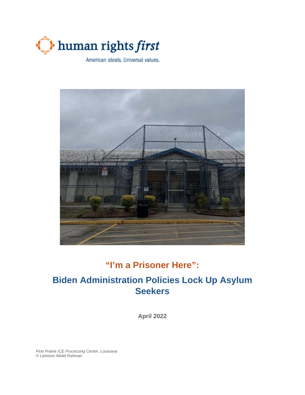



# **"I'm a Prisoner Here":**

# **Biden Administration Policies Lock Up Asylum Seekers**

**April 2022**

*Pine Prairie ICE Processing Center, Louisiana © Lamisse Abdel Rahman*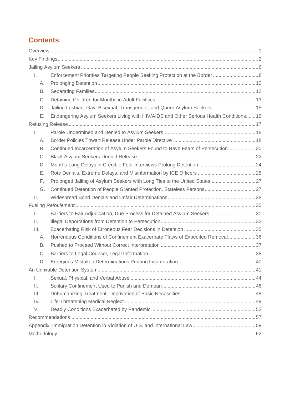# **Contents**

| Ι.             |                                                                                       |  |
|----------------|---------------------------------------------------------------------------------------|--|
| А.             |                                                                                       |  |
| В.             |                                                                                       |  |
| С.             |                                                                                       |  |
| D.             | Jailing Lesbian, Gay, Bisexual, Transgender, and Queer Asylum Seekers  15             |  |
| Ε.             | Endangering Asylum Seekers Living with HIV/AIDS and Other Serious Health Conditions16 |  |
|                |                                                                                       |  |
| I.             |                                                                                       |  |
| А.             |                                                                                       |  |
| В.             | Continued Incarceration of Asylum Seekers Found to Have Fears of Persecution20        |  |
| С.             |                                                                                       |  |
| D.             |                                                                                       |  |
| Е.             |                                                                                       |  |
| F.             |                                                                                       |  |
| G.             | Continued Detention of People Granted Protection, Stateless Persons27                 |  |
| $\mathbb{H}$ . |                                                                                       |  |
|                |                                                                                       |  |
| $\mathbf{L}$   | Barriers to Fair Adjudication, Due Process for Detained Asylum Seekers 31             |  |
| $\mathbb{H}.$  |                                                                                       |  |
| III.           |                                                                                       |  |
| А.             | Horrendous Conditions of Confinement Exacerbate Flaws of Expedited Removal36          |  |
| В.             |                                                                                       |  |
| C.             |                                                                                       |  |
| D.             |                                                                                       |  |
|                |                                                                                       |  |
| $\mathsf{L}$   |                                                                                       |  |
| Ш.             |                                                                                       |  |
| III.           |                                                                                       |  |
| IV.            |                                                                                       |  |
| V.             |                                                                                       |  |
|                |                                                                                       |  |
|                |                                                                                       |  |
|                |                                                                                       |  |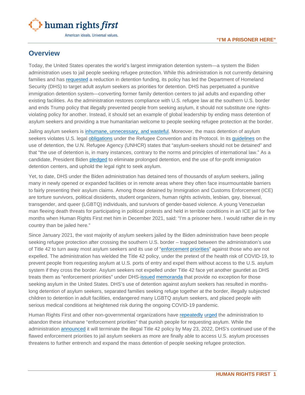

# <span id="page-2-0"></span>**Overview**

Today, the United States operates the world's largest immigration detention system—a system the Biden administration uses to jail people seeking refugee protection. While this administration is not currently detaining families and has [requested](https://www.nytimes.com/2022/03/25/us/politics/biden-immigration-detention-beds.html) a reduction in detention funding, its policy has led the Department of Homeland Security (DHS) to target adult asylum seekers as priorities for detention. DHS has perpetuated a punitive immigration detention system—converting former family detention centers to jail adults and expanding other existing facilities. As the administration restores compliance with U.S. refugee law at the southern U.S. border and ends Trump policy that illegally prevented people from seeking asylum, it should not substitute one rightsviolating policy for another. Instead, it should set an example of global leadership by ending mass detention of asylum seekers and providing a true humanitarian welcome to people seeking refugee protection at the border.

Jailing asylum seekers is [inhumane, unnecessary, and wasteful.](https://www.humanrightsfirst.org/resource/detaining-people-seeking-protection-inhumane-unnecessary-and-wasteful) Moreover, the mass detention of asylum seekers violates U.S. legal [obligations](https://www.unhcr.org/en-us/3b66c2aa10) under the Refugee Convention and its Protocol. In its [guidelines](https://www.refworld.org/pdfid/3c2b3f844.pdf) on the use of detention, the U.N. Refugee Agency (UNHCR) states that "asylum-seekers should not be detained" and that "the use of detention is, in many instances, contrary to the norms and principles of international law." As a candidate, President Biden [pledged](https://joebiden.com/immigration/) to eliminate prolonged detention, end the use of for-profit immigration detention centers, and uphold the legal right to seek asylum.

Yet, to date, DHS under the Biden administration has detained tens of thousands of asylum seekers, jailing many in newly opened or expanded facilities or in remote areas where they often face insurmountable barriers to fairly presenting their asylum claims. Among those detained by Immigration and Customs Enforcement (ICE) are torture survivors, political dissidents, student organizers, human rights activists, lesbian, gay, bisexual, transgender, and queer (LGBTQ) individuals, and survivors of gender-based violence. A young Venezuelan man fleeing death threats for participating in political protests and held in terrible conditions in an ICE jail for five months when Human Rights First met him in December 2021, said: "I'm a prisoner here. I would rather die in my country than be jailed here."

Since January 2021, the vast majority of asylum seekers jailed by the Biden administration have been people seeking refugee protection after crossing the southern U.S. border – trapped between the administration's use of Title 42 to turn away most asylum seekers and its use of ["enforcement](https://www.ice.gov/doclib/news/releases/2021/021821_civil-immigration-enforcement_interim-guidance.pdf) [priorities"](https://www.ice.gov/doclib/news/guidelines-civilimmigrationlaw.pdf) against those who are not expelled. The administration has wielded the Title 42 policy, under the pretext of the health risk of COVID-19, to prevent people from requesting asylum at U.S. ports of entry and expel them without access to the U.S. asylum system if they cross the border. Asylum seekers not expelled under Title 42 face yet another gauntlet as DHS treats them as "enforcement priorities" under DHS[-issued](https://www.ice.gov/doclib/news/guidelines-civilimmigrationlaw.pdf) [memoranda](https://www.ice.gov/doclib/news/releases/2021/021821_civil-immigration-enforcement_interim-guidance.pdf) that provide no exception for those seeking asylum in the United States. DHS's use of detention against asylum seekers has resulted in monthslong detention of asylum seekers, separated families seeking refuge together at the border, illegally subjected children to detention in adult facilities, endangered many LGBTQ asylum seekers, and placed people with serious medical conditions at heightened risk during the ongoing COVID-19 pandemic.

Human Rights First and other non-governmental organizations have [repeatedly](https://nipnlg.org/PDFs/2021_28June_Protect-Dont-Deport.pdf) [urged](https://www.humanrightsfirst.org/resource/letter-dhs-enforcement-priorities-and-asylum-seekers) the administration to abandon these inhumane "enforcement priorities" that punish people for requesting asylum. While the administration [announced](https://www.dhs.gov/news/2022/04/01/statement-secretary-mayorkas-cdcs-title-42-order-termination) it will terminate the illegal Title 42 policy by May 23, 2022, DHS's continued use of the flawed enforcement priorities to jail asylum seekers as more are finally able to access U.S. asylum processes threatens to further entrench and expand the mass detention of people seeking refugee protection.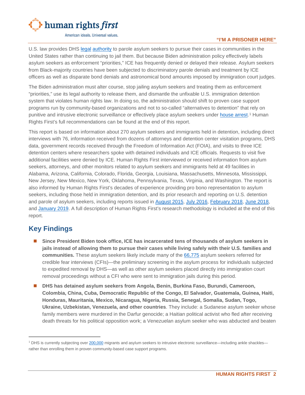

#### **"I'M A PRISONER HERE"**

U.S. law provides DHS [legal](https://uscode.house.gov/view.xhtml?req=granuleid%3AUSC-prelim-title8-section1182&num=0&edition=prelim) [authority](https://www.law.cornell.edu/uscode/text/8/1226) to parole asylum seekers to pursue their cases in communities in the United States rather than continuing to jail them. But because Biden administration policy effectively labels asylum seekers as enforcement "priorities," ICE has frequently denied or delayed their release. Asylum seekers from Black-majority countries have been subjected to discriminatory parole denials and treatment by ICE officers as well as disparate bond denials and astronomical bond amounts imposed by immigration court judges.

The Biden administration must alter course, stop jailing asylum seekers and treating them as enforcement "priorities," use its legal authority to release them, and dismantle the unfixable U.S. immigration detention system that violates human rights law. In doing so, the administration should shift to proven case support programs run by community-based organizations and not to so-called "alternatives to detention" that rely on punitive and intrusive electronic surveillance or effectively place asylum seekers under [house arrest.](https://www.reuters.com/world/us/private-prison-company-test-us-house-arrest-program-immigrants-2022-02-16/)<sup>[1](#page-3-1)</sup> Human Rights First's full recommendations can be found at the end of this report.

This report is based on information about 270 asylum seekers and immigrants held in detention, including direct interviews with 76, information received from dozens of attorneys and detention center visitation programs, DHS data, government records received through the Freedom of Information Act (FOIA), and visits to three ICE detention centers where researchers spoke with detained individuals and ICE officials. Requests to visit five additional facilities were denied by ICE. Human Rights First interviewed or received information from asylum seekers, attorneys, and other monitors related to asylum seekers and immigrants held at 49 facilities in Alabama, Arizona, California, Colorado, Florida, Georgia, Louisiana, Massachusetts, Minnesota, Mississippi, New Jersey, New Mexico, New York, Oklahoma, Pennsylvania, Texas, Virginia, and Washington. The report is also informed by Human Rights First's decades of experience providing pro bono representation to asylum seekers, including those held in immigration detention, and its prior research and reporting on U.S. detention and parole of asylum seekers, including reports issued in [August 2015,](https://www.humanrightsfirst.org/sites/default/files/HRF-Family-Det-Penn-rep-final.pdf) [July 2016,](https://www.humanrightsfirst.org/sites/default/files/Lifeline-on-Lockdown.pdf) [February 2018,](https://www.humanrightsfirst.org/sites/default/files/Ailing-Justice-NJ.pdf) [June 2018,](https://www.humanrightsfirst.org/sites/default/files/Ailing_Justice_Texas.pdf) and [January 2019.](https://www.humanrightsfirst.org/sites/default/files/Prisons_and_Punishment.pdf) A full description of Human Rights First's research methodology is included at the end of this report.

# <span id="page-3-0"></span>**Key Findings**

- **Since President Biden took office, ICE has incarcerated tens of thousands of asylum seekers in jails instead of allowing them to pursue their cases while living safely with their U.S. families and communities.** These asylum seekers likely include many of the [66,775](https://www.uscis.gov/tools/reports-and-studies/semi-monthly-credible-fear-and-reasonable-fear-receipts-and-decisions) asylum seekers referred for credible fear interviews (CFIs)—the preliminary screening in the asylum process for individuals subjected to expedited removal by DHS—as well as other asylum seekers placed directly into immigration court removal proceedings without a CFI who were sent to immigration jails during this period.
- **DHS has detained asylum seekers from Angola, Benin, Burkina Faso, Burundi, Cameroon, Colombia, China, Cuba, Democratic Republic of the Congo, El Salvador, Guatemala, Guinea, Haiti, Honduras, Mauritania, Mexico, Nicaragua, Nigeria, Russia, Senegal, Somalia, Sudan, Togo, Ukraine, Uzbekistan, Venezuela, and other countries**. They include: a Sudanese asylum seeker whose family members were murdered in the Darfur genocide; a Haitian political activist who fled after receiving death threats for his political opposition work; a Venezuelan asylum seeker who was abducted and beaten

<span id="page-3-1"></span><sup>&</sup>lt;sup>1</sup> DHS is currently subjecting ove[r 200,000](https://www.ice.gov/detain/detention-management) migrants and asylum seekers to intrusive electronic surveillance—including ankle shackles rather than enrolling them in proven community-based case support programs.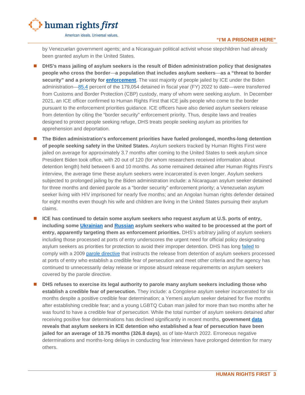

by Venezuelan government agents; and a Nicaraguan political activist whose stepchildren had already been granted asylum in the United States.

- **DHS's mass jailing of asylum seekers is the result of Biden administration policy that designates people who cross the border**—**a population that includes asylum seekers**—**as a "threat to border security" and a priority for [enforcement](https://www.ice.gov/doclib/news/releases/2021/021821_civil-immigration-enforcement_interim-guidance.pdf)**. The vast majority of people jailed by ICE under the Biden administration[—85.4](https://www.ice.gov/detain/detention-management) percent of the 179,054 detained in fiscal year (FY) 2022 to date—were transferred from Customs and Border Protection (CBP) custody, many of whom were seeking asylum. In December 2021, an ICE officer confirmed to Human Rights First that ICE jails people who come to the border pursuant to the enforcement priorities guidance. ICE officers have also denied asylum seekers release from detention by citing the "border security" enforcement priority. Thus, despite laws and treaties designed to protect people seeking refuge, DHS treats people seeking asylum as priorities for apprehension and deportation.
- **The Biden administration's enforcement priorities have fueled prolonged, months-long detention of people seeking safety in the United States.** Asylum seekers tracked by Human Rights First were jailed on average for approximately 3.7 months after coming to the United States to seek asylum since President Biden took office, with 20 out of 120 (for whom researchers received information about detention length) held between 6 and 10 months. As some remained detained after Human Rights First's interview, the average time these asylum seekers were incarcerated is even longer. Asylum seekers subjected to prolonged jailing by the Biden administration include: a Nicaraguan asylum seeker detained for three months and denied parole as a "border security" enforcement priority; a Venezuelan asylum seeker living with HIV imprisoned for nearly five months; and an Angolan human rights defender detained for eight months even though his wife and children are living in the United States pursuing their asylum claims.
- **ICE has continued to detain some asylum seekers who request asylum at U.S. ports of entry, including some [Ukrainian](https://www.dailymail.co.uk/news/article-10643887/Ukrainian-families-locked-ICE-detention-centers-let-US.html) and [Russian](https://www.vice.com/en/article/3abejb/the-us-admitted-a-group-of-russians-at-the-border-under-secret-deal-with-mexico?) asylum seekers who waited to be processed at the port of entry, apparently targeting them as enforcement priorities.** DHS's arbitrary jailing of asylum seekers including those processed at ports of entry underscores the urgent need for official policy designating asylum seekers as priorities for protection to avoid their improper detention. DHS has long [failed](https://www.aclu.org/legal-document/memorandum-opinion-granting-preliminary-injunction) to comply with a 2009 [parole directive](https://www.ice.gov/doclib/dro/pdf/11002.1-hd-parole_of_arriving_aliens_found_credible_fear.pdf) that instructs the release from detention of asylum seekers processed at ports of entry who establish a credible fear of persecution and meet other criteria and the agency has continued to unnecessarily delay release or impose absurd release requirements on asylum seekers covered by the parole directive.
- **DHS refuses to exercise its legal authority to parole many asylum seekers including those who establish a credible fear of persecution.** They include: a Congolese asylum seeker incarcerated for six months despite a positive credible fear determination; a Yemeni asylum seeker detained for five months after establishing credible fear; and a young LGBTQ Cuban man jailed for more than two months after he was found to have a credible fear of persecution. While the total number of asylum seekers detained after receiving positive fear determinations has declined significantly in recent months, **government [data](https://www.ice.gov/detain/detention-management) reveals that asylum seekers in ICE detention who established a fear of persecution have been jailed for an average of 10.75 months (326.8 days)**, as of late-March 2022. Erroneous negative determinations and months-long delays in conducting fear interviews have prolonged detention for many others.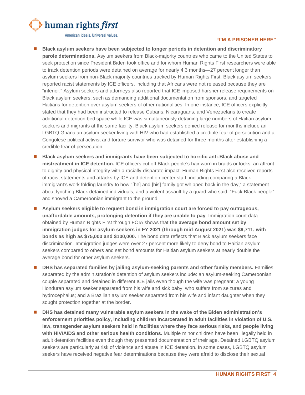

#### **"I'M A PRISONER HERE"**

- **Black asylum seekers have been subjected to longer periods in detention and discriminatory parole determinations.** Asylum seekers from Black-majority countries who came to the United States to seek protection since President Biden took office and for whom Human Rights First researchers were able to track detention periods were detained on average for nearly 4.3 months—27 percent longer than asylum seekers from non-Black majority countries tracked by Human Rights First. Black asylum seekers reported racist statements by ICE officers, including that Africans were not released because they are "inferior." Asylum seekers and attorneys also reported that ICE imposed harsher release requirements on Black asylum seekers, such as demanding additional documentation from sponsors, and targeted Haitians for detention over asylum seekers of other nationalities. In one instance, ICE officers explicitly stated that they had been instructed to release Cubans, Nicaraguans, and Venezuelans to create additional detention bed space while ICE was simultaneously detaining large numbers of Haitian asylum seekers and migrants at the same facility. Black asylum seekers denied release for months include an LGBTQ Ghanaian asylum seeker living with HIV who had established a credible fear of persecution and a Congolese political activist and torture survivor who was detained for three months after establishing a credible fear of persecution.
- **Black asylum seekers and immigrants have been subjected to horrific anti-Black abuse and mistreatment in ICE detention.** ICE officers cut off Black people's hair worn in braids or locks, an affront to dignity and physical integrity with a racially-disparate impact. Human Rights First also received reports of racist statements and attacks by ICE and detention center staff, including comparing a Black immigrant's work folding laundry to how "[he] and [his] family got whipped back in the day," a statement about lynching Black detained individuals, and a violent assault by a guard who said, "Fuck Black people" and shoved a Cameroonian immigrant to the ground.
- **Asylum seekers eligible to request bond in immigration court are forced to pay outrageous, unaffordable amounts, prolonging detention if they are unable to pay**. Immigration court data obtained by Human Rights First through FOIA shows that **the average bond amount set by immigration judges for asylum seekers in FY 2021 (through mid-August 2021) was \$9,711, with bonds as high as \$75,000 and \$100,000.** The bond data reflects that Black asylum seekers face discrimination. Immigration judges were over 27 percent more likely to deny bond to Haitian asylum seekers compared to others and set bond amounts for Haitian asylum seekers at nearly double the average bond for other asylum seekers.
- **DHS** has separated families by jailing asylum-seeking parents and other family members. Families separated by the administration's detention of asylum seekers include: an asylum-seeking Cameroonian couple separated and detained in different ICE jails even though the wife was pregnant; a young Honduran asylum seeker separated from his wife and sick baby, who suffers from seizures and hydrocephalus; and a Brazilian asylum seeker separated from his wife and infant daughter when they sought protection together at the border.
- **DHS has detained many vulnerable asylum seekers in the wake of the Biden administration's enforcement priorities policy, including children incarcerated in adult facilities in violation of U.S. law, transgender asylum seekers held in facilities where they face serious risks, and people living with HIV/AIDS and other serious health conditions.** Multiple minor children have been illegally held in adult detention facilities even though they presented documentation of their age. Detained LGBTQ asylum seekers are particularly at risk of violence and abuse in ICE detention. In some cases, LGBTQ asylum seekers have received negative fear determinations because they were afraid to disclose their sexual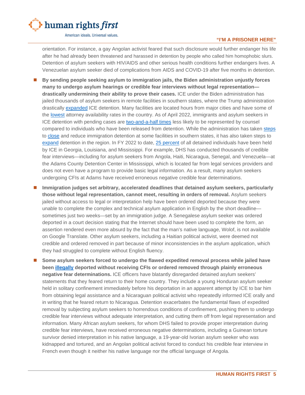

#### **"I'M A PRISONER HERE"**

orientation. For instance, a gay Angolan activist feared that such disclosure would further endanger his life after he had already been threatened and harassed in detention by people who called him homophobic slurs. Detention of asylum seekers with HIV/AIDS and other serious health conditions further endangers lives. A Venezuelan asylum seeker died of complications from AIDS and COVID-19 after five months in detention.

- **By sending people seeking asylum to immigration jails, the Biden administration unjustly forces many to undergo asylum hearings or credible fear interviews without legal representation drastically undermining their ability to prove their cases.** ICE under the Biden administration has jailed thousands of asylum seekers in remote facilities in southern states, where the Trump administration drastically [expanded](https://www.aclu.org/letter/letter-dhs-secretary-mayorkas-regarding-ice-detention) ICE detention. Many facilities are located hours from major cities and have some of the [lowest](https://www.aclu.org/report/justice-free-zones-us-immigration-detention-under-trump-administration) attorney availability rates in the country. As of April 2022, immigrants and asylum seekers in ICE detention with pending cases are [two-and-a-half](https://trac.syr.edu/phptools/immigration/nta/) times less likely to be represented by counsel compared to individuals who have been released from detention. While the administration has taken [steps](https://www.washingtonpost.com/national-security/2022/03/25/biden-administration-withdraw-immigrant-detainees-jails-four-states-citing-substandard-conditions/) to [close](https://www.latimes.com/politics/story/2021-05-20/ice-irwin-detention-center-georgia-immigrant-women-alleged-abuse) and reduce immigration detention at some facilities in southern states, it has also taken steps to [expand](https://www.ajc.com/news/exclusive-south-georgia-immigration-detention-complex-aims-to-expand/QN5G2BFOPREQHEBDOPPAX2PSVI/) detention in the region. In FY 2022 to date, [25 percent](https://www.ice.gov/detain/detention-management) of all detained individuals have been held by ICE in Georgia, Louisiana, and Mississippi. For example, DHS has conducted thousands of credible fear interviews—including for asylum seekers from Angola, Haiti, Nicaragua, Senegal, and Venezuela—at the Adams County Detention Center in Mississippi, which is located far from legal services providers and does not even have a program to provide basic legal information. As a result, many asylum seekers undergoing CFIs at Adams have received erroneous negative credible fear determinations.
- **Immigration judges set arbitrary, accelerated deadlines that detained asylum seekers, particularly those without legal representation, cannot meet, resulting in orders of removal.** Asylum seekers jailed without access to legal or interpretation help have been ordered deported because they were unable to complete the complex and technical asylum application in English by the short deadline sometimes just two weeks—set by an immigration judge. A Senegalese asylum seeker was ordered deported in a court decision stating that the Internet should have been used to complete the form, an assertion rendered even more absurd by the fact that the man's native language, Wolof, is not available on Google Translate. Other asylum seekers, including a Haitian political activist, were deemed not credible and ordered removed in part because of minor inconsistencies in the asylum application, which they had struggled to complete without English fluency.
- **Some asylum seekers forced to undergo the flawed expedited removal process while jailed have been [illegally](https://uscode.house.gov/view.xhtml?req=granuleid:USC-prelim-title8-section1225&num=0&edition=prelim) deported without receiving CFIs or ordered removed through plainly erroneous negative fear determinations.** ICE officers have blatantly disregarded detained asylum seekers' statements that they feared return to their home country. They include a young Honduran asylum seeker held in solitary confinement immediately before his deportation in an apparent attempt by ICE to bar him from obtaining legal assistance and a Nicaraguan political activist who repeatedly informed ICE orally and in writing that he feared return to Nicaragua. Detention exacerbates the fundamental flaws of expedited removal by subjecting asylum seekers to horrendous conditions of confinement, pushing them to undergo credible fear interviews without adequate interpretation, and cutting them off from legal representation and information. Many African asylum seekers, for whom DHS failed to provide proper interpretation during credible fear interviews, have received erroneous negative determinations, including a Guinean torture survivor denied interpretation in his native language, a 19-year-old Ivorian asylum seeker who was kidnapped and tortured, and an Angolan political activist forced to conduct his credible fear interview in French even though it neither his native language nor the official language of Angola.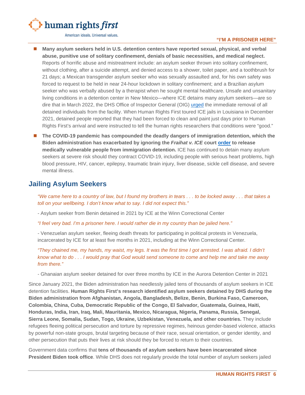

#### **"I'M A PRISONER HERE"**

- **Many asylum seekers held in U.S. detention centers have reported sexual, physical, and verbal abuse, punitive use of solitary confinement, denials of basic necessities, and medical neglect.** Reports of horrific abuse and mistreatment include: an asylum seeker thrown into solitary confinement, without clothing, after a suicide attempt, and denied access to a shower, toilet paper, and a toothbrush for 21 days; a Mexican transgender asylum seeker who was sexually assaulted and, for his own safety was forced to request to be held in near 24-hour lockdown in solitary confinement; and a Brazilian asylum seeker who was verbally abused by a therapist when he sought mental healthcare. Unsafe and unsanitary living conditions in a detention center in New Mexico—where ICE detains many asylum seekers—are so dire that in March 2022, the DHS Office of Inspector General (OIG) [urged](https://www.oig.dhs.gov/sites/default/files/assets/2022-03/OIG-22-31-Mar22-mgmtalert.pdf) the immediate removal of all detained individuals from the facility. When Human Rights First toured ICE jails in Louisiana in December 2021, detained people reported that they had been forced to clean and paint just days prior to Human Rights First's arrival and were instructed to tell the human rights researchers that conditions were "good."
- The COVID-19 pandemic has compounded the deadly dangers of immigration detention, which the **Biden administration has exacerbated by ignoring the** *Fraihat v. ICE* **court [order](https://creeclaw.org/wp-content/uploads/2021/08/2020-04-20-132-Order-Granting-Amicus-Brs.-Subclass-Cert.-PI.pdf) to release medically vulnerable people from immigration detention.** ICE has continued to detain many asylum seekers at severe risk should they contract COVID-19, including people with serious heart problems, high blood pressure, HIV, cancer, epilepsy, traumatic brain injury, liver disease, sickle cell disease, and severe mental illness.

# <span id="page-7-0"></span>**Jailing Asylum Seekers**

*"We came here to a country of law, but I found my brothers in tears . . . to be locked away . . . that takes a toll on your wellbeing. I don't know what to say. I did not expect this."*

- Asylum seeker from Benin detained in 2021 by ICE at the Winn Correctional Center

*"I feel very bad. I'm a prisoner here. I would rather die in my country than be jailed here."*

- Venezuelan asylum seeker, fleeing death threats for participating in political protests in Venezuela, incarcerated by ICE for at least five months in 2021, including at the Winn Correctional Center.

*"They chained me, my hands, my waist, my legs. It was the first time I got arrested. I was afraid. I didn't know what to do . . . I would pray that God would send someone to come and help me and take me away from there."*

- Ghanaian asylum seeker detained for over three months by ICE in the Aurora Detention Center in 2021

Since January 2021, the Biden administration has needlessly jailed tens of thousands of asylum seekers in ICE detention facilities. **Human Rights First's research identified asylum seekers detained by DHS during the Biden administration from Afghanistan, Angola, Bangladesh, Belize, Benin, Burkina Faso, Cameroon, Colombia, China, Cuba, Democratic Republic of the Congo, El Salvador, Guatemala, Guinea, Haiti, Honduras, India, Iran, Iraq, Mali, Mauritania, Mexico, Nicaragua, Nigeria, Panama, Russia, Senegal, Sierra Leone, Somalia, Sudan, Togo, Ukraine, Uzbekistan, Venezuela, and other countries.** They include refugees fleeing political persecution and torture by repressive regimes, heinous gender-based violence, attacks by powerful non-state groups, brutal targeting because of their race, sexual orientation, or gender identity, and other persecution that puts their lives at risk should they be forced to return to their countries.

Government data confirms that **tens of thousands of asylum seekers have been incarcerated since President Biden took office**. While DHS does not regularly provide the total number of asylum seekers jailed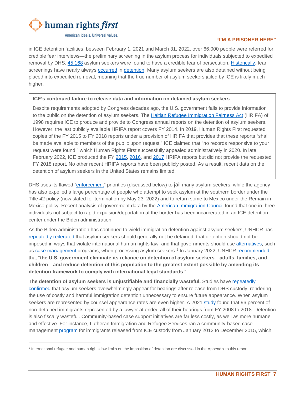

#### **"I'M A PRISONER HERE"**

in ICE detention facilities, between February 1, 2021 and March 31, 2022, over 66,000 people were referred for credible fear interviews—the preliminary screening in the asylum process for individuals subjected to expedited removal by DHS. [45,168](https://www.uscis.gov/tools/reports-and-studies/semi-monthly-credible-fear-and-reasonable-fear-receipts-and-decisions) asylum seekers were found to have a credible fear of persecution. [Historically,](https://www.uscirf.gov/sites/default/files/Barriers%20To%20Protection.pdf) fear screenings have nearly always [occurred](https://www.gao.gov/assets/gao-20-250.pdf) in [detention.](https://www.humanrightsfirst.org/blog/our-foia-hrifa-reports-over-140000-asylum-seekers-detained-between-2015-and-2017) Many asylum seekers are also detained without being placed into expedited removal, meaning that the true number of asylum seekers jailed by ICE is likely much higher.

#### **ICE's continued failure to release data and information on detained asylum seekers**

Despite requirements adopted by Congress decades ago, the U.S. government fails to provide information to the public on the detention of asylum seekers. The [Haitian Refugee Immigration Fairness Act](https://www.govinfo.gov/content/pkg/PLAW-105publ277/html/PLAW-105publ277.htm) (HRIFA) of 1998 requires ICE to produce and provide to Congress annual reports on the detention of asylum seekers. However, the last publicly available HRIFA report covers FY 2014. In 2019, Human Rights First requested copies of the FY 2015 to FY 2018 reports under a provision of HRIFA that provides that these reports "shall be made available to members of the public upon request." ICE claimed that "no records responsive to your request were found," which Human Rights First successfully appealed administratively in 2020. In late February 2022, ICE produced the FY [2015,](https://www.humanrightsfirst.org/sites/default/files/HRIFA%20Report%20FY%202015.pdf) [2016,](https://www.humanrightsfirst.org/sites/default/files/HRIFA%20Report%20FY%202016.pdf) and [2017](https://www.humanrightsfirst.org/sites/default/files/HRIFA%20Report%20FY%202017.pdf) HRIFA reports but did not provide the requested FY 2018 report. No other recent HRIFA reports have been publicly posted. As a result, recent data on the detention of asylum seekers in the United States remains limited.

DHS uses its flawed ["enforcement"](https://www.ice.gov/doclib/news/guidelines-civilimmigrationlaw.pdf) priorities (discussed below) to jail many asylum seekers, while the agency has also expelled a large percentage of people who attempt to seek asylum at the southern border under the Title 42 policy (now slated for termination by May 23, 2022) and to return some to Mexico under the Remain in Mexico policy. Recent analysis of government data by the **[American Immigration Council](https://twitter.com/ReichlinMelnick/status/1485810277153226756)** found that one in three individuals not subject to rapid expulsion/deportation at the border has been incarcerated in an ICE detention center under the Biden administration.

As the Biden administration has continued to wield immigration detention against asylum seekers, UNHCR has [repeatedly](https://www.unhcr.org/en-us/publications/legal/505b10ee9/unhcr-detention-guidelines.html) [reiterated](https://www.regulations.gov/comment/USCIS-2021-0012-5192) that asylum seekers should generally not be detained, that detention should not be imposed in ways that violate international human rights law, and that governments should use [alternatives,](https://www.unhcr.org/4dc949c49.pdf) such as [case management](https://www.unhcr.org/en-us/publications/legal/505b10ee9/unhcr-detention-guidelines.html) programs, when processing asylum seekers.[2](#page-8-0) In January 2022, UNHCR [recommended](https://www.regulations.gov/comment/DHS-2021-0051-20605) that "**the U.S. government eliminate its reliance on detention of asylum seekers—adults, families, and children—and reduce detention of this population to the greatest extent possible by amending its detention framework to comply with international legal standards**."

**The detention of asylum seekers is unjustifiable and financially wasteful.** Studies have [repeatedly](https://www.americanimmigrationcouncil.org/sites/default/files/research/immigrants_and_families_appear_in_court_setting_the_record_straight.pdf) [confirmed](https://www.americanimmigrationcouncil.org/research/measuring-absentia-removal-immigration-court) that asylum seekers overwhelmingly appear for hearings after release from DHS custody, rendering the use of costly and harmful immigration detention unnecessary to ensure future appearance. When asylum seekers are represented by counsel appearance rates are even higher. A 2021 [study](https://www.americanimmigrationcouncil.org/research/measuring-absentia-removal-immigration-court) found that 96 percent of non-detained immigrants represented by a lawyer attended all of their hearings from FY 2008 to 2018. Detention is also fiscally wasteful. Community-based case support initiatives are far less costly, as well as more humane and effective. For instance, Lutheran Immigration and Refugee Services ran a community-based case management [program](https://justiceforimmigrants.org/what-we-are-working-on/immigrant-detention/real-alternatives-detention/) for immigrants released from ICE custody from January 2012 to December 2015, which

<span id="page-8-0"></span><sup>&</sup>lt;sup>2</sup> International refugee and human rights law limits on the imposition of detention are discussed in the Appendix to this report.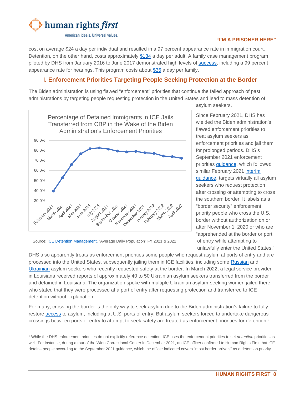

#### **"I'M A PRISONER HERE"**

cost on average \$24 a day per individual and resulted in a 97 percent appearance rate in immigration court. Detention, on the other hand, costs approximately [\\$134](https://www.cnbc.com/2018/06/20/cost-us-immigrant-detention-trump-zero-tolerance-tents-cages.html) a day per adult. A family case management program piloted by DHS from January 2016 to June 2017 demonstrated high levels of [success,](https://www.theatlantic.com/news/archive/2017/06/ice-shuts-down-program-for-asylum-seekers/529887/) including a 99 percent appearance rate for hearings. This program costs about [\\$36](https://www.theatlantic.com/news/archive/2017/06/ice-shuts-down-program-for-asylum-seekers/529887/) a day per family.

# <span id="page-9-0"></span>**I. Enforcement Priorities Targeting People Seeking Protection at the Border**

The Biden administration is using flawed "enforcement" priorities that continue the failed approach of past administrations by targeting people requesting protection in the United States and lead to mass detention of



asylum seekers.

Since February 2021, DHS has wielded the Biden administration's flawed enforcement priorities to treat asylum seekers as enforcement priorities and jail them for prolonged periods. DHS's September 2021 enforcement priorities [guidance,](https://www.ice.gov/doclib/news/guidelines-civilimmigrationlaw.pdf) which followed similar February 2021 interim [guidance,](https://www.ice.gov/doclib/news/releases/2021/021821_civil-immigration-enforcement_interim-guidance.pdf) targets virtually all asylum seekers who request protection after crossing or attempting to cross the southern border. It labels as a "border security" enforcement priority people who cross the U.S. border without authorization on or after November 1, 2020 or who are "apprehended at the border or port of entry while attempting to unlawfully enter the United States."

DHS also apparently treats as enforcement priorities some people who request asylum at ports of entry and are processed into the United States, subsequently jailing them in ICE facilities, including some [Russian](https://www.vice.com/en/article/3abejb/the-us-admitted-a-group-of-russians-at-the-border-under-secret-deal-with-mexico?) and [Ukrainian](https://www.dailymail.co.uk/news/article-10643887/Ukrainian-families-locked-ICE-detention-centers-let-US.html) asylum seekers who recently requested safety at the border. In March 2022, a legal service provider in Louisiana received reports of approximately 40 to 50 Ukrainian asylum seekers transferred from the border and detained in Louisiana. The organization spoke with multiple Ukrainian asylum-seeking women jailed there who stated that they were processed at a port of entry after requesting protection and transferred to ICE detention without explanation.

For many, crossing the border is the only way to seek asylum due to the Biden administration's failure to fully restore [access](https://www.humanrightsfirst.org/resource/illegal-and-inhumane-biden-administration-continues-embrace-trump-title-42-policy-attacks) to asylum, including at U.S. ports of entry. But asylum seekers forced to undertake dangerous crossings between ports of entry to attempt to seek safety are treated as enforcement priorities for detention<sup>[3](#page-9-1)</sup>

Source[: ICE Detention Management,](https://www.ice.gov/detain/detention-management) "Average Daily Population" FY 2021 & 2022

<span id="page-9-1"></span><sup>3</sup> While the DHS enforcement priorities do not explicitly reference detention, ICE uses the enforcement priorities to set *detention* priorities as well. For instance, during a tour of the Winn Correctional Center in December 2021, an ICE officer confirmed to Human Rights First that ICE detains people according to the September 2021 guidance, which the officer indicated covers "most border arrivals" as a detention priority.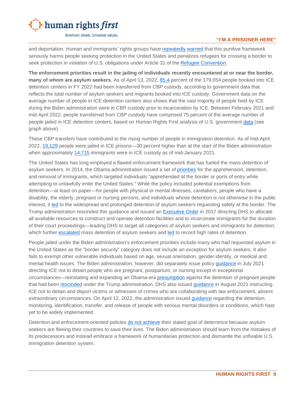

#### **"I'M A PRISONER HERE"**

and deportation. Human and immigrants' rights groups have [repeatedly](https://nipnlg.org/PDFs/2021_28June_Protect-Dont-Deport.pdf) [warned](https://www.humanrightsfirst.org/resource/letter-dhs-enforcement-priorities-and-asylum-seekers) that this punitive framework seriously harms people seeking protection in the United States and penalizes refugees for crossing a border to seek protection in violation of U.S. obligations under Article 31 of the [Refugee Convention.](https://www.ohchr.org/en/professionalinterest/pages/statusofrefugees.aspx)

**The enforcement priorities result in the jailing of individuals recently encountered at or near the border, many of whom are asylum seekers**. As of April 13, 2022, [85.4](https://www.ice.gov/detain/detention-management) percent of the 179,054 people booked into ICE detention centers in FY 2022 had been transferred from CBP custody, according to government data that reflects the total number of asylum seekers and migrants booked into ICE custody. Government data on the average number of people in ICE detention centers also shows that the vast majority of people held by ICE during the Biden administration were in CBP custody prior to incarceration by ICE. Between February 2021 and mid-April 2022, people transferred from CBP custody have comprised 75 percent of the average number of people jailed in ICE detention centers, based on Human Rights First analysis of U.S. government [da](https://www.ice.gov/detain/detention-management)ta (see graph above).

These CBP transfers have contributed to the rising number of people in immigration detention. As of mid-April 2022, [19,129](https://www.ice.gov/coronavirus) people were jailed in ICE prisons—30 percent higher than at the start of the Biden administration when approximately [14,715](https://www.nationalimmigrationproject.org/pr/2021_26May_biden-admin-detention.html;) immigrants were in ICE custody as of mid-January 2021.

The United States has long employed a flawed enforcement framework that has fueled the mass detention of asylum seekers. In 2014, the Obama administration issued a set of [priorities](https://www.dhs.gov/sites/default/files/publications/14_1120_memo_prosecutorial_discretion.pdf) for the apprehension, detention, and removal of immigrants, which targeted individuals "apprehended at the border or ports of entry while attempting to unlawfully enter the United States." While the policy included potential exemptions from detention—at least on paper—for people with physical or mental illnesses, caretakers, people who have a disability, the elderly, pregnant or nursing persons, and individuals whose detention is not otherwise in the public interest, it [led](https://www.humanrightsfirst.org/sites/default/files/Lifeline-on-Lockdown.pdf) to the widespread and prolonged detention of asylum seekers requesting safety at the border. The Trump administration rescinded this guidance and issued an **Executive Order in 2017** directing DHS to allocate all available resources to construct and operate detention facilities and to incarcerate immigrants for the duration of their court proceedings—leading DHS to target all categories of asylum seekers and immigrants for detention, which further [escalated](https://www.humanrightsfirst.org/sites/default/files/hrf-judge-and-jailer-final-report.pdf) mass detention of asylum seekers and [led](https://www.hrw.org/sites/default/files/supporting_resources/justice_free_zones_immigrant_detention.pdf) to record high rates of detention.

People jailed under the Biden administration's enforcement priorities include many who had requested asylum in the United States as the "border security" category does not include an exception for asylum seekers. It also fails to exempt other vulnerable individuals based on age, sexual orientation, gender identity, or medical and mental health issues. The Biden administration, however, did separately issue policy [guidance](https://www.ice.gov/doclib/detention/11032.4_IdentificationMonitoringPregnantPostpartumNursingIndividuals.pdf) in July 2021 directing ICE not to detain people who are pregnant, postpartum, or nursing except in exceptional circumstances—reinstating and expanding an Obama-era [presumption](https://www.ice.gov/sites/default/files/documents/Document/2016/11032.2_IdentificationMonitoringPregnantDetainees.pdf) against the detention of pregnant people that had been [rescinded](https://www.washingtonpost.com/local/immigration/trump-administration-ends-automatic-release-from-detention-for-pregnant-women/2018/03/29/8b6b1bc0-3365-11e8-8abc-22a366b72f2d_story.html) under the Trump administration. DHS also issued [guidance](https://www.cbsnews.com/news/immigration-ice-deportation-crime-victims/) in August 2021 instructing ICE not to detain and deport victims or witnesses of crimes who are collaborating with law enforcement, absent extraordinary circumstances. On April 12, 2022, the administration issued [guidance](https://www.ice.gov/doclib/news/releases/2022/11063-2.pdf) regarding the detention, monitoring, identification, transfer, and release of people with serious mental disorders or conditions, which hast yet to be widely implemented.

Detention and enforcement-oriented policies [do not achieve](https://immigrationimpact.com/2021/04/02/immigrants-coming-to-the-border-deterrence-policies/#.Ykyl4W7MI6g) their stated goal of deterrence because asylum seekers are fleeing their countries to save their lives. The Biden administration should learn from the mistakes of its predecessors and instead embrace a framework of humanitarian protection and dismantle the unfixable U.S. immigration detention system.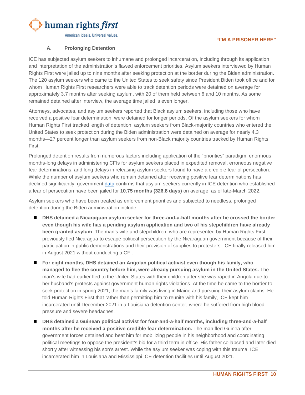

#### **A. Prolonging Detention**

<span id="page-11-0"></span>ICE has subjected asylum seekers to inhumane and prolonged incarceration, including through its application and interpretation of the administration's flawed enforcement priorities. Asylum seekers interviewed by Human Rights First were jailed up to nine months after seeking protection at the border during the Biden administration. The 120 asylum seekers who came to the United States to seek safety since President Biden took office and for whom Human Rights First researchers were able to track detention periods were detained on average for approximately 3.7 months after seeking asylum, with 20 of them held between 6 and 10 months. As some remained detained after interview, the average time jailed is even longer.

Attorneys, advocates, and asylum seekers reported that Black asylum seekers, including those who have received a positive fear determination, were detained for longer periods. Of the asylum seekers for whom Human Rights First tracked length of detention, asylum seekers from Black-majority countries who entered the United States to seek protection during the Biden administration were detained on average for nearly 4.3 months—27 percent longer than asylum seekers from non-Black majority countries tracked by Human Rights First.

Prolonged detention results from numerous factors including application of the "priorities" paradigm, enormous months-long delays in administering CFIs for asylum seekers placed in expedited removal, erroneous negative fear determinations, and long delays in releasing asylum seekers found to have a credible fear of persecution. While the number of asylum seekers who remain detained after receiving positive fear determinations has declined significantly, government [data](https://www.ice.gov/detain/detention-management) confirms that asylum seekers currently in ICE detention who established a fear of persecution have been jailed for **10.75 months (326.8 days)** on average, as of late-March 2022.

Asylum seekers who have been treated as enforcement priorities and subjected to needless, prolonged detention during the Biden administration include:

- **DHS detained a Nicaraguan asylum seeker for three-and-a-half months after he crossed the border even though his wife has a pending asylum application and two of his stepchildren have already been granted asylum**. The man's wife and stepchildren, who are represented by Human Rights First, previously fled Nicaragua to escape political persecution by the Nicaraguan government because of their participation in public demonstrations and their provision of supplies to protesters. ICE finally released him in August 2021 without conducting a CFI.
- **For eight months, DHS detained an Angolan political activist even though his family, who managed to flee the country before him, were already pursuing asylum in the United States.** The man's wife had earlier fled to the United States with their children after she was raped in Angola due to her husband's protests against government human rights violations. At the time he came to the border to seek protection in spring 2021, the man's family was living in Maine and pursuing their asylum claims. He told Human Rights First that rather than permitting him to reunite with his family, ICE kept him incarcerated until December 2021 in a Louisiana detention center, where he suffered from high blood pressure and severe headaches.
- **DHS detained a Guinean political activist for four-and-a-half months, including three-and-a-half months after he received a positive credible fear determination.** The man fled Guinea after government forces detained and beat him for mobilizing people in his neighborhood and coordinating political meetings to oppose the president's bid for a third term in office. His father collapsed and later died shortly after witnessing his son's arrest. While the asylum seeker was coping with this trauma, ICE incarcerated him in Louisiana and Mississippi ICE detention facilities until August 2021.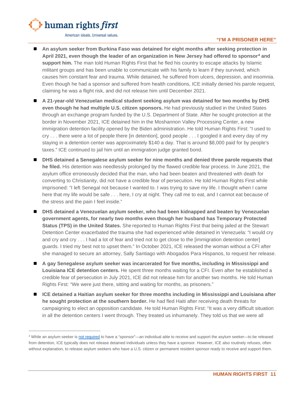

#### **"I'M A PRISONER HERE"**

- An asylum seeker from Burkina Faso was detained for eight months after seeking protection in **April 2021, even though the leader of an organization in New Jersey had offered to sponsor**[4](#page-12-0) **and support him.** The man told Human Rights First that he fled his country to escape attacks by Islamic militant groups and has been unable to communicate with his family to learn if they survived, which causes him constant fear and trauma. While detained, he suffered from ulcers, depression, and insomnia. Even though he had a sponsor and suffered from health conditions, ICE initially denied his parole request, claiming he was a flight risk, and did not release him until December 2021.
- **A 21-year-old Venezuelan medical student seeking asylum was detained for two months by DHS even though he had multiple U.S. citizen sponsors.** He had previously studied in the United States through an exchange program funded by the U.S. Department of State. After he sought protection at the border in November 2021, ICE detained him in the Moshannon Valley Processing Center, a new immigration detention facility opened by the Biden administration. He told Human Rights First: "I used to cry . . . there were a lot of people there [in detention], good people . . . I googled it and every day of my staying in a detention center was approximately \$140 a day. That is around \$8,000 paid for by people's taxes." ICE continued to jail him until an immigration judge granted bond.
- **DHS detained a Senegalese asylum seeker for nine months and denied three parole requests that he filed.** His detention was needlessly prolonged by the flawed credible fear process. In June 2021, the asylum office erroneously decided that the man, who had been beaten and threatened with death for converting to Christianity, did not have a credible fear of persecution. He told Human Rights First while imprisoned: "I left Senegal not because I wanted to. I was trying to save my life. I thought when I came here that my life would be safe . . . here, I cry at night. They call me to eat, and I cannot eat because of the stress and the pain I feel inside."
- **DHS detained a Venezuelan asylum seeker, who had been kidnapped and beaten by Venezuelan government agents, for nearly two months even though her husband has Temporary Protected Status (TPS) in the United States.** She reported to Human Rights First that being jailed at the Stewart Detention Center exacerbated the trauma she had experienced while detained in Venezuela: "I would cry and cry and cry . . . I had a lot of fear and tried not to get close to the [immigration detention center] guards. I tried my best not to upset them." In October 2021, ICE released the woman without a CFI after she managed to secure an attorney, Sally Santiago with Abogados Para Hispanos, to request her release.
- **A gay Senegalese asylum seeker was incarcerated for five months, including in Mississippi and Louisiana ICE detention centers.** He spent three months waiting for a CFI. Even after he established a credible fear of persecution in July 2021, ICE did not release him for another two months. He told Human Rights First: "We were just there, sitting and waiting for months, as prisoners."
- **ICE detained a Haitian asylum seeker for three months including in Mississippi and Louisiana after he sought protection at the southern border.** He had fled Haiti after receiving death threats for campaigning to elect an opposition candidate. He told Human Rights First: "It was a very difficult situation in all the detention centers I went through. They treated us inhumanely. They told us that we were all

<span id="page-12-0"></span><sup>4</sup> While an asylum seeker i[s not required](https://www.law.cornell.edu/cfr/text/8/212.5) to have a "sponsor"—an individual able to receive and support the asylum seeker—to be released from detention, ICE typically does not release detained individuals unless they have a sponsor. However, ICE also routinely refuses, often without explanation, to release asylum seekers who have a U.S. citizen or permanent resident sponsor ready to receive and support them.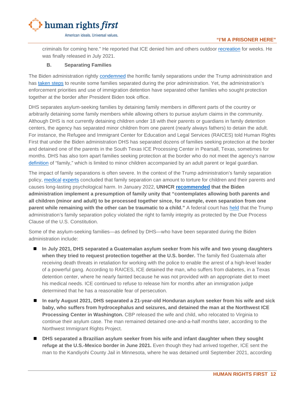

criminals for coming here." He reported that ICE denied him and others outdoor [recreation](https://www.ice.gov/doclib/detention-standards/2011/pbnds2011r2016.pdf) for weeks. He was finally released in July 2021.

#### **B. Separating Families**

<span id="page-13-0"></span>The Biden administration rightly [condemned](https://joebiden.com/immigration/) the horrific family separations under the Trump administration and has [taken steps](https://www.npr.org/2022/02/02/1077522543/biden-task-force-makes-progress-reuniting-families-separated-at-the-border) to reunite some families separated during the prior administration. Yet, the administration's enforcement priorities and use of immigration detention have separated other families who sought protection together at the border after President Biden took office.

DHS separates asylum-seeking families by detaining family members in different parts of the country or arbitrarily detaining some family members while allowing others to pursue asylum claims in the community. Although DHS is not currently detaining children under 18 with their parents or guardians in family detention centers, the agency has separated minor children from one parent (nearly always fathers) to detain the adult. For instance, the Refugee and Immigrant Center for Education and Legal Services (RAICES) told Human Rights First that under the Biden administration DHS has separated dozens of families seeking protection at the border and detained one of the parents in the South Texas ICE Processing Center in Pearsall, Texas, sometimes for months. DHS has also torn apart families seeking protection at the border who do not meet the agency's narrow [definition](https://www.dhs.gov/sites/default/files/publications/immigration-statistics/Special_Reports/FUAR/fy_2020-m5_family_unit_actions_report_february_2020.pdf) of "family," which is limited to minor children accompanied by an adult parent or legal guardian.

The impact of family separations is often severe. In the context of the Trump administration's family separation policy, [medical](https://phr.org/our-work/resources/you-will-never-see-your-child-again-the-persistent-psychological-effects-of-family-separation/) [experts](https://imprintnews.org/child-welfare-2/pediatricians-group-deems-trump-family-separation-policy-torture/50841) concluded that family separation can amount to torture for children and their parents and causes long-lasting psychological harm. In January 2022, **UNHCR [recommended](https://www.regulations.gov/comment/DHS-2021-0051-20605) that the Biden administration implement a presumption of family unity that "contemplates allowing both parents and all children (minor and adult) to be processed together since, for example, even separation from one parent while remaining with the other can be traumatic to a child."** A federal court has [held](https://www.aclu.org/legal-document/order-ms-l-order-enforce-pi) that the Trump administration's family separation policy violated the right to family integrity as protected by the Due Process Clause of the U.S. Constitution.

Some of the asylum-seeking families—as defined by DHS—who have been separated during the Biden administration include:

- In July 2021, DHS separated a Guatemalan asylum seeker from his wife and two young daughters **when they tried to request protection together at the U.S. border.** The family fled Guatemala after receiving death threats in retaliation for working with the police to enable the arrest of a high-level leader of a powerful gang. According to RAICES, ICE detained the man, who suffers from diabetes, in a Texas detention center, where he nearly fainted because he was not provided with an appropriate diet to meet his medical needs. ICE continued to refuse to release him for months after an immigration judge determined that he has a reasonable fear of persecution.
- In early August 2021, DHS separated a 21-year-old Honduran asylum seeker from his wife and sick **baby, who suffers from hydrocephalus and seizures, and detained the man at the Northwest ICE Processing Center in Washington.** CBP released the wife and child, who relocated to Virginia to continue their asylum case. The man remained detained one-and-a-half months later, according to the Northwest Immigrant Rights Project.
- DHS separated a Brazilian asylum seeker from his wife and infant daughter when they sought **refuge at the U.S.-Mexico border in June 2021.** Even though they had arrived together, ICE sent the man to the Kandiyohi County Jail in Minnesota, where he was detained until September 2021, according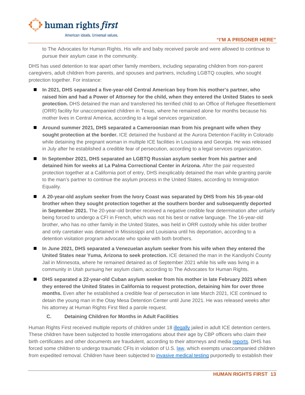

to The Advocates for Human Rights. His wife and baby received parole and were allowed to continue to pursue their asylum case in the community.

DHS has used detention to tear apart other family members, including separating children from non-parent caregivers, adult children from parents, and spouses and partners, including LGBTQ couples, who sought protection together. For instance:

- **In 2021, DHS separated a five-year-old Central American boy from his mother's partner, who raised him and had a Power of Attorney for the child, when they entered the United States to seek protection.** DHS detained the man and transferred his terrified child to an Office of Refugee Resettlement (ORR) facility for unaccompanied children in Texas, where he remained alone for months because his mother lives in Central America, according to a legal services organization.
- **Around summer 2021, DHS separated a Cameroonian man from his pregnant wife when they sought protection at the border.** ICE detained the husband at the Aurora Detention Facility in Colorado while detaining the pregnant woman in multiple ICE facilities in Louisiana and Georgia. He was released in July after he established a credible fear of persecution, according to a legal services organization.
- **In September 2021, DHS separated an LGBTQ Russian asylum seeker from his partner and detained him for weeks at La Palma Correctional Center in Arizona.** After the pair requested protection together at a California port of entry, DHS inexplicably detained the man while granting parole to the man's partner to continue the asylum process in the United States, according to Immigration Equality.
- **A 20-year-old asylum seeker from the Ivory Coast was separated by DHS from his 16-year-old brother when they sought protection together at the southern border and subsequently deported in September 2021.** The 20-year-old brother received a negative credible fear determination after unfairly being forced to undergo a CFI in French, which was not his best or native language. The 16-year-old brother, who has no other family in the United States, was held in ORR custody while his older brother and only caretaker was detained in Mississippi and Louisiana until his deportation, according to a detention visitation program advocate who spoke with both brothers.
- **In June 2021, DHS separated a Venezuelan asylum seeker from his wife when they entered the United States near Yuma, Arizona to seek protection.** ICE detained the man in the Kandiyohi County Jail in Minnesota, where he remained detained as of September 2021 while his wife was living in a community in Utah pursuing her asylum claim, according to The Advocates for Human Rights.
- **DHS separated a 22-year-old Cuban asylum seeker from his mother in late February 2021 when they entered the United States in California to request protection, detaining him for over three months.** Even after he established a credible fear of persecution in late March 2021, ICE continued to detain the young man in the Otay Mesa Detention Center until June 2021. He was released weeks after his attorney at Human Rights First filed a parole request.

#### **C. Detaining Children for Months in Adult Facilities**

<span id="page-14-0"></span>Human Rights First received multiple reports of children under 18 [illegally](https://www.law.cornell.edu/uscode/text/8/1232) jailed in adult ICE detention centers. These children have been subjected to hostile interrogations about their age by CBP officers who claim their birth certificates and other documents are fraudulent, according to their attorneys and media [reports.](https://www.telemundo.com/noticias/noticias-telemundo/inmigracion/separacion-bajo-el-gobierno-biden-asi-fue-la-odisea-de-un-menor-de-16-rcna8638) DHS has forced some children to undergo traumatic CFIs in violation of U.S. [law,](https://www.law.cornell.edu/uscode/text/8/1232) which exempts unaccompanied children from expedited removal. Children have been subjected to [invasive medical testing](https://innocenceproject.org/wp-content/uploads/2021/06/2021.06.03-Dental-Age-Estimation-Cease-and-Desist-Letter_Final-2.pdf) purportedly to establish their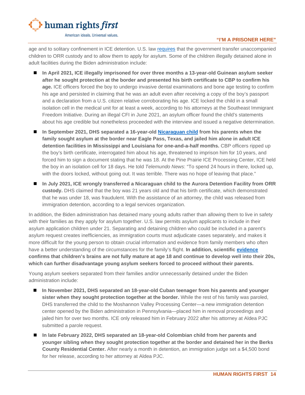

#### **"I'M A PRISONER HERE"**

age and to solitary confinement in ICE detention. U.S. law [requires](https://www.law.cornell.edu/uscode/text/8/1232) that the government transfer unaccompanied children to ORR custody and to allow them to apply for asylum. Some of the children illegally detained alone in adult facilities during the Biden administration include:

- **In April 2021, ICE illegally imprisoned for over three months a 13-year-old Guinean asylum seeker after he sought protection at the border and presented his birth certificate to CBP to confirm his age.** ICE officers forced the boy to undergo invasive dental examinations and bone age testing to confirm his age and persisted in claiming that he was an adult even after receiving a copy of the boy's passport and a declaration from a U.S. citizen relative corroborating his age. ICE locked the child in a small isolation cell in the medical unit for at least a week, according to his attorneys at the Southeast Immigrant Freedom Initiative. During an illegal CFI in June 2021, an asylum officer found the child's statements about his age credible but nonetheless proceeded with the interview and issued a negative determination.
- **In September 2021, DHS separated a 16-year-old [Nicaraguan child](https://www.telemundo.com/noticias/noticias-telemundo/inmigracion/separacion-bajo-el-gobierno-biden-asi-fue-la-odisea-de-un-menor-de-16-rcna8638) from his parents when the family sought asylum at the border near Eagle Pass, Texas, and jailed him alone in adult ICE**  detention facilities in Mississippi and Louisiana for one-and-a-half months. CBP officers ripped up the boy's birth certificate, interrogated him about his age, threatened to imprison him for 10 years, and forced him to sign a document stating that he was 18. At the Pine Prairie ICE Processing Center, ICE held the boy in an isolation cell for 18 days. He told *Telemundo News*: "To spend 24 hours in there, locked up, with the doors locked, without going out. It was terrible. There was no hope of leaving that place."
- **In July 2021, ICE wrongly transferred a Nicaraguan child to the Aurora Detention Facility from ORR custody.** DHS claimed that the boy was 21 years old and that his birth certificate, which demonstrated that he was under 18, was fraudulent. With the assistance of an attorney, the child was released from immigration detention, according to a legal services organization.

In addition, the Biden administration has detained many young adults rather than allowing them to live in safety with their families as they apply for asylum together. U.S. law permits asylum applicants to include in their asylum application children under 21. Separating and detaining children who could be included in a parent's asylum request creates inefficiencies, as immigration courts must adjudicate cases separately, and makes it more difficult for the young person to obtain crucial information and evidence from family members who often have a better understanding of the circumstances for the family's flight. **In addition, scientific [evidence](https://www.ncbi.nlm.nih.gov/pmc/articles/PMC2892678/) confirms that children's brains are not fully mature at age 18 and continue to develop well into their 20s, which can further disadvantage young asylum seekers forced to proceed without their parents.** 

Young asylum seekers separated from their families and/or unnecessarily detained under the Biden administration include:

- In November 2021, DHS separated an 18-year-old Cuban teenager from his parents and younger **sister when they sought protection together at the border.** While the rest of his family was paroled, DHS transferred the child to the Moshannon Valley Processing Center—a new immigration detention center opened by the Biden administration in Pennsylvania—placed him in removal proceedings and jailed him for over two months. ICE only released him in February 2022 after his attorney at Aldea PJC submitted a parole request.
- **In late February 2022, DHS separated an 18-year-old Colombian child from her parents and younger sibling when they sought protection together at the border and detained her in the Berks County Residential Center.** After nearly a month in detention, an immigration judge set a \$4,500 bond for her release, according to her attorney at Aldea PJC.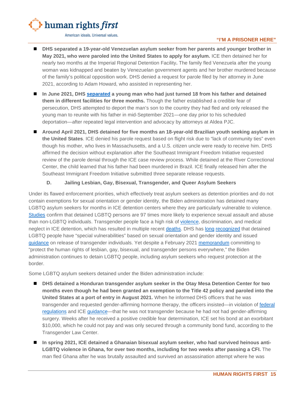

#### **"I'M A PRISONER HERE"**

- DHS separated a 19-year-old Venezuelan asylum seeker from her parents and younger brother in **May 2021, who were paroled into the United States to apply for asylum.** ICE then detained her for nearly two months at the Imperial Regional Detention Facility**.** The family fled Venezuela after the young woman was kidnapped and beaten by Venezuelan government agents and her brother murdered because of the family's political opposition work. DHS denied a request for parole filed by her attorney in June 2021, according to Adam Howard, who assisted in representing her.
- In June 2021, DHS [separated](https://twitter.com/BridgetCambria8/status/1438578134174085126) a young man who had just turned 18 from his father and detained **them in different facilities for three months.** Though the father established a credible fear of persecution, DHS attempted to deport the man's son to the country they had fled and only released the young man to reunite with his father in mid-September 2021—one day prior to his scheduled deportation—after repeated legal intervention and advocacy by attorneys at Aldea PJC.
- **Around April 2021, DHS detained for five months an 18-year-old Brazilian youth seeking asylum in the United States**. ICE denied his parole request based on flight risk due to "lack of community ties" even though his mother, who lives in Massachusetts, and a U.S. citizen uncle were ready to receive him. DHS affirmed the decision without explanation after the Southeast Immigrant Freedom Initiative requested review of the parole denial through the ICE case review process. While detained at the River Correctional Center, the child learned that his father had been murdered in Brazil. ICE finally released him after the Southeast Immigrant Freedom Initiative submitted three separate release requests.

#### **D. Jailing Lesbian, Gay, Bisexual, Transgender, and Queer Asylum Seekers**

<span id="page-16-0"></span>Under its flawed enforcement priorities, which effectively treat asylum seekers as detention priorities and do not contain exemptions for sexual orientation or gender identity, the Biden administration has detained many LGBTQ asylum seekers for months in ICE detention centers where they are particularly vulnerable to violence. [Studies](https://www.americanprogress.org/article/ices-rejection-rules-placing-lgbt-immigrants-severe-risk-sexual-abuse/) confirm that detained LGBTQ persons are 97 times more likely to experience sexual assault and abuse than non-LGBTQ individuals. Transgender people face a high risk of [violence,](https://www.theguardian.com/us-news/2020/nov/17/trans-women-us-immigration-custody-abuse-covid-19-ice) discrimination, and medical neglect in ICE detention, which has resulted in multiple recent [deaths.](https://psmag.com/social-justice/why-are-trans-women-dying-in-ice-detention) DHS has [long](https://www.ice.gov/doclib/detention-standards/2011/2-2.pdf) [recognized](https://www.oig.dhs.gov/assets/Mgmt/2015/OIG_15-22_Feb15.pdf) that detained LGBTQ people have "special vulnerabilities" based on sexual orientation and gender identity and issued [guidance](https://www.ice.gov/sites/default/files/documents/Document/2015/TransgenderCareMemorandum.pdf) on release of transgender individuals. Yet despite a February 2021 [memorandum](https://www.whitehouse.gov/briefing-room/presidential-actions/2021/02/04/memorandum-advancing-the-human-rights-of-lesbian-gay-bisexual-transgender-queer-and-intersex-persons-around-the-world/) committing to "protect the human rights of lesbian, gay, bisexual, and transgender persons everywhere," the Biden administration continues to detain LGBTQ people, including asylum seekers who request protection at the border.

Some LGBTQ asylum seekers detained under the Biden administration include:

- **DHS detained a Honduran transgender asylum seeker in the Otay Mesa Detention Center for two months even though he had been granted an exemption to the Title 42 policy and paroled into the United States at a port of entry in August 2021.** When he informed DHS officers that he was transgender and requested gender-affirming hormone therapy, the officers insisted—in violation of [federal](https://www.federalregister.gov/documents/2014/03/07/2014-04675/standards-to-prevent-detect-and-respond-to-sexual-abuse-and-assault-in-confinement-facilities)  [regulations](https://www.federalregister.gov/documents/2014/03/07/2014-04675/standards-to-prevent-detect-and-respond-to-sexual-abuse-and-assault-in-confinement-facilities) and ICE [guidance—](https://www.ice.gov/sites/default/files/documents/Document/2015/TransgenderCareMemorandum.pdf)that he was not transgender because he had not had gender-affirming surgery. Weeks after he received a positive credible fear determination, ICE set his bond at an exorbitant \$10,000, which he could not pay and was only secured through a community bond fund, according to the Transgender Law Center.
- In spring 2021, ICE detained a Ghanaian bisexual asylum seeker, who had survived heinous anti-**LGBTQ violence in Ghana, for over two months, including for two weeks after passing a CFI.** The man fled Ghana after he was brutally assaulted and survived an assassination attempt where he was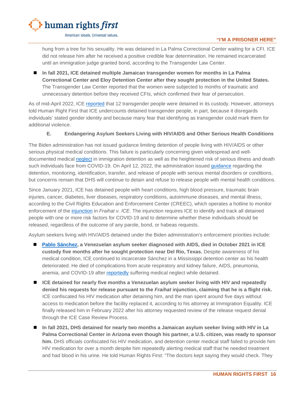

### **"I'M A PRISONER HERE"**

hung from a tree for his sexuality. He was detained in La Palma Correctional Center waiting for a CFI. ICE did not release him after he received a positive credible fear determination. He remained incarcerated until an immigration judge granted bond, according to the Transgender Law Center.

 **In fall 2021, ICE detained multiple Jamaican transgender women for months in La Palma Correctional Center and Eloy Detention Center after they sought protection in the United States.**  The Transgender Law Center reported that the women were subjected to months of traumatic and unnecessary detention before they received CFIs, which confirmed their fear of persecution.

As of mid-April 2022, ICE [reported](https://www.ice.gov/detain/detention-management) that 12 transgender people were detained in its custody. However, attorneys told Human Right First that ICE undercounts detained transgender people, in part, because it disregards individuals' stated gender identity and because many fear that identifying as transgender could mark them for additional violence.

#### **E. Endangering Asylum Seekers Living with HIV/AIDS and Other Serious Health Conditions**

<span id="page-17-0"></span>The Biden administration has not issued guidance limiting detention of people living with HIV/AIDS or other serious physical medical conditions. This failure is particularly concerning given widespread and welldocumented medical [neglect](https://immigrationequality.org/wp-content/uploads/2020/09/Complaint-to-Office-of-Civil-Rights-and-Civil-Liberties-Re-HIV-Care-in-Detention-Facilities.pdf) in immigration detention as well as the heightened risk of serious illness and death such individuals face from COVID-19. On April 12, 2022, the administration issued [guidance](https://www.ice.gov/doclib/news/releases/2022/11063-2.pdf) regarding the detention, monitoring, identification, transfer, and release of people with serious mental disorders or conditions, but concerns remain that DHS will continue to detain and refuse to release people with mental health conditions.

Since January 2021, ICE has detained people with heart conditions, high blood pressure, traumatic brain injuries, cancer, diabetes, liver diseases, respiratory conditions, autoimmune diseases, and mental illness, according to the Civil Rights Education and Enforcement Center (CREEC), which operates a hotline to monitor enforcement of the [injunction](https://creeclaw.org/wp-content/uploads/2021/08/2020-04-20-132-Order-Granting-Amicus-Brs.-Subclass-Cert.-PI.pdf) in *Fraihat v. ICE*. The injunction requires ICE to identify and track all detained people with one or more risk factors for COVID-19 and to determine whether these individuals should be released, regardless of the outcome of any parole, bond, or habeas requests.

Asylum seekers living with HIV/AIDS detained under the Biden administration's enforcement priorities include:

- **[Pablo Sánchez,](https://www.washingtonblade.com/2021/10/20/venezuelan-man-with-aids-dies-in-ice-custody/) a Venezuelan asylum seeker diagnosed with AIDS, died in October 2021 in ICE custody five months after he sought protection near Del Rio, Texas.** Despite awareness of his medical condition, ICE continued to incarcerate Sánchez in a Mississippi detention center as his health deteriorated. He died of complications from acute respiratory and kidney failure, AIDS, pneumonia, anemia, and COVID-19 after [reportedly](https://twitter.com/muxerisa/status/1446565425303543809) suffering medical neglect while detained.
- **ICE detained for nearly five months a Venezuelan asylum seeker living with HIV and repeatedly denied his requests for release pursuant to the** *Fraihat* **injunction, claiming that he is a flight risk.**  ICE confiscated his HIV medication after detaining him, and the man spent around five days without access to medication before the facility replaced it, according to his attorney at Immigration Equality. ICE finally released him in February 2022 after his attorney requested review of the release request denial through the ICE Case Review Process.
- **In fall 2021, DHS detained for nearly two months a Jamaican asylum seeker living with HIV in La Palma Correctional Center in Arizona even though his partner, a U.S. citizen, was ready to sponsor him.** DHS officials confiscated his HIV medication, and detention center medical staff failed to provide him HIV medication for over a month despite him repeatedly alerting medical staff that he needed treatment and had blood in his urine. He told Human Rights First: "The doctors kept saying they would check. They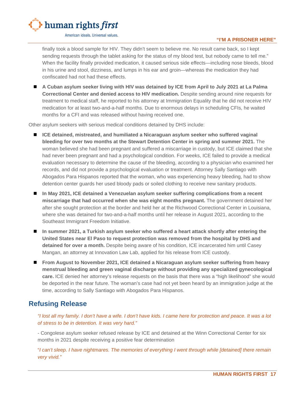

**"I'M A PRISONER HERE"**

finally took a blood sample for HIV. They didn't seem to believe me. No result came back, so I kept sending requests through the tablet asking for the status of my blood test, but nobody came to tell me." When the facility finally provided medication, it caused serious side effects—including nose bleeds, blood in his urine and stool, dizziness, and lumps in his ear and groin—whereas the medication they had confiscated had not had these effects.

 **A Cuban asylum seeker living with HIV was detained by ICE from April to July 2021 at La Palma Correctional Center and denied access to HIV medication.** Despite sending around nine requests for treatment to medical staff, he reported to his attorney at Immigration Equality that he did not receive HIV medication for at least two-and-a-half months. Due to enormous delays in scheduling CFIs, he waited months for a CFI and was released without having received one.

Other asylum seekers with serious medical conditions detained by DHS include:

- **ICE detained, mistreated, and humiliated a Nicaraguan asylum seeker who suffered vaginal bleeding for over two months at the Stewart Detention Center in spring and summer 2021.** The woman believed she had been pregnant and suffered a miscarriage in custody, but ICE claimed that she had never been pregnant and had a psychological condition. For weeks, ICE failed to provide a medical evaluation necessary to determine the cause of the bleeding, according to a physician who examined her records, and did not provide a psychological evaluation or treatment. Attorney Sally Santiago with Abogados Para Hispanos reported that the woman, who was experiencing heavy bleeding, had to show detention center guards her used bloody pads or soiled clothing to receive new sanitary products.
- In May 2021, ICE detained a Venezuelan asylum seeker suffering complications from a recent **miscarriage that had occurred when she was eight months pregnant.** The government detained her after she sought protection at the border and held her at the Richwood Correctional Center in Louisiana, where she was detained for two-and-a-half months until her release in August 2021, according to the Southeast Immigrant Freedom Initiative.
- In summer 2021, a Turkish asylum seeker who suffered a heart attack shortly after entering the **United States near El Paso to request protection was removed from the hospital by DHS and detained for over a month.** Despite being aware of his condition, ICE incarcerated him until Casey Mangan, an attorney at Innovation Law Lab, applied for his release from ICE custody.
- **From August to November 2021, ICE detained a Nicaraguan asylum seeker suffering from heavy menstrual bleeding and green vaginal discharge without providing any specialized gynecological care.** ICE denied her attorney's release requests on the basis that there was a "high likelihood" she would be deported in the near future. The woman's case had not yet been heard by an immigration judge at the time, according to Sally Santiago with Abogados Para Hispanos.

# <span id="page-18-0"></span>**Refusing Release**

*"I lost all my family. I don't have a wife. I don't have kids. I came here for protection and peace. It was a lot of stress to be in detention. It was very hard."*

- Congolese asylum seeker refused release by ICE and detained at the Winn Correctional Center for six months in 2021 despite receiving a positive fear determination

"*I can't sleep. I have nightmares. The memories of everything I went through while [detained] there remain very vivid."*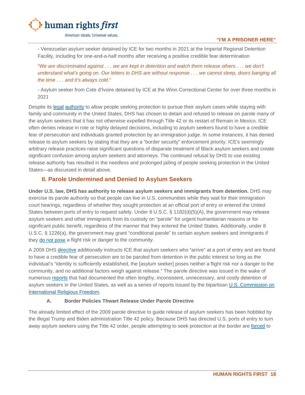

*-* Venezuelan asylum seeker detained by ICE for two months in 2021 at the Imperial Regional Detention Facility, including for one-and-a-half months after receiving a positive credible fear determination

"*We are discriminated against . . . we are kept in detention and watch them release others . . . we don't understand what's going on. Our letters to DHS are without response . . . we cannot sleep, doors banging all the time . . . and it's always cold."*

- Asylum seeker from Cote d'Ivoire detained by ICE at the Winn Correctional Center for over three months in 2021

Despite its [legal](https://uscode.house.gov/view.xhtml?req=granuleid:USC-prelim-title8-section1226&num=0&edition=prelim) [authority](https://uscode.house.gov/view.xhtml?req=granuleid%3AUSC-prelim-title8-section1182&num=0&edition=prelim) to allow people seeking protection to pursue their asylum cases while staying with family and community in the United States, DHS has chosen to detain and refused to release on parole many of the asylum seekers that it has not otherwise expelled through Title 42 or its restart of Remain in Mexico. ICE often denies release in rote or highly delayed decisions, including to asylum seekers found to have a credible fear of persecution and individuals granted protection by an immigration judge. In some instances, it has denied release to asylum seekers by stating that they are a "border security" enforcement priority. ICE's seemingly arbitrary release practices raise significant questions of disparate treatment of Black asylum seekers and create significant confusion among asylum seekers and attorneys. The continued refusal by DHS to use existing release authority has resulted in the needless and prolonged jailing of people seeking protection in the United States—as discussed in detail above.

### <span id="page-19-0"></span>**II. Parole Undermined and Denied to Asylum Seekers**

**Under U.S. law, DHS has authority to release asylum seekers and immigrants from detention.** DHS may exercise its parole authority so that people can live in U.S. communities while they wait for their immigration court hearings, regardless of whether they sought protection at an official port of entry or entered the United States between ports of entry to request safety. Under 8 U.S.C. § 1182(d)(5)(A), the government may release asylum seekers and other immigrants from its custody on "parole" for urgent humanitarian reasons or for significant public benefit, regardless of the manner that they entered the United States. Additionally, under 8 U.S.C. § 1226(a), the government may grant "conditional parole" to certain asylum seekers and immigrants if they [do not pose](https://www.law.cornell.edu/cfr/text/8/236.1) a flight risk or danger to the community.

A 2009 DHS [directive](https://www.ice.gov/doclib/dro/pdf/11002.1-hd-parole_of_arriving_aliens_found_credible_fear.pdf) additionally instructs ICE that asylum seekers who "arrive" at a port of entry and are found to have a credible fear of persecution are to be paroled from detention in the public interest so long as the individual's "identity is sufficiently established, the [asylum seeker] poses neither a flight risk nor a danger to the community, and no additional factors weigh against release." The parole directive was issued in the wake of numerous [reports](https://www.shusterman.com/pdf/LibertysShadow.pdf) that had documented the often lengthy, inconsistent, unnecessary, and costly detention of asylum seekers in the United States, as well as a series of reports issued by the bipartisan U.S. Commission on [International Religious Freedom.](https://www.uscirf.gov/sites/default/files/Reportcard%20Scorecard_0.pdf) 

#### **A. Border Policies Thwart Release Under Parole Directive**

<span id="page-19-1"></span>The already limited effect of the 2009 parole directive to guide release of asylum seekers has been hobbled by the illegal Trump and Biden administration Title 42 policy. Because DHS has directed U.S. ports of entry to turn away asylum seekers using the Title 42 order, people attempting to seek protection at the border are [forced](https://www.humanrightsfirst.org/resource/shameful-record-biden-administration-s-use-trump-policies-endangers-people-seeking-asylum) to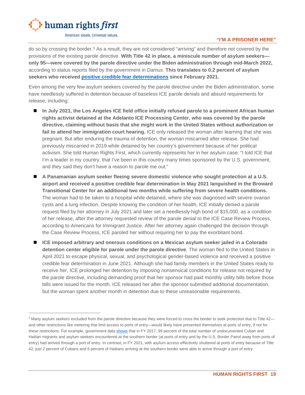

#### **"I'M A PRISONER HERE"**

do so by crossing the border.[5](#page-20-0) As a result, they are not considered "arriving" and therefore not covered by the provisions of the existing parole directive. **With Title 42 in place, a miniscule number of asylum seekers only 95—were covered by the parole directive under the Biden administration through mid-March 2022,** according to status reports filed by the government in *Damus*. **This translates to 0.2 percent of asylum seekers who received [positive credible fear determinations](https://www.uscis.gov/tools/reports-and-studies/semi-monthly-credible-fear-and-reasonable-fear-receipts-and-decisions) since February 2021.**

Even among the very few asylum seekers covered by the parole directive under the Biden administration, some have needlessly suffered in detention because of baseless ICE parole denials and absurd requirements for release, including:

- **In July 2021, the Los Angeles ICE field office initially refused parole to a prominent African human rights activist detained at the Adelanto ICE Processing Center, who was covered by the parole directive, claiming without basis that she might work in the United States without authorization or fail to attend her immigration court hearing.** ICE only released the woman after learning that she was pregnant. But after enduring the trauma of detention, the woman miscarried after release. She had previously miscarried in 2019 while detained by her country's government because of her political activism. She told Human Rights First, which currently represents her in her asylum case: "I told ICE that I'm a leader in my country, that I've been in this country many times sponsored by the U.S. government, and they said they don't have a reason to parole me out."
- **A Panamanian asylum seeker fleeing severe domestic violence who sought protection at a U.S. airport and received a positive credible fear determination in May 2021 languished in the Broward Transitional Center for an additional two months while suffering from severe health conditions.** The woman had to be taken to a hospital while detained, where she was diagnosed with severe ovarian cysts and a lung infection. Despite knowing the condition of her health, ICE initially denied a parole request filed by her attorney in July 2021 and later set a needlessly high bond of \$15,000, as a condition of her release, after the attorney requested review of the parole denial to the ICE Case Review Process, according to Americans for Immigrant Justice. After her attorney again challenged the decision through the Case Review Process, ICE paroled her without requiring her to pay the exorbitant bond.
- **ICE imposed arbitrary and onerous conditions on a Mexican asylum seeker jailed in a Colorado detention center eligible for parole under the parole directive**. The woman fled to the United States in April 2021 to escape physical, sexual, and psychological gender-based violence and received a positive credible fear determination in June 2021. Although she had family members in the United States ready to receive her, ICE prolonged her detention by imposing nonsensical conditions for release not required by the parole directive, including demanding proof that her sponsor had paid monthly utility bills before those bills were issued for the month. ICE released her after the sponsor submitted additional documentation, but the woman spent another month in detention due to these unreasonable requirements.

<span id="page-20-0"></span><sup>&</sup>lt;sup>5</sup> Many asylum seekers excluded from the parole directive because they were forced to cross the border to seek protection due to Title 42 and other restrictions like metering that limit access to ports of entry—would likely have presented themselves at ports of entry, if not for these restrictions. For example, government dat[a sh](https://www.humanrightsfirst.org/sites/default/files/BidenAdministrationDangerousHaitianExpulsionStrategy.pdf)ows that in FY 2017, 99 percent of the total number of undocumented Cuban and Haitian migrants and asylum seekers encountered at the southern border (at ports of entry and by the U.S. Border Patrol away from ports of entry) had arrived through a port of entry. In contrast, in FY 2021, with asylum access effectively shuttered at ports of entry because of Title 42, just 2 percent of Cubans and 6 percent of Haitians arriving at the southern border were able to arrive through a port of entry.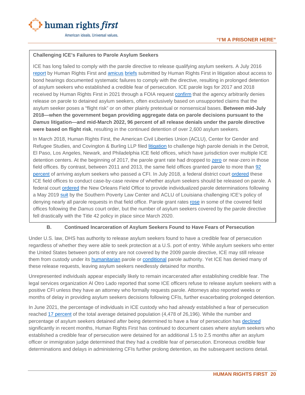

#### **Challenging ICE's Failures to Parole Asylum Seekers**

ICE has long failed to comply with the parole directive to release qualifying asylum seekers. A July 2016 [report](https://www.humanrightsfirst.org/sites/default/files/Lifeline-on-Lockdown.pdf) by Human Rights First and [amicus](https://www.humanrightsfirst.org/sites/default/files/Jennings-v-Rodriguez-Amicus.pdf) [briefs](https://www.humanrightsfirst.org/sites/default/files/Amicus-Jennings-Rodriguez.pdf) submitted by Human Rights First in litigation about access to bond hearings documented systematic failures to comply with the directive, resulting in prolonged detention of asylum seekers who established a credible fear of persecution. ICE parole logs for 2017 and 2018 received by Human Rights First in 2021 through a FOIA request [confirm](https://www.humanrightsfirst.org/sites/default/files/FOIARecordsParole.pdf) that the agency arbitrarily denies release on parole to detained asylum seekers, often exclusively based on unsupported claims that the asylum seeker poses a "flight risk" or on other plainly pretextual or nonsensical bases. **Between mid-July 2018—when the government began providing aggregate data on parole decisions pursuant to the**  *Damus* **litigation—and mid-March 2022, 96 percent of all release denials under the parole directive were based on flight risk**, resulting in the continued detention of over 2,600 asylum seekers.

In March 2018, Human Rights First, the American Civil Liberties Union (ACLU), Center for Gender and Refugee Studies, and Covington & Burling LLP filed [litigation](https://www.humanrightsfirst.org/sites/default/files/parole_litigation_Mar15.pdf) to challenge high parole denials in the Detroit, El Paso, Los Angeles, Newark, and Philadelphia ICE field offices, which have jurisdiction over multiple ICE detention centers. At the beginning of 2017, the parole grant rate had dropped to [zero](https://www.humanrightsfirst.org/sites/default/files/memorandum_opinion.pdf) or near-zero in those field offices. By contrast, between 2011 and 2013, the same field offices granted parole to more than [92](https://www.humanrightsfirst.org/sites/default/files/parole_litigation_Mar15.pdf)  [percent](https://www.humanrightsfirst.org/sites/default/files/parole_litigation_Mar15.pdf) of arriving asylum seekers who passed a CFI. In July 2018, a federal district court [ordered](https://www.humanrightsfirst.org/sites/default/files/memorandum_opinion.pdf) these ICE field offices to conduct case-by-case review of whether asylum seekers should be released on parole. A federal court [ordered](https://www.splcenter.org/sites/default/files/documents/0032._09-05-2019_memorandum_opinion_re_22_motion_for_preliminary_injunction_15_motion_for_class_certification_a1.pdf) the New Orleans Field Office to provide individualized parole determinations following a May 2019 [suit](https://www.splcenter.org/sites/default/files/2019.05.30_-_002_-_class_complaint_for_injunctive_and_declaratory_relief.pdf) by the Southern Poverty Law Center and ACLU of Louisiana challenging ICE's policy of denying nearly all parole requests in that field office. Parole grant rates [rose](https://www.humanrightsfirst.org/sites/default/files/FOIARecordsParole.pdf) in some of the covered field offices following the *Damus* court order, but the number of asylum seekers covered by the parole directive fell drastically with the Title 42 policy in place since March 2020.

#### **B. Continued Incarceration of Asylum Seekers Found to Have Fears of Persecution**

<span id="page-21-0"></span>Under U.S. law, DHS has authority to release asylum seekers found to have a credible fear of persecution regardless of whether they were able to seek protection at a U.S. port of entry. While asylum seekers who enter the United States between ports of entry are not covered by the 2009 parole directive, ICE may still release them from custody under its [humanitarian](https://uscode.house.gov/view.xhtml?req=granuleid:USC-prelim-title8-section1182&num=0&edition=prelim) parole or [conditional](https://uscode.house.gov/view.xhtml?req=granuleid:USC-prelim-title8-section1226&num=0&edition=prelim) parole authority. Yet ICE has denied many of these release requests, leaving asylum seekers needlessly detained for months.

Unrepresented individuals appear especially likely to remain incarcerated after establishing credible fear. The legal services organization Al Otro Lado reported that some ICE officers refuse to release asylum seekers with a positive CFI unless they have an attorney who formally requests parole. Attorneys also reported weeks or months of delay in providing asylum seekers decisions following CFIs, further exacerbating prolonged detention.

In June 2021, the percentage of individuals in ICE custody who had *already* established a fear of persecution reached [17 percent](https://www.ice.gov/detain/detention-management) of the total average detained population (4,478 of 26,196). While the number and percentage of asylum seekers detained *after* being determined to have a fear of persecution has [declined](https://www.ice.gov/detain/detention-management) significantly in recent months, Human Rights First has continued to document cases where asylum seekers who established a credible fear of persecution were detained for an additional 1.5 to 2.5 months after an asylum officer or immigration judge determined that they had a credible fear of persecution. Erroneous credible fear determinations and delays in administering CFIs further prolong detention, as the subsequent sections detail.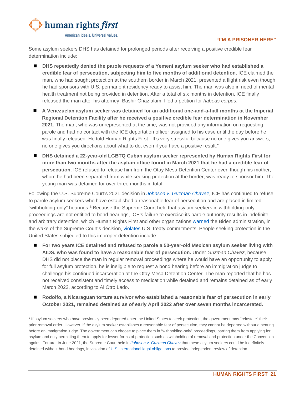

Some asylum seekers DHS has detained for prolonged periods after receiving a positive credible fear determination include:

- **DHS repeatedly denied the parole requests of a Yemeni asylum seeker who had established a credible fear of persecution, subjecting him to five months of additional detention.** ICE claimed the man, who had sought protection at the southern border in March 2021, presented a flight risk even though he had sponsors with U.S. permanent residency ready to assist him. The man was also in need of mental health treatment not being provided in detention. After a total of six months in detention, ICE finally released the man after his attorney, Bashir Ghazialam, filed a petition for *habeas corpus*.
- **A Venezuelan asylum seeker was detained for an additional one-and-a-half months at the Imperial Regional Detention Facility after he received a positive credible fear determination in November 2021.** The man, who was unrepresented at the time, was not provided any information on requesting parole and had no contact with the ICE deportation officer assigned to his case until the day before he was finally released. He told Human Rights First: "It's very stressful because no one gives you answers, no one gives you directions about what to do, even if you have a positive result."
- DHS detained a 22-year-old LGBTQ Cuban asylum seeker represented by Human Rights First for **more than two months after the asylum office found in March 2021 that he had a credible fear of persecution.** ICE refused to release him from the Otay Mesa Detention Center even though his mother, whom he had been separated from while seeking protection at the border, was ready to sponsor him. The young man was detained for over three months in total.

Following the U.S. Supreme Court's 2021 decision in *[Johnson v. Guzman Chavez](https://www.supremecourt.gov/opinions/20pdf/19-897_c07d.pdf)*, ICE has continued to refuse to parole asylum seekers who have established a reasonable fear of persecution and are placed in limited "withholding-only" hearings.<sup>[6](#page-22-0)</sup> Because the Supreme Court held that asylum seekers in withholding-only proceedings are not entitled to bond hearings, ICE's failure to exercise its parole authority results in indefinite and arbitrary detention, which Human Rights First and other organizations [warned](https://www.humanrightsfirst.org/resource/letter-dhs-prolonged-detention-asylum-seekers-following-guzman-chavez-ruling) the Biden administration, in the wake of the Supreme Court's decision, [violates](https://www.humanrightsfirst.org/resource/amicus-brief-pham-v-guzman-chavez) U.S. treaty commitments. People seeking protection in the United States subjected to this improper detention include:

- For two years ICE detained and refused to parole a 50-year-old Mexican asylum seeker living with **AIDS, who was found to have a reasonable fear of persecution.** Under *Guzman Chavez*, because DHS did not place the man in regular removal proceedings where he would have an opportunity to apply for full asylum protection, he is ineligible to request a bond hearing before an immigration judge to challenge his continued incarceration at the Otay Mesa Detention Center. The man reported that he has not received consistent and timely access to medication while detained and remains detained as of early March 2022, according to Al Otro Lado.
- Rodolfo, a Nicaraguan torture survivor who established a reasonable fear of persecution in early **October 2021, remained detained as of early April 2022 after over seven months incarcerated.**

<span id="page-22-0"></span><sup>&</sup>lt;sup>6</sup> If asylum seekers who have previously been deported enter the United States to seek protection, the government may "reinstate" their prior removal order. However, if the asylum seeker establishes a reasonable fear of persecution, they cannot be deported without a hearing before an immigration judge. The government can choose to place them in "withholding-only" proceedings, barring them from applying for asylum and only permitting them to apply for lesser forms of protection such as withholding of removal and protection under the Convention against Torture. In June 2021, the Supreme Court held in *[Johnson v. Guzman Chavez](https://www.supremecourt.gov/opinions/20pdf/19-897_c07d.pdf)* that these asylum seekers could be indefinitely detained without bond hearings, in violation o[f U.S. international legal obligations](https://www.humanrightsfirst.org/resource/amicus-brief-pham-v-guzman-chavez) to provide independent review of detention.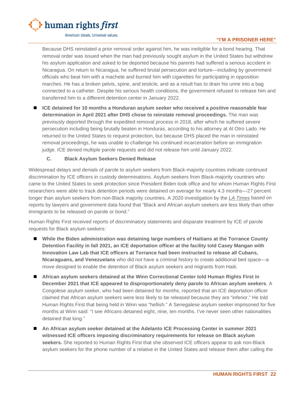

#### **"I'M A PRISONER HERE"**

Because DHS reinstated a prior removal order against him, he was ineligible for a bond hearing. That removal order was issued when the man had previously sought asylum in the United States but withdrew his asylum application and asked to be deported because his parents had suffered a serious accident in Nicaragua. On return to Nicaragua, he suffered brutal persecution and torture—including by government officials who beat him with a machete and burned him with cigarettes for participating in opposition marches. He has a broken pelvis, spine, and testicle, and as a result has to drain his urine into a bag connected to a catheter. Despite his serious health conditions, the government refused to release him and transferred him to a different detention center in January 2022.

 **ICE detained for 10 months a Honduran asylum seeker who received a positive reasonable fear determination in April 2021 after DHS chose to reinstate removal proceedings.** The man was previously deported through the expedited removal process in 2018, after which he suffered severe persecution including being brutally beaten in Honduras, according to his attorney at Al Otro Lado. He returned to the United States to request protection, but because DHS placed the man in reinstated removal proceedings, he was unable to challenge his continued incarceration before an immigration judge. ICE denied multiple parole requests and did not release him until January 2022.

#### **C. Black Asylum Seekers Denied Release**

<span id="page-23-0"></span>Widespread delays and denials of parole to asylum seekers from Black-majority countries indicate continued discrimination by ICE officers in custody determinations. Asylum seekers from Black-majority countries who came to the United States to seek protection since President Biden took office and for whom Human Rights First researchers were able to track detention periods were detained on average for nearly 4.3 months—27 percent longer than asylum seekers from non-Black majority countries. A 2020 investigation by the *[LA Times](https://www.latimes.com/politics/story/2020-11-27/black-asylym-seekers-trump-officials-push-deportations)* based on reports by lawyers and government data found that "Black and African asylum seekers are less likely than other immigrants to be released on parole or bond."

Human Rights First received reports of discriminatory statements and disparate treatment by ICE of parole requests for Black asylum seekers:

- **While the Biden administration was detaining large numbers of Haitians at the Torrance County Detention Facility in fall 2021, an ICE deportation officer at the facility told Casey Mangan with Innovation Law Lab that ICE officers at Torrance had been instructed to release all Cubans, Nicaraguans, and Venezuelans** who did not have a criminal history to create additional bed space—a move designed to enable the detention of Black asylum seekers and migrants from Haiti.
- **African asylum seekers detained at the Winn Correctional Center told Human Rights First in December 2021 that ICE appeared to disproportionately deny parole to African asylum seekers**. A Congolese asylum seeker, who had been detained for months, reported that an ICE deportation officer claimed that African asylum seekers were less likely to be released because they are "inferior." He told Human Rights First that being held in Winn was "hellish." A Senegalese asylum seeker imprisoned for five months at Winn said: "I see Africans detained eight, nine, ten months. I've never seen other nationalities detained that long."
- An African asylum seeker detained at the Adelanto ICE Processing Center in summer 2021 **witnessed ICE officers imposing discriminatory requirements for release on Black asylum seekers.** She reported to Human Rights First that she observed ICE officers appear to ask non-Black asylum seekers for the phone number of a relative in the United States and release them after calling the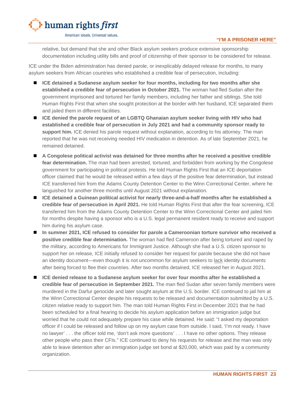

#### **"I'M A PRISONER HERE"**

relative, but demand that she and other Black asylum seekers produce extensive sponsorship documentation including utility bills and proof of citizenship of their sponsor to be considered for release.

ICE under the Biden administration has denied parole, or inexplicably delayed release for months, to many asylum seekers from African countries who established a credible fear of persecution, including:

- **ICE detained a Sudanese asylum seeker for four months, including for two months after she established a credible fear of persecution in October 2021.** The woman had fled Sudan after the government imprisoned and tortured her family members, including her father and siblings. She told Human Rights First that when she sought protection at the border with her husband, ICE separated them and jailed them in different facilities.
- **ICE denied the parole request of an LGBTQ Ghanaian asylum seeker living with HIV who had established a credible fear of persecution in July 2021 and had a community sponsor ready to support him.** ICE denied his parole request without explanation, according to his attorney. The man reported that he was not receiving needed HIV medication in detention. As of late September 2021, he remained detained.
- **A Congolese political activist was detained for three months after he received a positive credible fear determination.** The man had been arrested, tortured, and forbidden from working by the Congolese government for participating in political protests. He told Human Rights First that an ICE deportation officer claimed that he would be released within a few days of the positive fear determination, but instead ICE transferred him from the Adams County Detention Center to the Winn Correctional Center, where he languished for another three months until August 2021 without explanation.
- **ICE detained a Guinean political activist for nearly three-and-a-half months after he established a credible fear of persecution in April 2021.** He told Human Rights First that after the fear screening, ICE transferred him from the Adams County Detention Center to the Winn Correctional Center and jailed him for months despite having a sponsor who is a U.S. legal permanent resident ready to receive and support him during his asylum case.
- **In summer 2021, ICE refused to consider for parole a Cameroonian torture survivor who received a positive credible fear determination.** The woman had fled Cameroon after being tortured and raped by the military, according to Americans for Immigrant Justice. Although she had a U.S. citizen sponsor to support her on release, ICE initially refused to consider her request for parole because she did not have an identity document—even though it is not uncommon for asylum seekers to [lack](https://www.unhcr.org/en-us/excom/scip/3ae68cce4/identity-documents-refugees.html) identity documents after being forced to flee their countries. After two months detained, ICE released her in August 2021.
- **ICE denied release to a Sudanese asylum seeker for over four months after he established a credible fear of persecution in September 2021.** The man fled Sudan after seven family members were murdered in the Darfur genocide and later sought asylum at the U.S. border. ICE continued to jail him at the Winn Correctional Center despite his requests to be released and documentation submitted by a U.S. citizen relative ready to support him. The man told Human Rights First in December 2021 that he had been scheduled for a final hearing to decide his asylum application before an immigration judge but worried that he could not adequately prepare his case while detained. He said: "I asked my deportation officer if I could be released and follow up on my asylum case from outside. I said, 'I'm not ready. I have no lawyer' . . . the officer told me, 'don't ask more questions' . . . I have no other options. They release other people who pass their CFIs." ICE continued to deny his requests for release and the man was only able to leave detention after an immigration judge set bond at \$20,000, which was paid by a community organization.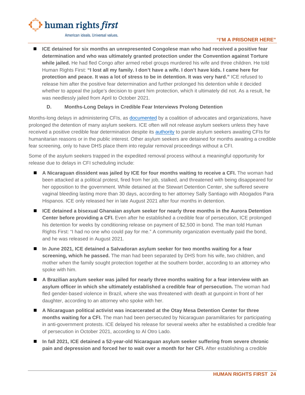

#### **"I'M A PRISONER HERE"**

 **ICE detained for six months an unrepresented Congolese man who had received a positive fear determination and who was ultimately granted protection under the Convention against Torture while jailed.** He had fled Congo after armed rebel groups murdered his wife and three children. He told Human Rights First: **"I lost all my family. I don't have a wife. I don't have kids. I came here for protection and peace. It was a lot of stress to be in detention. It was very hard."** ICE refused to release him after the positive fear determination and further prolonged his detention while it decided whether to appeal the judge's decision to grant him protection, which it ultimately did not. As a result, he was needlessly jailed from April to October 2021.

#### **D. Months-Long Delays in Credible Fear Interviews Prolong Detention**

<span id="page-25-0"></span>Months-long delays in administering CFIs, as [documented](https://www.splcenter.org/sites/default/files/detained_asylum_seeker_grievance_letter_30_june_2021.pdf) by a coalition of advocates and organizations, have prolonged the detention of many asylum seekers. ICE often will not release asylum seekers unless they have received a positive credible fear determination despite its [authority](https://uscode.house.gov/view.xhtml?req=granuleid:USC-prelim-title8-section1182&num=0&edition=prelim) to parole asylum seekers awaiting CFIs for humanitarian reasons or in the public interest. Other asylum seekers are detained for months awaiting a credible fear screening, only to have DHS place them into regular removal proceedings without a CFI.

Some of the asylum seekers trapped in the expedited removal process without a meaningful opportunity for release due to delays in CFI scheduling include:

- **A Nicaraguan dissident was jailed by ICE for four months waiting to receive a CFI.** The woman had been attacked at a political protest, fired from her job, stalked, and threatened with being disappeared for her opposition to the government. While detained at the Stewart Detention Center, she suffered severe vaginal bleeding lasting more than 30 days, according to her attorney Sally Santiago with Abogados Para Hispanos. ICE only released her in late August 2021 after four months in detention.
- **ICE detained a bisexual Ghanaian asylum seeker for nearly three months in the Aurora Detention Center before providing a CFI.** Even after he established a credible fear of persecution, ICE prolonged his detention for weeks by conditioning release on payment of \$2,500 in bond. The man told Human Rights First: "I had no one who could pay for me." A community organization eventually paid the bond, and he was released in August 2021.
- In June 2021, ICE detained a Salvadoran asylum seeker for two months waiting for a fear **screening, which he passed.** The man had been separated by DHS from his wife, two children, and mother when the family sought protection together at the southern border, according to an attorney who spoke with him.
- **A Brazilian asylum seeker was jailed for nearly three months waiting for a fear interview with an asylum officer in which she ultimately established a credible fear of persecution.** The woman had fled gender-based violence in Brazil, where she was threatened with death at gunpoint in front of her daughter, according to an attorney who spoke with her.
- **A Nicaraguan political activist was incarcerated at the Otay Mesa Detention Center for three months waiting for a CFI.** The man had been persecuted by Nicaraguan paramilitaries for participating in anti-government protests. ICE delayed his release for several weeks after he established a credible fear of persecution in October 2021, according to Al Otro Lado.
- **In fall 2021, ICE detained a 52-year-old Nicaraguan asylum seeker suffering from severe chronic pain and depression and forced her to wait over a month for her CFI.** After establishing a credible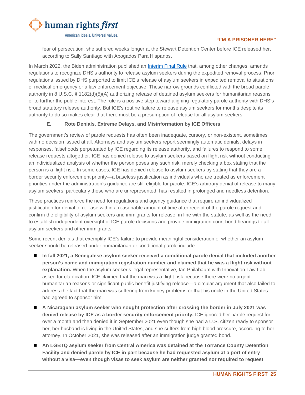

fear of persecution, she suffered weeks longer at the Stewart Detention Center before ICE released her, according to Sally Santiago with Abogados Para Hispanos.

In March 2022, the Biden administration published an *[Interim Final Rule](https://www.federalregister.gov/documents/2022/03/29/2022-06148/procedures-for-credible-fear-screening-and-consideration-of-asylum-withholding-of-removal-and-cat) that*, among other changes, amends regulations to recognize DHS's authority to release asylum seekers during the expedited removal process. Prior regulations issued by DHS purported to limit ICE's release of asylum seekers in expedited removal to situations of medical emergency or a law enforcement objective. These narrow grounds conflicted with the broad parole authority in 8 U.S.C. § 1182(d)(5)(A) authorizing release of detained asylum seekers for humanitarian reasons or to further the public interest. The rule is a positive step toward aligning regulatory parole authority with DHS's broad statutory release authority. But ICE's routine failure to release asylum seekers for months despite its authority to do so makes clear that there must be a presumption of release for all asylum seekers.

#### **E. Rote Denials, Extreme Delays, and Misinformation by ICE Officers**

<span id="page-26-0"></span>The government's review of parole requests has often been inadequate, cursory, or non-existent, sometimes with no decision issued at all. Attorneys and asylum seekers report seemingly automatic denials, delays in responses, falsehoods perpetuated by ICE regarding its release authority, and failures to respond to some release requests altogether. ICE has denied release to asylum seekers based on flight risk without conducting an individualized analysis of whether the person poses any such risk, merely checking a box stating that the person is a flight risk. In some cases, ICE has denied release to asylum seekers by stating that they are a border security enforcement priority—a baseless justification as individuals who are treated as enforcement priorities under the administration's guidance are still eligible for parole. ICE's arbitrary denial of release to many asylum seekers, particularly those who are unrepresented, has resulted in prolonged and needless detention.

These practices reinforce the need for regulations and agency guidance that require an individualized justification for denial of release within a reasonable amount of time after receipt of the parole request and confirm the eligibility of asylum seekers and immigrants for release, in line with the statute, as well as the need to establish independent oversight of ICE parole decisions and provide immigration court bond hearings to all asylum seekers and other immigrants.

Some recent denials that exemplify ICE's failure to provide meaningful consideration of whether an asylum seeker should be released under humanitarian or conditional parole include:

- **In fall 2021, a Senegalese asylum seeker received a conditional parole denial that included another person's name and immigration registration number and claimed that he was a flight risk without explanation.** When the asylum seeker's legal representative, Ian Philabaum with Innovation Law Lab, asked for clarification, ICE claimed that the man was a flight risk because there were no urgent humanitarian reasons or significant public benefit justifying release—a circular argument that also failed to address the fact that the man was suffering from kidney problems or that his uncle in the United States had agreed to sponsor him.
- **A Nicaraguan asylum seeker who sought protection after crossing the border in July 2021 was denied release by ICE as a border security enforcement priority.** ICE ignored her parole request for over a month and then denied it in September 2021 even though she had a U.S. citizen ready to sponsor her, her husband is living in the United States, and she suffers from high blood pressure, according to her attorney. In October 2021, she was released after an immigration judge granted bond.
- An LGBTQ asylum seeker from Central America was detained at the Torrance County Detention **Facility and denied parole by ICE in part because he had requested asylum at a port of entry without a visa—even though visas to seek asylum are neither granted nor required to request**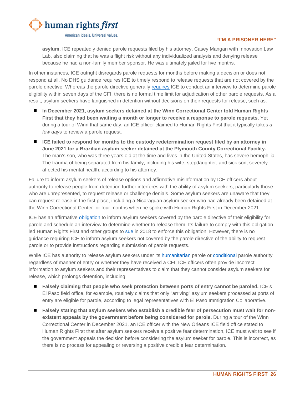

#### **"I'M A PRISONER HERE"**

**asylum.** ICE repeatedly denied parole requests filed by his attorney, Casey Mangan with Innovation Law Lab, also claiming that he was a flight risk without any individualized analysis and denying release because he had a non-family member sponsor. He was ultimately jailed for five months.

In other instances, ICE outright disregards parole requests for months before making a decision or does not respond at all. No DHS guidance requires ICE to timely respond to release requests that are not covered by the parole directive. Whereas the parole directive generally [requires](https://www.ice.gov/doclib/dro/pdf/11002.1-hd-parole_of_arriving_aliens_found_credible_fear.pdf) ICE to conduct an interview to determine parole eligibility within seven days of the CFI, there is no formal time limit for adjudication of other parole requests. As a result, asylum seekers have languished in detention without decisions on their requests for release, such as:

- **In December 2021, asylum seekers detained at the Winn Correctional Center told Human Rights First that they had been waiting a month or longer to receive a response to parole requests.** Yet during a tour of Winn that same day, an ICE officer claimed to Human Rights First that it typically takes *a few days* to review a parole request.
- **ICE failed to respond for months to the custody redetermination request filed by an attorney in June 2021 for a Brazilian asylum seeker detained at the Plymouth County Correctional Facility.**  The man's son, who was three years old at the time and lives in the United States, has severe hemophilia. The trauma of being separated from his family, including his wife, stepdaughter, and sick son, severely affected his mental health, according to his attorney.

Failure to inform asylum seekers of release options and affirmative misinformation by ICE officers about authority to release people from detention further interferes with the ability of asylum seekers, particularly those who are unrepresented, to request release or challenge denials. Some asylum seekers are unaware that they can request release in the first place, including a Nicaraguan asylum seeker who had already been detained at the Winn Correctional Center for four months when he spoke with Human Rights First in December 2021.

ICE has an affirmative [obligation](https://www.ice.gov/doclib/dro/pdf/11002.1-hd-parole_of_arriving_aliens_found_credible_fear.pdf) to inform asylum seekers covered by the parole directive of their eligibility for parole and schedule an interview to determine whether to release them. Its failure to comply with this obligation led Human Rights First and other groups to [sue](https://www.humanrightsfirst.org/sites/default/files/parole_litigation_Mar15.pdf) in 2018 to enforce this obligation. However, there is no guidance requiring ICE to inform asylum seekers not covered by the parole directive of the ability to request parole or to provide instructions regarding submission of parole requests.

While ICE has authority to release asylum seekers under its [humanitarian](https://uscode.house.gov/view.xhtml?req=granuleid:USC-prelim-title8-section1182&num=0&edition=prelim) parole or [conditional](https://uscode.house.gov/view.xhtml?req=granuleid:USC-prelim-title8-section1226&num=0&edition=prelim) parole authority regardless of manner of entry or whether they have received a CFI, ICE officers often provide incorrect information to asylum seekers and their representatives to claim that they cannot consider asylum seekers for release, which prolongs detention, including:

- **Falsely claiming that people who seek protection between ports of entry cannot be paroled.** ICE's El Paso field office, for example, routinely claims that only "arriving" asylum seekers processed at ports of entry are eligible for parole, according to legal representatives with El Paso Immigration Collaborative.
- **Falsely stating that asylum seekers who establish a credible fear of persecution must wait for nonexistent appeals by the government before being considered for parole.** During a tour of the Winn Correctional Center in December 2021, an ICE officer with the New Orleans ICE field office stated to Human Rights First that after asylum seekers receive a positive fear determination, ICE must wait to see if the government appeals the decision before considering the asylum seeker for parole. This is incorrect, as there is no process for appealing or reversing a positive credible fear determination.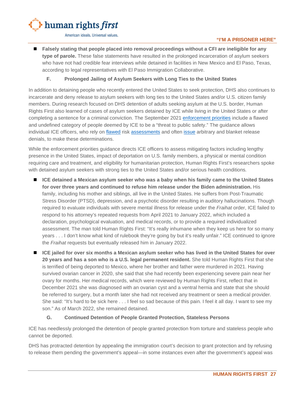

 **Falsely stating that people placed into removal proceedings without a CFI are ineligible for any type of parole.** These false statements have resulted in the prolonged incarceration of asylum seekers who have not had credible fear interviews while detained in facilities in New Mexico and El Paso, Texas, according to legal representatives with El Paso Immigration Collaborative.

#### **F. Prolonged Jailing of Asylum Seekers with Long Ties to the United States**

<span id="page-28-0"></span>In addition to detaining people who recently entered the United States to seek protection, DHS also continues to incarcerate and deny release to asylum seekers with long ties to the United States and/or U.S. citizen family members. During research focused on DHS detention of adults seeking asylum at the U.S. border, Human Rights First also learned of cases of asylum seekers detained by ICE while living in the United States or after completing a sentence for a criminal conviction. The September 2021 [enforcement priorities](https://www.ice.gov/doclib/news/guidelines-civilimmigrationlaw.pdf) include a flawed and undefined category of people deemed by ICE to be a "threat to public safety." The guidance allows individual ICE officers, who rely on [flawed](https://www.oig.dhs.gov/assets/Mgmt/2015/OIG_15-22_Feb15.pdf) risk [assessments](https://theintercept.com/2020/03/02/ice-algorithm-bias-detention-aclu-lawsuit/) and often [issue](https://www.humanrightsfirst.org/sites/default/files/FOIARecordsParoleFINAL.pdf) arbitrary and blanket release denials, to make these determinations.

While the enforcement priorities guidance directs ICE officers to assess mitigating factors including lengthy presence in the United States, impact of deportation on U.S. family members, a physical or mental condition requiring care and treatment, and eligibility for humanitarian protection, Human Rights First's researchers spoke with detained asylum seekers with strong ties to the United States and/or serious health conditions*.* 

- ICE detained a Mexican asylum seeker who was a baby when his family came to the United States **for over three years and continued to refuse him release under the Biden administration.** His family, including his mother and siblings, all live in the United States. He suffers from Post-Traumatic Stress Disorder (PTSD), depression, and a psychotic disorder resulting in auditory hallucinations. Though required to evaluate individuals with severe mental illness for release under the *Fraihat* order, ICE failed to respond to his attorney's repeated requests from April 2021 to January 2022, which included a declaration, psychological evaluation, and medical records, or to provide a required individualized assessment. The man told Human Rights First: "It's really inhumane when they keep us here for so many years . . . I don't know what kind of rulebook they're going by but it's really unfair." ICE continued to ignore the *Fraihat* requests but eventually released him in January 2022.
- **ICE jailed for over six months a Mexican asylum seeker who has lived in the United States for over 20 years and has a son who is a U.S. legal permanent resident.** She told Human Rights First that she is terrified of being deported to Mexico, where her brother and father were murdered in 2021. Having survived ovarian cancer in 2020, she said that she had recently been experiencing severe pain near her ovary for months. Her medical records, which were reviewed by Human Rights First, reflect that in December 2021 she was diagnosed with an ovarian cyst and a ventral hernia and state that she should be referred to surgery, but a month later she had not received any treatment or seen a medical provider. She said: "It's hard to be sick here . . . I feel so sad because of this pain. I feel it all day. I want to see my son." As of March 2022, she remained detained.

#### **G. Continued Detention of People Granted Protection, Stateless Persons**

<span id="page-28-1"></span>ICE has needlessly prolonged the detention of people granted protection from torture and stateless people who cannot be deported.

DHS has protracted detention by appealing the immigration court's decision to grant protection and by refusing to release them pending the government's appeal—in some instances even after the government's appeal was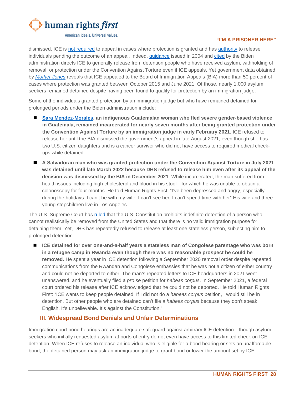

#### **"I'M A PRISONER HERE"**

dismissed. ICE is [not required](https://www.ice.gov/doclib/about/offices/opla/OPLA-immigration-enforcement_interim-guidance.pdf) to appeal in cases where protection is granted and has [authority](https://www.law.cornell.edu/uscode/text/8/1226) to release individuals pending the outcome of an appeal. Indeed, [guidance](https://www.prisonlegalnews.org/news/publications/ice-memo-detention-policy-where-immigration-judge-has-granted-asylum-and-ice-has-appealed-2004/) issued in 2004 and [cited](https://www.ice.gov/doclib/about/offices/opla/OPLA-immigration-enforcement_guidanceApr2022.pdf) by the Biden administration directs ICE to generally release from detention people who have received asylum, withholding of removal, or protection under the Convention Against Torture even if ICE appeals. Yet government data obtained by *[Mother Jones](https://www.motherjones.com/politics/2021/10/even-if-you-win-you-stay-locked-up-how-ice-uses-appeals-to-keep-immigrants-in-detention/?utm_source=twitter&utm_campaign=naytev&utm_medium=social)* reveals that ICE appealed to the Board of Immigration Appeals (BIA) more than 50 percent of cases where protection was granted between October 2015 and June 2021. Of those, nearly 1,000 asylum seekers remained detained despite having been found to qualify for protection by an immigration judge.

Some of the individuals granted protection by an immigration judge but who have remained detained for prolonged periods under the Biden administration include:

- **[Sara Mendez-Morales,](https://www.motherjones.com/politics/2021/10/even-if-you-win-you-stay-locked-up-how-ice-uses-appeals-to-keep-immigrants-in-detention/?utm_source=twitter&utm_campaign=naytev&utm_medium=social) an indigenous Guatemalan woman who fled severe gender-based violence in Guatemala, remained incarcerated for nearly seven months after being granted protection under the Convention Against Torture by an immigration judge in early February 2021.** ICE refused to release her until the BIA dismissed the government's appeal in late August 2021, even though she has two U.S. citizen daughters and is a cancer survivor who did not have access to required medical checkups while detained.
- **A Salvadoran man who was granted protection under the Convention Against Torture in July 2021 was detained until late March 2022 because DHS refused to release him even after its appeal of the decision was dismissed by the BIA in December 2021**. While incarcerated, the man suffered from health issues including high cholesterol and blood in his stool—for which he was unable to obtain a colonoscopy for four months. He told Human Rights First: "I've been depressed and angry, especially during the holidays. I can't be with my wife. I can't see her. I can't spend time with her" His wife and three young stepchildren live in Los Angeles.

The U.S. Supreme Court has [ruled](https://supreme.justia.com/cases/federal/us/533/678/) that the U.S. Constitution prohibits indefinite detention of a person who cannot realistically be removed from the United States and that there is no valid immigration purpose for detaining them. Yet, DHS has repeatedly refused to release at least one stateless person, subjecting him to prolonged detention:

■ ICE detained for over one-and-a-half years a stateless man of Congolese parentage who was born **in a refugee camp in Rwanda even though there was no reasonable prospect he could be removed.** He spent a year in ICE detention following a September 2020 removal order despite repeated communications from the Rwandan and Congolese embassies that he was not a citizen of either country and could not be deported to either. The man's repeated letters to ICE headquarters in 2021 went unanswered, and he eventually filed a *pro se* petition for *habeas corpus*. In September 2021, a federal court ordered his release after ICE acknowledged that he could not be deported. He told Human Rights First: "ICE wants to keep people detained. If I did not do a *habeas corpus* petition, I would still be in detention. But other people who are detained can't file a *habeas corpus* because they don't speak English. It's unbelievable. It's against the Constitution."

## <span id="page-29-0"></span>**III. Widespread Bond Denials and Unfair Determinations**

Immigration court bond hearings are an inadequate safeguard against arbitrary ICE detention—though asylum seekers who initially requested asylum at ports of entry do not even have access to this limited check on ICE detention. When ICE refuses to release an individual who is eligible for a bond hearing or sets an unaffordable bond, the detained person may ask an immigration judge to grant bond or lower the amount set by ICE.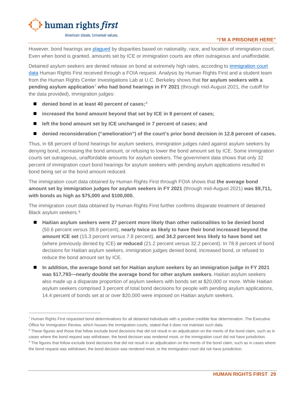

#### **"I'M A PRISONER HERE"**

However, bond hearings are [plagued](https://trac.syr.edu/immigration/reports/545/) by disparities based on nationality, race, and location of immigration court. Even when bond is granted, amounts set by ICE or immigration courts are often outrageous and unaffordable.

Detained asylum seekers are denied release on bond at extremely high rates, according to [immigration court](https://www.humanrightsfirst.org/sites/default/files/EOIR%20Bond%20Decisions%20in%20Response%20to%20HRF%20FOIA%20Request.pdf)  [data](https://www.humanrightsfirst.org/sites/default/files/EOIR%20Bond%20Decisions%20in%20Response%20to%20HRF%20FOIA%20Request.pdf) Human Rights First received through a FOIA request. Analysis by Human Rights First and a student team from the Human Rights Center Investigations Lab at U.C. Berkeley shows that **for asylum seekers with a pending asylum application**[7](#page-30-0) **who had bond hearings in FY 2021** (through mid-August 2021, the cutoff for the data provided), immigration judges:

- denied bond in at least 40 percent of cases;<sup>[8](#page-30-1)</sup>
- **increased the bond amount beyond that set by ICE in 8 percent of cases;**
- **left the bond amount set by ICE unchanged in 7 percent of cases; and**
- denied reconsideration ("amelioration") of the court's prior bond decision in 12.8 percent of cases.

Thus, in 68 percent of bond hearings for asylum seekers, immigration judges ruled against asylum seekers by denying bond, increasing the bond amount, or refusing to lower the bond amount set by ICE. Some immigration courts set outrageous, unaffordable amounts for asylum seekers. The government data shows that only 32 percent of immigration court bond hearings for asylum seekers with pending asylum applications resulted in bond being set or the bond amount reduced.

The immigration court data obtained by Human Rights First through FOIA shows that **the average bond amount set by immigration judges for asylum seekers in FY 2021** (through mid-August 2021) **was \$9,711, with bonds as high as \$75,000 and \$100,000.**

The immigration court data obtained by Human Rights First further confirms disparate treatment of detained Black asylum seekers.[9](#page-30-2)

- **Haitian asylum seekers were 27 percent more likely than other nationalities to be denied bond** (50.6 percent versus 39.8 percent), **nearly twice as likely to have their bond increased beyond the amount ICE set** (15.3 percent versus 7.8 percent), **and 34.2 percent less likely to have bond set**  (where previously denied by ICE) **or reduced** (21.2 percent versus 32.2 percent). In 78.8 percent of bond decisions for Haitian asylum seekers, immigration judges denied bond, increased bond, or refused to reduce the bond amount set by ICE.
- **In addition, the average bond set for Haitian asylum seekers by an immigration judge in FY 2021 was \$17,793—nearly double the average bond for other asylum seekers.** Haitian asylum seekers also made up a disparate proportion of asylum seekers with bonds set at \$20,000 or more. While Haitian asylum seekers comprised 3 percent of total bond decisions for people with pending asylum applications, 14.4 percent of bonds set at or over \$20,000 were imposed on Haitian asylum seekers.

<span id="page-30-0"></span> $<sup>7</sup>$  Human Rights First requested bond determinations for all detained individuals with a positive credible fear determination. The Executive</sup> Office for Immigration Review, which houses the immigration courts, stated that it does not maintain such data.

<span id="page-30-1"></span><sup>&</sup>lt;sup>8</sup> These figures and those that follow exclude bond decisions that did not result in an adjudication on the merits of the bond claim, such as in cases where the bond request was withdrawn, the bond decision was rendered moot, or the immigration court did not have jurisdiction.

<span id="page-30-2"></span><sup>&</sup>lt;sup>9</sup> The figures that follow exclude bond decisions that did not result in an adjudication on the merits of the bond claim, such as in cases where the bond request was withdrawn, the bond decision was rendered moot, or the immigration court did not have jurisdiction.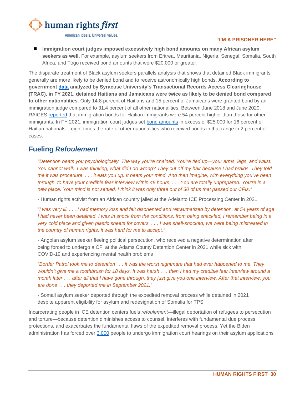

#### **"I'M A PRISONER HERE"**

■ Immigration court judges imposed excessively high bond amounts on many African asylum **seekers as well.** For example, asylum seekers from Eritrea, Mauritania, Nigeria, Senegal, Somalia, South Africa, and Togo received bond amounts that were \$20,000 or greater.

The disparate treatment of Black asylum seekers parallels analysis that shows that detained Black immigrants generally are more likely to be denied bond and to receive astronomically high bonds. **According to government [data](https://trac.syr.edu/phptools/immigration/bond/) analyzed by Syracuse University's Transactional Records Access Clearinghouse (TRAC), in FY 2021, detained Haitians and Jamaicans were twice as likely to be denied bond compared to other nationalities**. Only 14.8 percent of Haitians and 15 percent of Jamaicans were granted bond by an immigration judge compared to 31.4 percent of all other nationalities. Between June 2018 and June 2020, RAICES [reported](https://www.raicestexas.org/2020/07/22/black-immigrant-lives-are-under-attack/) that immigration bonds for Haitian immigrants were 54 percent higher than those for other immigrants. In FY 2021, immigration court judges set [bond amounts](https://trac.syr.edu/phptools/immigration/bond/) in excess of \$25,000 for 16 percent of Haitian nationals – eight times the rate of other nationalities who received bonds in that range in 2 percent of cases.

# <span id="page-31-0"></span>**Fueling** *Refoulement*

*"Detention beats you psychologically. The way you're chained. You're tied up—your arms, legs, and waist. You cannot walk. I was thinking, what did I do wrong? They cut off my hair because I had braids. They told me it was procedure. . . . it eats you up. It beats your mind. And then imagine, with everything you've been through, to have your credible fear interview within 48 hours. . . . You are totally unprepared. You're in a new place. Your mind is not settled. I think it was only three out of 30 of us that passed our CFIs."*

- Human rights activist from an African country jailed at the Adelanto ICE Processing Center in 2021

*"I was very ill. . . . I had memory loss and felt disoriented and retraumatized by detention, at 54 years of age I had never been detained. I was in shock from the conditions, from being shackled, I remember being in a very cold place and given plastic sheets for covers. . . . I was shell-shocked, we were being mistreated in the country of human rights, it was hard for me to accept."*

- Angolan asylum seeker fleeing political persecution, who received a negative determination after being forced to undergo a CFI at the Adams County Detention Center in 2021 while sick with COVID-19 and experiencing mental health problems

*"Border Patrol took me to detention . . . it was the worst nightmare that had ever happened to me. They wouldn't give me a toothbrush for 18 days. It was harsh . . . then I had my credible fear interview around a month later . . . after all that I have gone through, they just give you one interview. After that interview, you are done . . . they deported me in September 2021."*

- Somali asylum seeker deported through the expedited removal process while detained in 2021 despite apparent eligibility for asylum and redesignation of Somalia for TPS

Incarcerating people in ICE detention centers fuels *refoulement*—illegal deportation of refugees to persecution and torture—because detention diminishes access to counsel, interferes with fundamental due process protections, and exacerbates the fundamental flaws of the expedited removal process. Yet the Biden administration has forced over [3,000](https://trac.syr.edu/phptools/immigration/asylum/) people to undergo immigration court hearings on their asylum applications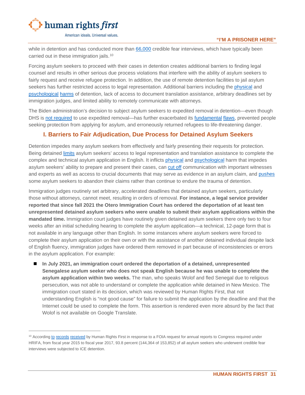

while in detention and has conducted more than [66,000](https://www.uscis.gov/tools/reports-and-studies/semi-monthly-credible-fear-and-reasonable-fear-receipts-and-decisions) credible fear interviews, which have typically been carried out in these immigration jails.<sup>[10](#page-32-1)</sup>

Forcing asylum seekers to proceed with their cases in detention creates additional barriers to finding legal counsel and results in other serious due process violations that interfere with the ability of asylum seekers to fairly request and receive refugee protection. In addition, the use of remote detention facilities to jail asylum seekers has further restricted access to legal representation. Additional barriers including the [physical](https://www.ncbi.nlm.nih.gov/pmc/articles/PMC7348446/) and [psychological](https://bmcpsychiatry.biomedcentral.com/articles/10.1186/s12888-018-1945-y) [harms](https://bmcpublichealth.biomedcentral.com/articles/10.1186/s12889-022-12967-7) of detention, lack of access to document translation assistance, arbitrary deadlines set by immigration judges, and limited ability to remotely communicate with attorneys.

The Biden administration's decision to subject asylum seekers to expedited removal in detention—even though DHS is [not required](https://www.justice.gov/sites/default/files/eoir/legacy/2014/07/25/3716.pdf) to use expedited removal—has further exacerbated its [fundamental](https://www.uscirf.gov/sites/default/files/Barriers%20To%20Protection.pdf) [flaws,](https://www.supremecourt.gov/DocketPDF/19/19-161/129461/20200122130104258_19-161%20bsac%20Immigration%20and%20Human%20Rights%20Organizations.pdf) prevented people seeking protection from applying for asylum, and erroneously returned refugees to life-threatening danger.

# <span id="page-32-0"></span>**I. Barriers to Fair Adjudication, Due Process for Detained Asylum Seekers**

Detention impedes many asylum seekers from effectively and fairly presenting their requests for protection. Being detained [limits](https://www.americanimmigrationcouncil.org/research/humane-approach-can-work-effectiveness-alternatives-detention-asylum-seekers) asylum seekers' access to legal representation and translation assistance to complete the complex and technical asylum application in English. It inflicts [physical](https://www.ncbi.nlm.nih.gov/pmc/articles/PMC7348446/) and [psychological](https://bmcpsychiatry.biomedcentral.com/articles/10.1186/s12888-018-1945-y) harm that impedes asylum seekers' ability to prepare and present their cases, can [cut off](https://ccis.ucsd.edu/_files/Publications/CutOff_HowICEBlocksCommunication.pdf) communication with important witnesses and experts as well as access to crucial documents that may serve as evidence in an asylum claim, and [pushes](https://www.reuters.com/article/us-health-coronavirus-usa-immigration-in/die-in-detention-or-at-home-u-s-pandemic-forces-cruel-choice-on-asylum-seekers-idUSKBN247145) some asylum seekers to abandon their claims rather than continue to endure the trauma of detention.

Immigration judges routinely set arbitrary, accelerated deadlines that detained asylum seekers, particularly those without attorneys, cannot meet, resulting in orders of removal. **For instance, a legal service provider reported that since fall 2021 the Otero Immigration Court has ordered the deportation of at least ten unrepresented detained asylum seekers who were unable to submit their asylum applications within the mandated time.** Immigration court judges have routinely given detained asylum seekers there only two to four weeks after an initial scheduling hearing to complete the asylum application—a technical, 12-page form that is not available in any language other than English. In some instances where asylum seekers were forced to complete their asylum application on their own or with the assistance of another detained individual despite lack of English fluency, immigration judges have ordered them removed in part because of inconsistencies or errors in the asylum application. For example:

 **In July 2021, an immigration court ordered the deportation of a detained, unrepresented Senegalese asylum seeker who does not speak English because he was unable to complete the asylum application within two weeks.** The man, who speaks Wolof and fled Senegal due to religious persecution, was not able to understand or complete the application while detained in New Mexico. The immigration court stated in its decision, which was reviewed by Human Rights First, that not understanding English is "not good cause" for failure to submit the application by the deadline and that the Internet could be used to complete the form. This assertion is rendered even more absurd by the fact that Wolof is not available on Google Translate.

<span id="page-32-1"></span><sup>&</sup>lt;sup>10</sup> Accordin[g to](https://www.humanrightsfirst.org/sites/default/files/HRIFA%20Report%20FY%202015.pdf) [records](https://www.humanrightsfirst.org/sites/default/files/HRIFA%20Report%20FY%202016.pdf) [received](https://www.humanrightsfirst.org/sites/default/files/HRIFA%20Report%20FY%202017.pdf) by Human Rights First in response to a FOIA request for annual reports to Congress required under HRIFA, from fiscal year 2015 to fiscal year 2017, 93.8 percent (144,364 of 153,852) of all asylum seekers who underwent credible fear interviews were subjected to ICE detention.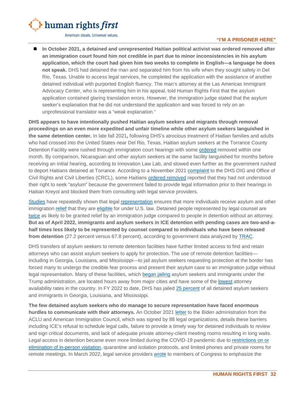

#### **"I'M A PRISONER HERE"**

■ In October 2021, a detained and unrepresented Haitian political activist was ordered removed after **an immigration court found him not credible in part due to minor inconsistencies in his asylum application, which the court had given him two weeks to complete in English—a language he does not speak.** DHS had detained the man and separated him from his wife when they sought safety in Del Rio, Texas. Unable to access legal services, he completed the application with the assistance of another detained individual with purported English fluency. The man's attorney at the Las Americas Immigrant Advocacy Center, who is representing him in his appeal, told Human Rights First that the asylum application contained glaring translation errors. However, the immigration judge stated that the asylum seeker's explanation that he did not understand the application and was forced to rely on an unprofessional translator was a "weak explanation."

**DHS appears to have intentionally pushed Haitian asylum seekers and migrants through removal proceedings on an even more expedited and unfair timeline while other asylum seekers languished in the same detention center.** In late fall 2021**,** following DHS's atrocious treatment of Haitian families and adults who had crossed into the United States near Del Rio, Texas, Haitian asylum seekers at the Torrance County Detention Facility were rushed through immigration court hearings with some [ordered](https://innovationlawlab.org/media/TorranceLetter_11.5.21.pdf) removed within one month. By comparison, Nicaraguan and other asylum seekers at the same facility languished for months before receiving an initial hearing, according to Innovation Law Lab, and slowed even further as the government rushed to deport Haitians detained at Torrance. According to a November 2021 [complaint](https://www.americanimmigrationcouncil.org/sites/default/files/research/compla1.pdf) to the DHS OIG and Office of Civil Rights and Civil Liberties (CRCL), some Haitians [ordered removed](https://innovationlawlab.org/media/TorranceLetter_11.5.21.pdf) reported that they had not understood their right to seek "asylum" because the government failed to provide legal information prior to their hearings in Haitian Kreyol and blocked them from consulting with legal service providers.

[Studies](https://www.vera.org/downloads/publications/why-does-representation-matter.pdf) have repeatedly shown that legal [representation](https://www.americanimmigrationcouncil.org/research/access-counsel-immigration-court) ensures that more individuals receive asylum and other immigration [relief](https://brooklynworks.brooklaw.edu/cgi/viewcontent.cgi?article=1551&context=faculty) that they are [eligible](https://www.vera.org/publications/new-york-immigrant-family-unity-project-evaluation) for under U.S. law. Detained people represented by legal counsel are [twice](https://www.americanimmigrationcouncil.org/research/access-counsel-immigration-court) as likely to be granted relief by an immigration judge compared to people in detention without an attorney. **But as of April 2022, immigrants and asylum seekers in ICE detention with pending cases are two-and-ahalf times less likely to be represented by counsel compared to individuals who have been released from detention** (27.2 percent versus 67.8 percent), according to government data analyzed by [TRAC.](https://trac.syr.edu/phptools/immigration/nta/)

DHS transfers of asylum seekers to remote detention facilities have further limited access to find and retain attorneys who can assist asylum seekers to apply for protection. The use of remote detention facilities including in Georgia, Louisiana, and Mississippi—to jail asylum seekers requesting protection at the border has forced many to undergo the credible fear process and present their asylum case to an immigration judge without legal representation. Many of these facilities, which [began jailing](https://www.aclu.org/letter/letter-dhs-secretary-mayorkas-regarding-ice-detention) asylum seekers and immigrants under the Trump administration, are located hours away from major cities and have some of the [lowest](https://www.aclu.org/report/justice-free-zones-us-immigration-detention-under-trump-administration) attorney availability rates in the country. In FY 2022 to date, DHS has jailed [25 percent](https://www.ice.gov/doclib/facilityInspections/dedicatedNonDedicatedFacilityList.xlsx) of all detained asylum seekers and immigrants in Georgia, Louisiana, and Mississippi.

**The few detained asylum seekers who do manage to secure representation have faced enormous hurdles to communicate with their attorneys.** An October 2021 [letter](https://www.aclu.org/letter/coalition-letter-dhs-and-ice-access-counsel-immigration-detention) to the Biden administration from the ACLU and American Immigration Council, which was signed by 88 legal organizations, details these barriers including ICE's refusal to schedule legal calls, failure to provide a timely way for detained individuals to review and sign critical documents, and lack of adequate private attorney-client meeting rooms resulting in long waits. Legal access in detention became even more limited during the COVID-19 pandemic due to [restrictions on or](https://www.aclu.org/letter/coalition-letter-dhs-and-ice-access-counsel-immigration-detention)  [elimination of in-person visitation,](https://www.aclu.org/letter/coalition-letter-dhs-and-ice-access-counsel-immigration-detention) quarantine and isolation protocols, and limited phones and private rooms for remote meetings. In March 2022, legal service providers [wrote](https://immigrantjustice.org/sites/default/files/content-type/commentary-item/documents/2022-03/NGO-Rebuttal-to-ICE-Legal-Access-Report-March-22-2022.pdf) to members of Congress to emphasize the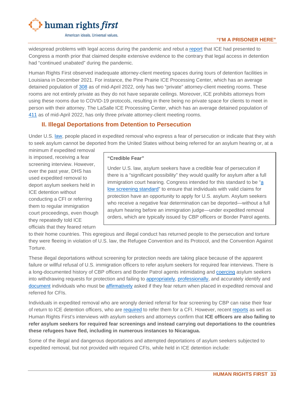

#### **"I'M A PRISONER HERE"**

widespread problems with legal access during the pandemic and rebut a [report](https://immigrantjustice.org/sites/default/files/content-type/commentary-item/documents/2022-03/ICE-Access-to-Due-Process.pdf) that ICE had presented to Congress a month prior that claimed despite extensive evidence to the contrary that legal access in detention had "continued unabated" during the pandemic.

Human Rights First observed inadequate attorney-client meeting spaces during tours of detention facilities in Louisiana in December 2021. For instance, the Pine Prairie ICE Processing Center, which has an average detained population of [308](https://www.ice.gov/detain/detention-management) as of mid-April 2022, only has two "private" attorney-client meeting rooms. These rooms are not entirely private as they do not have separate ceilings. Moreover, ICE prohibits attorneys from using these rooms due to COVID-19 protocols, resulting in there being no private space for clients to meet in person with their attorney. The LaSalle ICE Processing Center, which has an average detained population of [411](https://www.ice.gov/detain/detention-management) as of mid-April 2022, has only three private attorney-client meeting rooms.

# <span id="page-34-0"></span>**II. Illegal Deportations from Detention to Persecution**

Under U.S. [law,](https://uscode.house.gov/view.xhtml?req=granuleid:USC-prelim-title8-section1225&num=0&edition=prelim) people placed in expedited removal who express a fear of persecution or indicate that they wish to seek asylum cannot be deported from the United States without being referred for an asylum hearing or, at a

minimum if expedited removal is imposed, receiving a fear screening interview. However, over the past year, DHS has used expedited removal to deport asylum seekers held in ICE detention without conducting a CFI or referring them to regular immigration court proceedings, even though they repeatedly told ICE officials that they feared return

#### **"Credible Fear"**

Under U.S. law, asylum seekers have a credible fear of persecution if there is a "significant possibility" they would qualify for asylum after a full immigration court hearing. Congress intended for this standard to be ["a](https://www.govinfo.gov/content/pkg/CREC-1996-09-27/html/CREC-1996-09-27-pt1-PgS11491-2.htm)  [low screening standard"](https://www.govinfo.gov/content/pkg/CREC-1996-09-27/html/CREC-1996-09-27-pt1-PgS11491-2.htm) to ensure that individuals with valid claims for protection have an opportunity to apply for U.S. asylum. Asylum seekers who receive a negative fear determination can be deported—without a full asylum hearing before an immigration judge—under expedited removal orders, which are typically issued by CBP officers or Border Patrol agents.

to their home countries. This egregious and illegal conduct has returned people to the persecution and torture they were fleeing in violation of U.S. law, the Refugee Convention and its Protocol, and the Convention Against Torture.

These illegal deportations without screening for protection needs are taking place because of the apparent failure or willful refusal of U.S. immigration officers to refer asylum seekers for required fear interviews. There is a long-documented history of CBP officers and Border Patrol agents intimidating and [coercing](https://www.uscirf.gov/sites/default/files/Barriers%20To%20Protection.pdf) asylum seekers into withdrawing requests for protection and failing to [appropriately,](https://www.americanimmigrationcouncil.org/sites/default/files/research/deportations_in_the_dark.pdf) [professionally,](https://www.amnestyusa.org/wp-content/uploads/2017/06/USA-Mexico-Facing-Walls-REPORT-ENG.pdf) and accurately identify and [document](https://theintercept.com/2019/08/11/border-patrol-asylum-claim/) individuals who must be [affirmatively](https://www.law.cornell.edu/cfr/text/8/235.3) asked if they fear return when placed in expedited removal and referred for CFIs.

Individuals in expedited removal who are wrongly denied referral for fear screening by CBP can raise their fear of return to ICE detention officers, who are [required](https://www.law.cornell.edu/cfr/text/8/208.30) to refer them for a CFI. However, recent [reports](https://www.nbcnews.com/news/latino/immigration-officials-new-orleans-accused-illegally-deporting-asylum-s-rcna13714) as well as Human Rights First's interviews with asylum seekers and attorneys confirm that **ICE officers are also failing to refer asylum seekers for required fear screenings and instead carrying out deportations to the countries these refugees have fled, including in numerous instances to Nicaragua.**

Some of the illegal and dangerous deportations and attempted deportations of asylum seekers subjected to expedited removal, but not provided with required CFIs, while held in ICE detention include: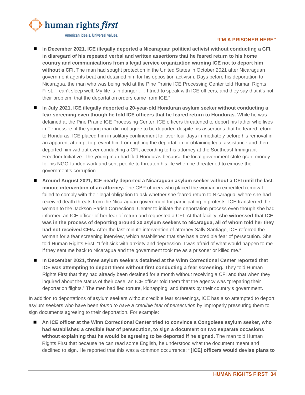

#### **"I'M A PRISONER HERE"**

- In December 2021, ICE illegally deported a Nicaraguan political activist without conducting a CFI, **in disregard of his repeated verbal and written assertions that he feared return to his home country and communications from a legal service organization warning ICE not to deport him without a CFI.** The man had sought protection in the United States in October 2021 after Nicaraguan government agents beat and detained him for his opposition activism. Days before his deportation to Nicaragua, the man who was being held at the Pine Prairie ICE Processing Center told Human Rights First: "I can't sleep well. My life is in danger . . . I tried to speak with ICE officers, and they say that it's not their problem, that the deportation orders came from ICE."
- In July 2021, ICE illegally deported a 20-year-old Honduran asylum seeker without conducting a **fear screening even though he told ICE officers that he feared return to Honduras.** While he was detained at the Pine Prairie ICE Processing Center, ICE officers threatened to deport his father who lives in Tennessee, if the young man did not agree to be deported despite his assertions that he feared return to Honduras. ICE placed him in solitary confinement for over four days immediately before his removal in an apparent attempt to prevent him from fighting the deportation or obtaining legal assistance and then deported him without ever conducting a CFI, according to his attorney at the Southeast Immigrant Freedom Initiative. The young man had fled Honduras because the local government stole grant money for his NGO-funded work and sent people to threaten his life when he threatened to expose the government's corruption.
- **Around August 2021, ICE nearly deported a Nicaraguan asylum seeker without a CFI until the lastminute intervention of an attorney.** The CBP officers who placed the woman in expedited removal failed to comply with their legal obligation to ask whether she feared return to Nicaragua, where she had received death threats from the Nicaraguan government for participating in protests. ICE transferred the woman to the Jackson Parish Correctional Center to initiate the deportation process even though she had informed an ICE officer of her fear of return and requested a CFI. At that facility, **she witnessed that ICE was in the process of deporting around 30 asylum seekers to Nicaragua, all of whom told her they had not received CFIs.** After the last-minute intervention of attorney Sally Santiago, ICE referred the woman for a fear screening interview, which established that she has a credible fear of persecution. She told Human Rights First: "I felt sick with anxiety and depression. I was afraid of what would happen to me if they sent me back to Nicaragua and the government took me as a prisoner or killed me."
- **In December 2021, three asylum seekers detained at the Winn Correctional Center reported that ICE was attempting to deport them without first conducting a fear screening.** They told Human Rights First that they had already been detained for a month without receiving a CFI and that when they inquired about the status of their case, an ICE officer told them that the agency was "preparing their deportation flights." The men had fled torture, kidnapping, and threats by their country's government.

In addition to deportations of asylum seekers without credible fear screenings, ICE has also attempted to deport asylum seekers who have been *found to have a credible fear of persecution* by improperly pressuring them to sign documents agreeing to their deportation. For example:

 **An ICE officer at the Winn Correctional Center tried to convince a Congolese asylum seeker, who had established a credible fear of persecution, to sign a document on two separate occasions without explaining that he would be agreeing to be deported if he signed.** The man told Human Rights First that because he can read some English, he understood what the document meant and declined to sign. He reported that this was a common occurrence: **"[ICE] officers would devise plans to**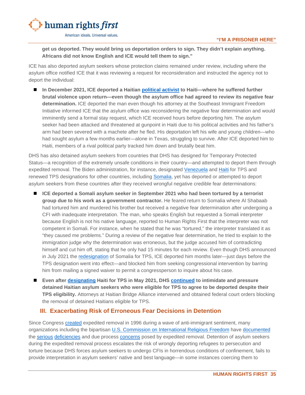**get us deported. They would bring us deportation orders to sign. They didn't explain anything. Africans did not know English and ICE would tell them to sign."**

ICE has also deported asylum seekers whose protection claims remained under review, including where the asylum office notified ICE that it was reviewing a request for reconsideration and instructed the agency not to deport the individual:

■ In December 2021, ICE deported a Haitian [political activist](https://truthout.org/articles/a-persecuted-father-deported-to-haiti-fights-to-reunite-with-his-family-in-us/) to Haiti—where he suffered further **brutal violence upon return—even though the asylum office had agreed to review its negative fear determination.** ICE deported the man even though his attorney at the Southeast Immigrant Freedom Initiative informed ICE that the asylum office was reconsidering the negative fear determination and would imminently send a formal stay request, which ICE received hours before deporting him. The asylum seeker had been attacked and threatened at gunpoint in Haiti due to his political activities and his father's arm had been severed with a machete after he fled. His deportation left his wife and young children—who had sought asylum a few months earlier—alone in Texas, struggling to survive. After ICE deported him to Haiti, members of a rival political party tracked him down and brutally beat him.

DHS has also detained asylum seekers from countries that DHS has designed for Temporary Protected Status—a recognition of the extremely unsafe conditions in their country—and attempted to deport them through expedited removal. The Biden administration, for instance, designated [Venezuela](https://www.federalregister.gov/documents/2021/03/09/2021-04951/designation-of-venezuela-for-temporary-protected-status-and-implementation-of-employment) and [Haiti](https://www.federalregister.gov/documents/2021/08/03/2021-16481/designation-of-haiti-for-temporary-protected-status) for TPS and renewed TPS designations for other countries, including [Somalia,](https://www.uscis.gov/news/news-releases/dhs-announces-extension-and-redesignation-of-somalia-for-temporary-protected-status#:%7E:text=The%20redesignation%20of%20Somalia%20for,the%20United%20States%20since%20Sept.) yet has deported or attempted to deport asylum seekers from these countries after they received wrongful negative credible fear determinations:

- **ICE deported a Somali asylum seeker in September 2021 who had been tortured by a terrorist group due to his work as a government contractor.** He feared return to Somalia where Al Shabaab had tortured him and murdered his brother but received a negative fear determination after undergoing a CFI with inadequate interpretation. The man, who speaks English but requested a Somali interpreter because English is not his native language, reported to Human Rights First that the interpreter was not competent in Somali. For instance, when he stated that he was "tortured," the interpreter translated it as "they caused me problems." During a review of the negative fear determination, he tried to explain to the immigration judge why the determination was erroneous, but the judge accused him of contradicting himself and cut him off, stating that he only had 15 minutes for each review. Even though DHS announced in July 2021 the [redesignation](https://www.federalregister.gov/documents/2021/07/22/2021-15595/extension-and-redesignation-of-somalia-for-temporary-protected-status) of Somalia for TPS, ICE deported him months later—just days before the TPS designation went into effect—and blocked him from seeking congressional intervention by barring him from mailing a signed waiver to permit a congressperson to inquire about his case.
- **Even after [designating](https://www.uscis.gov/humanitarian/temporary-protected-status/temporary-protected-status-designated-country-haiti) Haiti for TPS in May 2021, DHS [continued](https://www.humanrightsfirst.org/sites/default/files/BidenAdministrationDangerousHaitianExpulsionStrategy.pdf) to intimidate and pressure detained Haitian asylum seekers who were eligible for TPS to agree to be deported despite their TPS eligibility.** Attorneys at Haitian Bridge Alliance intervened and obtained federal court orders blocking the removal of detained Haitians eligible for TPS.

## <span id="page-36-0"></span>**III. Exacerbating Risk of Erroneous Fear Decisions in Detention**

Since Congress [created](https://www.americanimmigrationcouncil.org/research/primer-expedited-removal) expedited removal in 1996 during a wave of anti-immigrant sentiment, many organizations including the bipartisan [U.S. Commission on International Religious Freedom](https://www.uscirf.gov/sites/default/files/Barriers%20To%20Protection.pdf) have [documented](https://www.supremecourt.gov/DocketPDF/19/19-161/129461/20200122130104258_19-161%20bsac%20Immigration%20and%20Human%20Rights%20Organizations.pdf) the [serious](https://www.americanimmigrationcouncil.org/sites/default/files/research/deportations_in_the_dark.pdf) [deficiencies](https://docs.wixstatic.com/ugd/e07ba9_72743e60ea6d4c3aa796becc71c3b0fe.pdf) and due process [concerns](https://www.humanrightsfirst.org/sites/default/files/RequestsforReconsideration.pdf) posed by expedited removal. Detention of asylum seekers during the expedited removal process escalates the risk of wrongly deporting refugees to persecution and torture because DHS forces asylum seekers to undergo CFIs in horrendous conditions of confinement, fails to provide interpretation in asylum seekers' native and best language—in some instances coercing them to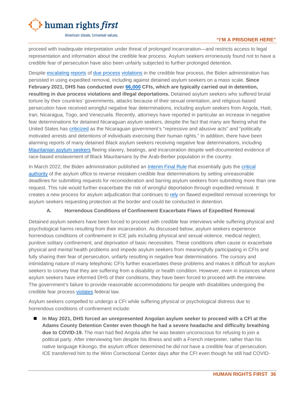

#### **"I'M A PRISONER HERE"**

proceed with inadequate interpretation under threat of prolonged incarceration—and restricts access to legal representation and information about the credible fear process. Asylum seekers erroneously found not to have a credible fear of persecution have also been unfairly subjected to further prolonged detention.

Despite [escalating](https://www.humanrightsfirst.org/resource/biden-administration-move-eliminate-requests-reconsideration-would-endanger-asylum-seekers) [reports](https://www.splcenter.org/sites/default/files/detained_asylum_seeker_grievance_letter_30_june_2021.pdf) of [due process](https://truthout.org/articles/us-officials-outrageously-claim-black-men-fleeing-slavery-lack-credible-fear/) [violations](https://prismreports.org/2021/12/30/asylum-seekers-will-be-in-danger-if-the-biden-administration-doesnt-reconsider-credible-fear-determinations/) in the credible fear process, the Biden administration has persisted in using expedited removal, including against detained asylum seekers on a mass scale. **Since February 2021, DHS has conducted over [66,000](https://www.uscis.gov/tools/reports-and-studies/semi-monthly-credible-fear-and-reasonable-fear-receipts-and-decisions) CFIs, which are typically carried out in detention, resulting in due process violations and illegal deportations.** Detained asylum seekers who suffered brutal torture by their countries' governments, attacks because of their sexual orientation, and religious-based persecution have received wrongful negative fear determinations, including asylum seekers from Angola, Haiti, Iran, Nicaragua, Togo, and Venezuela. Recently, attorneys have reported in particular an increase in negative fear determinations for detained Nicaraguan asylum seekers, despite the fact that many are fleeing what the United States has [criticized](https://www.whitehouse.gov/briefing-room/presidential-actions/2021/11/16/a-proclamation-on-suspension-of-entry-as-immigrants-and-nonimmigrants-of-persons-responsible-for-policies-or-actions-that-threaten-democracy-in-nicaragua/) as the Nicaraguan government's "repressive and abusive acts" and "politically motivated arrests and detentions of individuals exercising their human rights." In addition, there have been alarming reports of many detained Black asylum seekers receiving negative fear determinations, including [Mauritanian asylum seekers](https://truthout.org/articles/us-officials-outrageously-claim-black-men-fleeing-slavery-lack-credible-fear/) fleeing slavery, beatings, and incarceration despite well-documented evidence of race-based enslavement of Black Mauritanians by the Arab-Berber population in the country.

In March 2022, the Biden administration published an [Interim Final Rule](https://www.federalregister.gov/documents/2022/03/29/2022-06148/procedures-for-credible-fear-screening-and-consideration-of-asylum-withholding-of-removal-and-cat) that essentially guts the [critical](https://www.humanrightsfirst.org/resource/biden-administration-move-eliminate-requests-reconsideration-would-endanger-asylum-seekers) [authority](https://www.humanrightsfirst.org/resource/biden-administration-poised-eliminate-critical-safeguard-amid-escalating-reports-erroneous) of the asylum office to reverse mistaken credible fear determinations by setting unreasonable deadlines for submitting requests for reconsideration and barring asylum seekers from submitting more than one request. This rule would further exacerbate the risk of wrongful deportation through expedited removal. It creates a new process for asylum adjudication that continues to [rely](https://www.humanrightsfirst.org/resource/human-rights-first-comment-asylum-process-notice-proposed-rulemaking) on flawed expedited removal screenings for asylum seekers requesting protection at the border and could be conducted in detention.

#### **A. Horrendous Conditions of Confinement Exacerbate Flaws of Expedited Removal**

<span id="page-37-0"></span>Detained asylum seekers have been forced to proceed with credible fear interviews while suffering physical and psychological harms resulting from their incarceration. As discussed below, asylum seekers experience horrendous conditions of confinement in ICE jails including physical and sexual violence, medical neglect, punitive solitary confinement, and deprivation of basic necessities. These conditions often cause or exacerbate physical and mental health problems and impede asylum seekers from meaningfully participating in CFIs and fully sharing their fear of persecution, unfairly resulting in negative fear determinations. The cursory and intimidating nature of many telephonic CFIs further exacerbates these problems and makes it difficult for asylum seekers to convey that they are suffering from a disability or health condition. However, even in instances where asylum seekers have informed DHS of their conditions, they have been forced to proceed with the interview. The government's failure to provide reasonable accommodations for people with disabilities undergoing the credible fear process [violates](https://www.uscis.gov/policy-manual/volume-1-part-a-chapter-6#footnote-2) federal law.

Asylum seekers compelled to undergo a CFI while suffering physical or psychological distress due to horrendous conditions of confinement include:

 **In May 2021, DHS forced an unrepresented Angolan asylum seeker to proceed with a CFI at the Adams County Detention Center even though he had a severe headache and difficulty breathing due to COVID-19.** The man had fled Angola after he was beaten unconscious for refusing to join a political party. After interviewing him despite his illness and with a French interpreter, rather than his native language Kikongo, the asylum officer determined he did not have a credible fear of persecution. ICE transferred him to the Winn Correctional Center days after the CFI even though he still had COVID-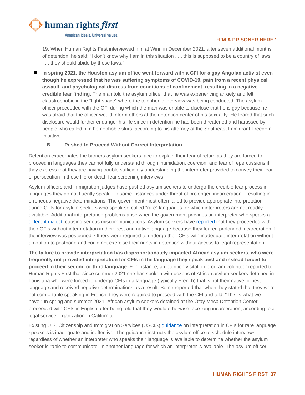

19. When Human Rights First interviewed him at Winn in December 2021, after seven additional months of detention, he said: "I don't know why I am in this situation . . . this is supposed to be a country of laws . . . they should abide by these laws."

■ In spring 2021, the Houston asylum office went forward with a CFI for a gay Angolan activist even **though he expressed that he was suffering symptoms of COVID-19, pain from a recent physical assault, and psychological distress from conditions of confinement, resulting in a negative credible fear finding.** The man told the asylum officer that he was experiencing anxiety and felt claustrophobic in the "tight space" where the telephonic interview was being conducted. The asylum officer proceeded with the CFI during which the man was unable to disclose that he is gay because he was afraid that the officer would inform others at the detention center of his sexuality. He feared that such disclosure would further endanger his life since in detention he had been threatened and harassed by people who called him homophobic slurs, according to his attorney at the Southeast Immigrant Freedom Initiative.

#### **B. Pushed to Proceed Without Correct Interpretation**

<span id="page-38-0"></span>Detention exacerbates the barriers asylum seekers face to explain their fear of return as they are forced to proceed in languages they cannot fully understand through intimidation, coercion, and fear of repercussions if they express that they are having trouble sufficiently understanding the interpreter provided to convey their fear of persecution in these life-or-death fear screening interviews.

Asylum officers and immigration judges have pushed asylum seekers to undergo the credible fear process in languages they do not fluently speak—in some instances under threat of prolonged incarceration—resulting in erroneous negative determinations. The government most often failed to provide appropriate interpretation during CFIs for asylum seekers who speak so-called "rare" languages for which interpreters are not readily available. Additional interpretation problems arise when the government provides an interpreter who speaks a [different dialect,](https://www.splcenter.org/sites/default/files/detained_asylum_seeker_grievance_letter_30_june_2021.pdf) causing serious miscommunications. Asylum seekers have [reported](https://www.splcenter.org/sites/default/files/detained_asylum_seeker_grievance_letter_30_june_2021.pdf) that they proceeded with their CFIs without interpretation in their best and native language because they feared prolonged incarceration if the interview was postponed. Others were required to undergo their CFIs with inadequate interpretation without an option to postpone and could not exercise their rights in detention without access to legal representation.

**The failure to provide interpretation has disproportionately impacted African asylum seekers, who were frequently not provided interpretation for CFIs in the language they speak best and instead forced to proceed in their second or third language.** For instance, a detention visitation program volunteer reported to Human Rights First that since summer 2021 she has spoken with dozens of African asylum seekers detained in Louisiana who were forced to undergo CFIs in a language (typically French) that is not their native or best language and received negative determinations as a result. Some reported that when they stated that they were not comfortable speaking in French, they were required to proceed with the CFI and told, "This is what we have." In spring and summer 2021, African asylum seekers detained at the Otay Mesa Detention Center proceeded with CFIs in English after being told that they would otherwise face long incarceration, according to a legal service organization in California.

Existing U.S. Citizenship and Immigration Services (USCIS) [guidance](https://www.uscis.gov/sites/default/files/document/memos/Processing-CF-RareLanguageInterpreter-Unavailable.pdf) on interpretation in CFIs for rare language speakers is inadequate and ineffective. The guidance instructs the asylum office to schedule interviews regardless of whether an interpreter who speaks their language is available to determine whether the asylum seeker is "able to communicate" in another language for which an interpreter is available. The asylum officer—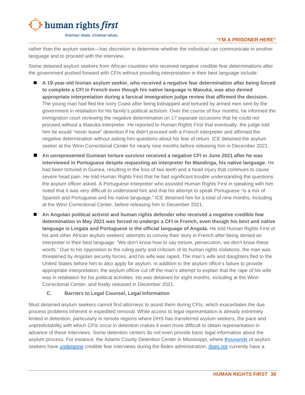

rather than the asylum seeker—has discretion to determine whether the individual can communicate in another language and to proceed with the interview.

Some detained asylum seekers from African countries who received negative credible fear determinations after the government pushed forward with CFIs without providing interpretation in their best language include:

- **A 19-year-old Ivorian asylum seeker, who received a negative fear determination after being forced to complete a CFI in French even though his native language is Maouka, was also denied appropriate interpretation during a farcical immigration judge review that affirmed the decision.** The young man had fled the Ivory Coast after being kidnapped and tortured by armed men sent by the government in retaliation for his family's political activism. Over the course of four months, he informed the immigration court reviewing the negative determination *on 17 separate occasions* that he could not proceed without a Maouka interpreter. He reported to Human Rights First that eventually, the judge told him he would "never leave" detention if he didn't proceed with a French interpreter and affirmed the negative determination without asking him questions about his fear of return. ICE detained the asylum seeker at the Winn Correctional Center for nearly nine months before releasing him in December 2021.
- **An unrepresented Guinean torture survivor received a negative CFI in June 2021 after he was interviewed in Portuguese despite requesting an interpreter for Mandinga, his native language.** He had been tortured in Guinea, resulting in the loss of two teeth and a head injury that continues to cause severe head pain. He told Human Rights First that he had significant trouble understanding the questions the asylum officer asked. A Portuguese interpreter who assisted Human Rights First in speaking with him noted that it was very difficult to understand him and that his attempt to speak Portuguese "is a mix of Spanish and Portuguese and his native language." ICE detained him for a total of nine months, including at the Winn Correctional Center, before releasing him in December 2021.
- **An Angolan political activist and human rights defender who received a negative credible fear determination in May 2021 was forced to undergo a CFI in French, even though his best and native**  language is Lingala and Portuguese is the official language of Angola. He told Human Rights First of his and other African asylum seekers' attempts to convey their story in French after being denied an interpreter in their best language: "We don't know how to say torture, persecution, we don't know these words." Due to his opposition to the ruling party and criticism of its human rights violations, the man was threatened by Angolan security forces, and his wife was raped. The man's wife and daughters fled to the United States before him to also apply for asylum. In addition to the asylum office's failure to provide appropriate interpretation, the asylum officer cut off the man's attempt to explain that the rape of his wife was in retaliation for his political activities. He was detained for eight months, including at the Winn Correctional Center, and finally released in December 2021.

#### **C. Barriers to Legal Counsel, Legal Information**

<span id="page-39-0"></span>Most detained asylum seekers cannot find attorneys to assist them during CFIs, which exacerbates the due process problems inherent in expedited removal. While access to legal representation is already extremely limited in detention, particularly in remote regions where DHS has transferred asylum seekers, the pace and unpredictability with which CFIs occur in detention makes it even more difficult to obtain representation in advance of these interviews. Some detention centers do not even provide basic legal information about the asylum process. For instance, the Adams County Detention Center in Mississippi, where [thousands](https://drive.google.com/file/d/1NMWCXhOwUDE2e15RXfQ2ep9F69Zl-rva/view) of asylum seekers have [undergone](https://www.wwno.org/immigration/2021-08-02/untested-asylum-seekers-in-ice-detention-centers-pose-new-health-risk-among-delta-outbreak) credible fear interviews during the Biden administration, [does not](https://www.vera.org/projects/legal-orientation-program/legal-orientation-program-lop-facilities) currently have a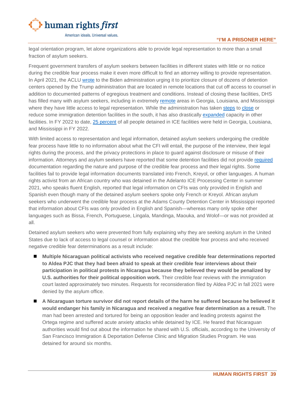

#### **"I'M A PRISONER HERE"**

legal orientation program, let alone organizations able to provide legal representation to more than a small fraction of asylum seekers.

Frequent government transfers of asylum seekers between facilities in different states with little or no notice during the credible fear process make it even more difficult to find an attorney willing to provide representation. In April 2021, the ACLU [wrote](https://www.documentcloud.org/documents/20693050-aclu-letter-to-mayorkas) to the Biden administration urging it to prioritize closure of dozens of detention centers opened by the Trump administration that are located in remote locations that cut off access to counsel in addition to documented patterns of egregious treatment and conditions. Instead of closing these facilities, DHS has filled many with asylum seekers, including in extremely [remote](https://www.aclu.org/letter/letter-dhs-secretary-mayorkas-regarding-ice-detention) areas in Georgia, Louisiana, and Mississippi where they have little access to legal representation. While the administration has taken [steps](https://www.washingtonpost.com/national-security/2022/03/25/biden-administration-withdraw-immigrant-detainees-jails-four-states-citing-substandard-conditions/) to [close](https://www.latimes.com/politics/story/2021-05-20/ice-irwin-detention-center-georgia-immigrant-women-alleged-abuse) or reduce some immigration detention facilities in the south, it has also drastically [expanded](https://www.ajc.com/news/exclusive-south-georgia-immigration-detention-complex-aims-to-expand/QN5G2BFOPREQHEBDOPPAX2PSVI/) capacity in other facilities. In FY 2022 to date, 25 [percent](https://www.ice.gov/detain/detention-management) of all people detained in ICE facilities were held in Georgia, Louisiana, and Mississippi in FY 2022.

With limited access to representation and legal information, detained asylum seekers undergoing the credible fear process have little to no information about what the CFI will entail, the purpose of the interview, their legal rights during the process, and the privacy protections in place to guard against disclosure or misuse of their information. Attorneys and asylum seekers have reported that some detention facilities did not provide [required](https://www.govinfo.gov/content/pkg/CFR-2017-title8-vol1/xml/CFR-2017-title8-vol1-part208-subpartB.xml) documentation regarding the nature and purpose of the credible fear process and their legal rights. Some facilities fail to provide legal information documents translated into French, Kreyol, or other languages. A human rights activist from an African country who was detained in the Adelanto ICE Processing Center in summer 2021, who speaks fluent English, reported that legal information on CFIs was only provided in English and Spanish even though many of the detained asylum seekers spoke only French or Kreyol. African asylum seekers who underwent the credible fear process at the Adams County Detention Center in Mississippi reported that information about CFIs was only provided in English and Spanish—whereas many only spoke other languages such as Bissa, French, Portuguese, Lingala, Mandinga, Maouka, and Wolof—or was not provided at all.

Detained asylum seekers who were prevented from fully explaining why they are seeking asylum in the United States due to lack of access to legal counsel or information about the credible fear process and who received negative credible fear determinations as a result include:

- **Multiple Nicaraguan political activists who received negative credible fear determinations reported to Aldea PJC that they had been afraid to speak at their credible fear interviews about their participation in political protests in Nicaragua because they believed they would be penalized by U.S. authorities for their political opposition work.** Their credible fear reviews with the immigration court lasted approximately two minutes. Requests for reconsideration filed by Aldea PJC in fall 2021 were denied by the asylum office.
- **A Nicaraguan torture survivor did not report details of the harm he suffered because he believed it would endanger his family in Nicaragua and received a negative fear determination as a result.** The man had been arrested and tortured for being an opposition leader and leading protests against the Ortega regime and suffered acute anxiety attacks while detained by ICE. He feared that Nicaraguan authorities would find out about the information he shared with U.S. officials, according to the University of San Francisco Immigration & Deportation Defense Clinic and Migration Studies Program. He was detained for around six months.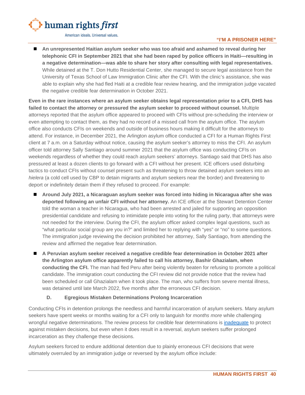

#### **"I'M A PRISONER HERE"**

 **An unrepresented Haitian asylum seeker who was too afraid and ashamed to reveal during her telephonic CFI in September 2021 that she had been raped by police officers in Haiti—resulting in a negative determination—was able to share her story after consulting with legal representatives.** While detained at the T. Don Hutto Residential Center, she managed to secure legal assistance from the University of Texas School of Law Immigration Clinic after the CFI. With the clinic's assistance, she was able to explain why she had fled Haiti at a credible fear review hearing, and the immigration judge vacated the negative credible fear determination in October 2021.

**Even in the rare instances where an asylum seeker obtains legal representation prior to a CFI, DHS has failed to contact the attorney or pressured the asylum seeker to proceed without counsel.** Multiple attorneys reported that the asylum office appeared to proceed with CFIs without pre-scheduling the interview or even attempting to contact them, as they had no record of a missed call from the asylum office. The asylum office also conducts CFIs on weekends and outside of business hours making it difficult for the attorneys to attend. For instance, in December 2021, the Arlington asylum office conducted a CFI for a Human Rights First client at 7 a.m. on a Saturday without notice, causing the asylum seeker's attorney to miss the CFI. An asylum officer told attorney Sally Santiago around summer 2021 that the asylum office was conducting CFIs on weekends regardless of whether they could reach asylum seekers' attorneys. Santiago said that DHS has also pressured at least a dozen clients to go forward with a CFI without her present. ICE officers used disturbing tactics to conduct CFIs without counsel present such as threatening to throw detained asylum seekers into an *hielera* (a cold cell used by CBP to detain migrants and asylum seekers near the border) and threatening to deport or indefinitely detain them if they refused to proceed. For example:

- **Around July 2021, a Nicaraguan asylum seeker was forced into hiding in Nicaragua after she was deported following an unfair CFI without her attorney.** An ICE officer at the Stewart Detention Center told the woman a teacher in Nicaragua, who had been arrested and jailed for supporting an opposition presidential candidate and refusing to intimidate people into voting for the ruling party, that attorneys were not needed for the interview. During the CFI, the asylum officer asked complex legal questions, such as "what particular social group are you in?" and limited her to replying with "yes" or "no" to some questions. The immigration judge reviewing the decision prohibited her attorney, Sally Santiago, from attending the review and affirmed the negative fear determination.
- **A Peruvian asylum seeker received a negative credible fear determination in October 2021 after the Arlington asylum office apparently failed to call his attorney, Bashir Ghazialam, when conducting the CFI.** The man had fled Peru after being violently beaten for refusing to promote a political candidate. The immigration court conducting the CFI review did not provide notice that the review had been scheduled or call Ghazialam when it took place. The man, who suffers from severe mental illness, was detained until late March 2022, five months after the erroneous CFI decision.

#### **D. Egregious Mistaken Determinations Prolong Incarceration**

<span id="page-41-0"></span>Conducting CFIs in detention prolongs the needless and harmful incarceration of asylum seekers. Many asylum seekers have spent weeks or months waiting for a CFI only to languish for *months more* while challenging wrongful negative determinations. The review process for credible fear determinations is [inadequate](https://www.humanrightsfirst.org/resource/biden-administration-poised-eliminate-critical-safeguard-amid-escalating-reports-erroneous) to protect against mistaken decisions, but even when it does result in a reversal, asylum seekers suffer prolonged incarceration as they challenge these decisions.

Asylum seekers forced to endure additional detention due to plainly erroneous CFI decisions that were ultimately overruled by an immigration judge or reversed by the asylum office include: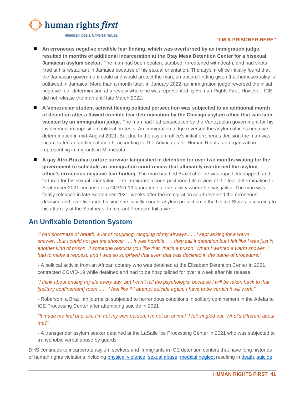

#### **"I'M A PRISONER HERE"**

- **An erroneous negative credible fear finding, which was overturned by an immigration judge, resulted in months of additional incarceration at the Otay Mesa Detention Center for a bisexual Jamaican asylum seeker.** The man had been beaten, stabbed, threatened with death, and had shots fired at his restaurant in Jamaica because of his sexual orientation. The asylum office initially found that the Jamaican government could and would protect the man, an absurd finding given that homosexuality is outlawed in Jamaica. More than a month later, in January 2022, an immigration judge reversed the initial negative fear determination at a review where he was represented by Human Rights First. However, ICE did not release the man until late March 2022.
- A Venezuelan student activist fleeing political persecution was subjected to an additional month **of detention after a flawed credible fear determination by the Chicago asylum office that was later vacated by an immigration judge.** The man had fled persecution by the Venezuelan government for his involvement in opposition political protests. An immigration judge reversed the asylum office's negative determination in mid-August 2021. But due to the asylum office's initial erroneous decision the man was incarcerated an additional month, according to The Advocates for Human Rights, an organization representing immigrants in Minnesota.
- A gay Afro-Brazilian torture survivor languished in detention for over two months waiting for the **government to schedule an immigration court review that ultimately overturned the asylum office's erroneous negative fear finding.** The man had fled Brazil after he was raped, kidnapped, and tortured for his sexual orientation. The immigration court postponed its review of the fear determination to September 2021 because of a COVID-19 quarantine at the facility where he was jailed. The man was finally released in late September 2021, weeks after the immigration court reversed the erroneous decision and over five months since he initially sought asylum protection in the United States, according to his attorney at the Southeast Immigrant Freedom Initiative.

# <span id="page-42-0"></span>**An Unfixable Detention System**

*"I had shortness of breath, a lot of coughing, clogging of my airways . . . I kept asking for a warm shower…but I could not get the shower . . . it was horrible . . . they call it detention but I felt like I was just in another kind of prison. If someone restricts you like that, that's a prison. When I wanted a warm shower, I had to make a request, and I was so surprised that even that was declined in the name of procedure."* 

*-* A political activist from an African country who was detained at the Elizabeth Detention Center in 2021, contracted COVID-19 while detained and had to be hospitalized for over a week after his release

*"I think about ending my life every day, but I can't tell the psychologist because I will be taken back to that [solitary confinement] room . . . I feel like if I attempt suicide again, I have to be certain it will work."*

*-* Roberson, a Brazilian journalist subjected to horrendous conditions in solitary confinement in the Adelanto ICE Processing Center after attempting suicide in 2021

*"It made me feel bad, like I'm not my own person. I'm not an animal. I felt singled out. What's different about me?"*

- A transgender asylum seeker detained at the LaSalle Ice Processing Center in 2021 who was subjected to transphobic verbal abuse by guards

DHS continues to incarcerate asylum seekers and immigrants in ICE detention centers that have long histories of human rights violations including [physical violence,](https://www.usatoday.com/in-depth/news/nation/2019/12/19/ice-asylum-under-trump-exclusive-look-us-immigration-detention/4381404002/) [sexual abuse,](https://static1.squarespace.com/static/5a33042eb078691c386e7bce/t/5a9da297419202ab8be09c92/1520280217559/SexualAssault_Complaint.pdf) [medical neglect](https://www.humanrightsfirst.org/sites/default/files/Lifeline-on-Lockdown.pdf) resulting in [death,](https://www.oig.dhs.gov/sites/default/files/assets/2021-07/OIG-21-46-Jul21.pdf) [suicide,](https://theintercept.com/2021/10/23/ice-review-neglect-stewart-suicide-corecivic/)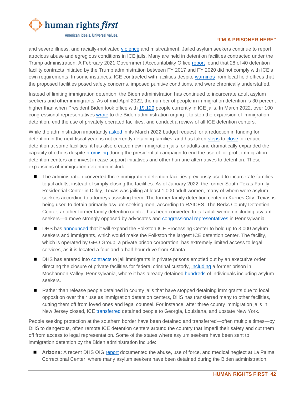

#### **"I'M A PRISONER HERE"**

and severe illness, and racially-motivated [violence](https://static1.squarespace.com/static/5a33042eb078691c386e7bce/t/61bb36c9cc4c282092cbd145/1639659209877/DHS+NOLA+ICE+Investigation+Follow-Up+Letter+%281%29.pdf) and mistreatment. Jailed asylum seekers continue to report atrocious abuse and egregious conditions in ICE jails. Many are held in detention facilities contracted under the Trump administration. A February 2021 Government Accountability Office [report](https://www.gao.gov/products/gao-21-149) found that 28 of 40 detention facility contracts initiated by the Trump administration between FY 2017 and FY 2020 did not comply with ICE's own requirements. In some instances, ICE contracted with facilities despite [warnings](https://www.gao.gov/products/gao-21-149) from local field offices that the proposed facilities posed safety concerns, imposed punitive conditions, and were chronically understaffed.

Instead of limiting immigration detention, the Biden administration has continued to incarcerate adult asylum seekers and other immigrants. As of mid-April 2022, the number of people in immigration detention is 30 percent higher than when President Biden took office with [19,129](https://www.ice.gov/coronavirus) people currently in ICE jails. In March 2022, over 100 congressional representatives [wrote](https://www.newsweek.com/over-100-house-democrats-tell-biden-halt-immigration-detention-expansion-1686837) to the Biden administration urging it to stop the expansion of immigration detention, end the use of privately operated facilities, and conduct a review of all ICE detention centers.

While the administration importantly [asked](https://www.nytimes.com/2022/03/25/us/politics/biden-immigration-detention-beds.html) in its March 2022 budget request for a reduction in funding for detention in the next fiscal year, is not currently detaining families, and has taken [steps](https://www.washingtonpost.com/national-security/2022/03/25/biden-administration-withdraw-immigrant-detainees-jails-four-states-citing-substandard-conditions/?tid=ss_tw) to [close](https://www.dhs.gov/news/2021/05/20/ice-close-two-detention-centers) or reduce detention at some facilities, it has also created new immigration jails for adults and dramatically expanded the capacity of others despite [promising](https://joebiden.com/immigration/) during the presidential campaign to end the use of for-profit immigration detention centers and invest in case support initiatives and other humane alternatives to detention. These expansions of immigration detention include:

- The administration converted three immigration detention facilities previously used to incarcerate families to jail adults, instead of simply closing the facilities. As of January 2022, the former South Texas Family Residential Center in Dilley, Texas was jailing at least 1,000 adult women, many of whom were asylum seekers according to attorneys assisting them. The former family detention center in Karnes City, Texas is being used to detain primarily asylum-seeking men, according to RAICES. The Berks County Detention Center, another former family detention center, has been converted to jail adult women including asylum seekers—a move strongly opposed by advocates and [congressional representatives](https://twitter.com/RepDean/status/1446510765658316800/photo/1) in Pennsylvania.
- DHS has [announced](https://www.ajc.com/news/exclusive-south-georgia-immigration-detention-complex-aims-to-expand/QN5G2BFOPREQHEBDOPPAX2PSVI/) that it will expand the Folkston ICE Processing Center to hold up to 3,000 asylum seekers and immigrants, which would make the Folkston the largest ICE detention center. The facility, which is operated by GEO Group, a private prison corporation, has extremely limited access to legal services, as it is located a four-and-a-half-hour drive from Atlanta.
- **DHS** has entered into [contracts](https://www.detentionwatchnetwork.org/sites/default/files/reports/Broken%20Promises_DWN%20and%20Project%20South_Final_11.23.21.pdf) to jail immigrants in private prisons emptied out by an executive order directing the closure of private facilities for federal criminal custody, [including](https://www.theprogressnews.com/news/local/moshannon-valley-correctional-facility-to-reopen/article_4091d4cb-9912-5d30-a05e-48d44affffe8.html) a former prison in Moshannon Valley, Pennsylvania, where it has already detained [hundreds](https://www.ice.gov/doclib/detention/FY22_detentionStats_02162022.xlsx) of individuals including asylum seekers.
- Rather than release people detained in county jails that have stopped detaining immigrants due to local opposition over their use as immigration detention centers, DHS has transferred many to other facilities, cutting them off from loved ones and legal counsel. For instance, after three county immigration jails in New Jersey closed, ICE [transferred](https://www.washingtonpost.com/national-security/2021/12/01/ice-country-jails-migrants/) detained people to Georgia, Louisiana, and upstate New York.

People seeking protection at the southern border have been detained and transferred—often multiple times—by DHS to dangerous, often remote ICE detention centers around the country that imperil their safety and cut them off from access to legal representation. Some of the states where asylum seekers have been sent to immigration detention by the Biden administration include:

 **Arizona:** A recent DHS OIG [report](https://www.oig.dhs.gov/sites/default/files/assets/2021-04/OIG-21-30-Mar21.pdf) documented the abuse, use of force, and medical neglect at La Palma Correctional Center, where many asylum seekers have been detained during the Biden administration.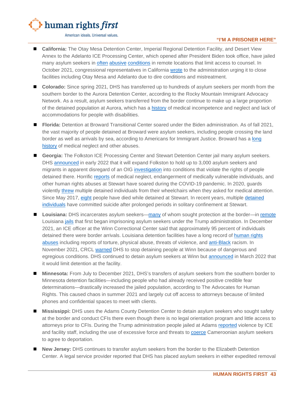

#### **"I'M A PRISONER HERE"**

- **California:** The Otay Mesa Detention Center, Imperial Regional Detention Facility, and Desert View Annex to the Adelanto ICE Processing Center, which opened after President Biden took office, have jailed many asylum seekers in [often](https://static1.squarespace.com/static/5a33042eb078691c386e7bce/t/622775db6ffa1b1b002be444/1646753244019/Complaint+regarding+Unprofessional%2C+Unethical%2C+and+Negligent+Treatment+by+Dr.+Fernbach+%285%29.pdf) [abusive](https://earthjustice.org/sites/default/files/files/multi-individual_complaint_toxic_air_dust_water_mold_final_jan_2022_1.pdf) [conditions](https://www.aclunc.org/sites/default/files/OCRCL%20complaint.08.26.21%20_0.pdf) in remote locations that limit access to counsel. In October 2021, congressional representatives in California [wrote](https://lofgren.house.gov/media/press-releases/lofgren-correa-ca-dems-urge-dhs-close-three-ice-detention-centers) to the administration urging it to close facilities including Otay Mesa and Adelanto due to dire conditions and mistreatment.
- **Colorado:** Since spring 2021, DHS has transferred up to hundreds of asylum seekers per month from the southern border to the Aurora Detention Center, according to the Rocky Mountain Immigrant Advocacy Network. As a result, asylum seekers transferred from the border continue to make up a large proportion of the detained population at Aurora, which has a [history](https://www.aclu-co.org/en/publications/cashing-cruelty-stories-death-abuse-and-neglect-geo-immigration-detention-facility) of medical incompetence and neglect and lack of accommodations for people with disabilities.
- **Florida:** Detention at Broward Transitional Center soared under the Biden administration. As of fall 2021, the vast majority of people detained at Broward were asylum seekers, including people crossing the land border as well as arrivals by sea, according to Americans for Immigrant Justice. Broward has a [long](https://www.splcenter.org/sites/default/files/cjr_fla_detention_report-final_1.pdf)  [history](https://www.splcenter.org/sites/default/files/cjr_fla_detention_report-final_1.pdf) of medical neglect and other abuses.
- **Georgia:** The Folkston ICE Processing Center and Stewart Detention Center jail many asylum seekers. DHS [announced](https://www.ajc.com/news/exclusive-south-georgia-immigration-detention-complex-aims-to-expand/QN5G2BFOPREQHEBDOPPAX2PSVI/) in early 2022 that it will expand Folkston to hold up to 3,000 asylum seekers and migrants in apparent disregard of an OIG [investigation](https://aldianews.com/politics/policy/shut-down-folkston) into conditions that violate the rights of people detained there. Horrific [reports](https://www.elrefugiostewart.org/wp-content/uploads/2021/05/CageOfFear_FINAL_English.pdf) of medical neglect, endangerment of medically vulnerable individuals, and other human rights abuses at Stewart have soared during the COVID-19 pandemic. In 2020, guards violently [threw](https://theintercept.com/2020/07/23/ice-guards-excessive-force-sick-immigrants/) multiple detained individuals from their wheelchairs when they asked for medical attention. Since May 2017, [eight](https://www.documentcloud.org/documents/20693050-aclu-letter-to-mayorkas) people have died while [detained](https://theintercept.com/2021/10/23/ice-review-neglect-stewart-suicide-corecivic/) at Stewart. In recent years, multiple detained [individuals](https://www.wabe.org/ice-death-of-detainee-held-at-ga-immigration-center-appears-to-be-suicide/) have committed suicide after prolonged periods in solitary confinement at Stewart.
- **Louisiana:** DHS incarcerates asylum seekers[—many](https://drive.google.com/file/d/1NMWCXhOwUDE2e15RXfQ2ep9F69Zl-rva/view) of whom sought protection at the border—in [remote](https://www.aclu.org/report/justice-free-zones-us-immigration-detention-under-trump-administration) Louisiana [jails](https://www.theadvocate.com/acadiana/news/article_1b71c034-4979-11ec-951b-1f4b7822c933.html) that first began imprisoning asylum seekers under the Trump administration. In December 2021, an ICE officer at the Winn Correctional Center said that approximately 95 percent of individuals detained there were border arrivals. Louisiana detention facilities have a long record of [human rights](https://static1.squarespace.com/static/5a33042eb078691c386e7bce/t/61c0b47c15319f67d4045ca3/1640019069450/12%3A20%3A21+DHS+NOLA+ICE+Investigation+Follow-Up+Letter+%282%29.pdf)  [abuses](https://static1.squarespace.com/static/5a33042eb078691c386e7bce/t/61c0b47c15319f67d4045ca3/1640019069450/12%3A20%3A21+DHS+NOLA+ICE+Investigation+Follow-Up+Letter+%282%29.pdf) including reports of torture, physical abuse, threats of violence, and [anti-Black](https://www.businessinsider.com/a-leaked-video-and-what-black-migrants-endure-in-detention-2022-3?utmSource=twitter&utmContent=referral&utmTerm=topbar&referrer=twitter) racism. In November 2021, CRCL [warned](https://www.buzzfeednews.com/article/hamedaleaziz/ice-private-prison-louisiana-conditions) DHS to stop detaining people at Winn because of dangerous and egregious conditions. DHS continued to detain asylum seekers at Winn but [announced](https://www.washingtonpost.com/national-security/2022/03/25/biden-administration-withdraw-immigrant-detainees-jails-four-states-citing-substandard-conditions/?tid=ss_tw) in March 2022 that it would limit detention at the facility.
- **Minnesota:** From July to December 2021, DHS's transfers of asylum seekers from the southern border to Minnesota detention facilities—including people who had already received positive credible fear determinations—drastically increased the jailed population, according to The Advocates for Human Rights. This caused chaos in summer 2021 and largely cut off access to attorneys because of limited phones and confidential spaces to meet with clients.
- **Mississippi:** DHS uses the Adams County Detention Center to detain asylum seekers who sought safety at the border and conduct CFIs there even though there is no legal orientation program and little access to attorneys prior to CFIs. During the Trump administration people jailed at Adams [reported](https://static1.squarespace.com/static/5a33042eb078691c386e7bce/t/61c0b47c15319f67d4045ca3/1640019069450/12%3A20%3A21+DHS+NOLA+ICE+Investigation+Follow-Up+Letter+%282%29.pdf) violence by ICE and facility staff, including the use of excessive force and threats to [coerce](https://www.splcenter.org/presscenter/ice-using-torture-against-cameroonian-immigrants-coerce-deportation-according-new) Cameroonian asylum seekers to agree to deportation.
- **New Jersey:** DHS continues to transfer asylum seekers from the border to the Elizabeth Detention Center. A legal service provider reported that DHS has placed asylum seekers in either expedited removal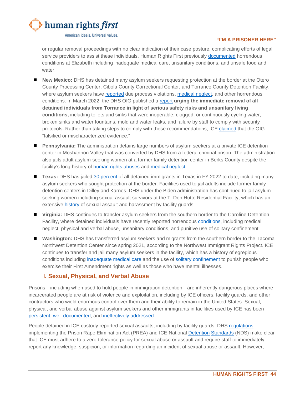

**"I'M A PRISONER HERE"**

or regular removal proceedings with no clear indication of their case posture, complicating efforts of legal service providers to assist these individuals. Human Rights First previously [documented](https://www.humanrightsfirst.org/sites/default/files/Ailing-Justice-NJ.pdf) horrendous conditions at Elizabeth including inadequate medical care, unsanitary conditions, and unsafe food and water.

- **New Mexico:** DHS has detained many asylum seekers requesting protection at the border at the Otero County Processing Center, Cibola County Correctional Center, and Torrance County Detention Facility, where asylum seekers have [reported](https://www.americanimmigrationcouncil.org/sites/default/files/research/compla1.pdf) due process violations, [medical neglect,](https://www.buzzfeednews.com/article/adolfoflores/asylum-seekers-medical-release-delays) and other horrendous conditions. In March 2022, the DHS OIG published a [report](https://www.oig.dhs.gov/sites/default/files/assets/2022-03/OIG-22-31-Mar22-mgmtalert.pdf) **urging the immediate removal of all detained individuals from Torrance in light of serious safety risks and unsanitary living conditions,** including toilets and sinks that were inoperable, clogged, or continuously cycling water, broken sinks and water fountains, mold and water leaks, and failure by staff to comply with security protocols**.** Rather than taking steps to comply with these recommendations, ICE [claimed](https://twitter.com/Haleaziz/status/1504828415039451137/photo/1) that the OIG "falsified or mischaracterized evidence."
- **Pennsylvania:** The administration detains large numbers of asylum seekers at a private ICE detention center in Moshannon Valley that was converted by DHS from a federal criminal prison. The administration also jails adult asylum-seeking women at a former family detention center in Berks County despite the facility's long history of [human rights abuses](https://rewirenewsgroup.com/article/2016/08/12/mothers-family-detention-launch-hunger-strike-will-get-alive-dead/) and [medical neglect.](https://www.humanrightsfirst.org/sites/default/files/HRF-Family-Det-Penn-rep-final.pdf)
- **Texas:** DHS has jailed [30 percent](https://www.ice.gov/detain/detention-management) of all detained immigrants in Texas in FY 2022 to date, including many asylum seekers who sought protection at the border. Facilities used to jail adults include former family detention centers in Dilley and Karnes. DHS under the Biden administration has continued to jail asylumseeking women including sexual assault survivors at the T. Don Hutto Residential Facility, which has an extensive [history](https://www.detentionwatchnetwork.org/sites/default/files/reports/DWN%20First%20Ten%20to%20Communities%20Not%20Cages.pdf) of sexual assault and harassment by facility guards.
- **Virginia:** DHS continues to transfer asylum seekers from the southern border to the Caroline Detention Facility, where detained individuals have recently reported horrendous [conditions,](https://static1.squarespace.com/static/5a33042eb078691c386e7bce/t/612f9e2f027dca73174a517f/1630510639988/redacted_Abuses+%26+Torturous+Conditions+at+Caroline+Detention+Facility.pdf) including medical neglect, physical and verbal abuse, unsanitary conditions, and punitive use of solitary confinement.
- **Washington:** DHS has transferred asylum seekers and migrants from the southern border to the Tacoma Northwest Detention Center since spring 2021, according to the Northwest Immigrant Rights Project. ICE continues to transfer and jail many asylum seekers in the facility, which has a history of egregious conditions including [inadequate medical care](https://jsis.washington.edu/humanrights/2020/04/16/nwdc-medical/) and the use of [solitary confinement](https://jsis.washington.edu/humanrights/2020/11/30/nwdc-solitary/) to punish people who exercise their First Amendment rights as well as those who have mental illnesses.

# <span id="page-45-0"></span>**I. Sexual, Physical, and Verbal Abuse**

Prisons—including when used to hold people in immigration detention—are inherently dangerous places where incarcerated people are at risk of violence and exploitation, including by ICE officers, facility guards, and other contractors who wield enormous control over them and their ability to remain in the United States. Sexual, physical, and verbal abuse against asylum seekers and other immigrants in facilities used by ICE has been [persistent,](https://static1.squarespace.com/static/5a33042eb078691c386e7bce/t/5a9da297419202ab8be09c92/1520280217559/SexualAssault_Complaint.pdf) [well-documented,](https://www.oig.dhs.gov/sites/default/files/assets/2021-04/OIG-21-30-Mar21.pdf) and [ineffectively addressed.](https://www.buzzfeednews.com/article/hamedaleaziz/use-of-force-immigrants-ice-pandemic)

People detained in ICE custody reported sexual assaults, including by facility guards. DHS [regulations](https://www.govinfo.gov/content/pkg/FR-2014-03-07/pdf/2014-04675.pdf) implementing the Prison Rape Elimination Act (PREA) and ICE National [Detention](https://www.ice.gov/doclib/detention-standards/2011/2-11.pdf) [Standards](https://www.ice.gov/doclib/detention-standards/2019/2_11.pdf) (NDS) make clear that ICE must adhere to a zero-tolerance policy for sexual abuse or assault and require staff to immediately report any knowledge, suspicion, or information regarding an incident of sexual abuse or assault. However,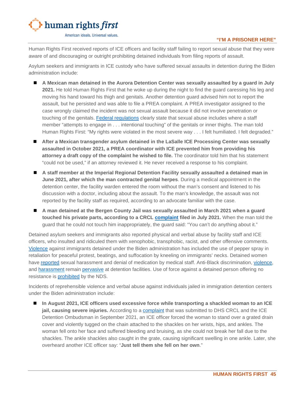

Human Rights First received reports of ICE officers and facility staff failing to report sexual abuse that they were aware of and discouraging or outright prohibiting detained individuals from filing reports of assault.

Asylum seekers and immigrants in ICE custody who have suffered sexual assaults in detention during the Biden administration include:

- **A Mexican man detained in the Aurora Detention Center was sexually assaulted by a guard in July 2021.** He told Human Rights First that he woke up during the night to find the guard caressing his leg and moving his hand toward his thigh and genitals. Another detention guard advised him not to report the assault, but he persisted and was able to file a PREA complaint. A PREA investigator assigned to the case wrongly claimed the incident was not sexual assault because it did not involve penetration or touching of the genitals. [Federal regulations](https://www.govinfo.gov/content/pkg/FR-2014-03-07/pdf/2014-04675.pdf) clearly state that sexual abuse includes where a staff member "attempts to engage in . . . intentional touching" of the genitals or inner thighs. The man told Human Rights First: "My rights were violated in the most severe way . . . I felt humiliated. I felt degraded."
- **After a Mexican transgender asylum detained in the LaSalle ICE Processing Center was sexually assaulted in October 2021, a PREA coordinator with ICE prevented him from providing his attorney a draft copy of the complaint he wished to file.** The coordinator told him that his statement "could not be used," if an attorney reviewed it. He never received a response to his complaint.
- A staff member at the Imperial Regional Detention Facility sexually assaulted a detained man in **June 2021, after which the man contracted genital herpes**. During a medical appointment in the detention center, the facility warden entered the room without the man's consent and listened to his discussion with a doctor, including about the assault. To the man's knowledge, the assault was not reported by the facility staff as required, according to an advocate familiar with the case.
- **A man detained at the Bergen County Jail was sexually assaulted in March 2021 when a guard touched his private parts, according to a CRCL [complaint](https://static1.squarespace.com/static/5a33042eb078691c386e7bce/t/60edadae5dd1eb1c29083a53/1626189231131/Multi-Individual+CRCL_+Bergen+County+Jail+Abuses.pdf) filed in July 2021.** When the man told the guard that he could not touch him inappropriately, the guard said: "You can't do anything about it."

Detained asylum seekers and immigrants also reported physical and verbal abuse by facility staff and ICE officers, who insulted and ridiculed them with xenophobic, transphobic, racist, and other offensive comments. [Violence](https://static1.squarespace.com/static/5a33042eb078691c386e7bce/t/60edadae5dd1eb1c29083a53/1626189231131/Multi-Individual+CRCL_+Bergen+County+Jail+Abuses.pdf) against immigrants detained under the Biden administration has included the use of pepper spray in retaliation for peaceful protest, beatings, and suffocation by kneeling on immigrants' necks. Detained women have [reported](https://static1.squarespace.com/static/5a33042eb078691c386e7bce/t/6127a66552e8b52e7b718445/1629988453454/CRCL_Conditions+for+Women+at+Glades_8.26.2021-final.pdf) sexual harassment and denial of medication by medical staff. Anti-Black discrimination, [violence,](https://drive.google.com/file/d/1NMWCXhOwUDE2e15RXfQ2ep9F69Zl-rva/view) and [harassment](https://static1.squarespace.com/static/5a33042eb078691c386e7bce/t/6127a66552e8b52e7b718445/1629988453454/CRCL_Conditions+for+Women+at+Glades_8.26.2021-final.pdf) remain [pervasive](https://www.law.nyu.edu/sites/default/files/OCCF%20Multi-Organization%20DHS%20CRCL%20Complaint%20and%20Index_2%2017%202022.pdf) at detention facilities. Use of force against a detained person offering no resistance is [prohibited](https://www.ice.gov/doclib/detention-standards/2019/2_8.pdf) by the NDS.

Incidents of reprehensible violence and verbal abuse against individuals jailed in immigration detention centers under the Biden administration include:

 **In August 2021, ICE officers used excessive force while transporting a shackled woman to an ICE jail, causing severe injuries.** According to a [complaint](https://drive.google.com/file/d/1yImAldWYhdjyKzCMyE48svPlM-Oi2hXn/view) that was submitted to DHS CRCL and the ICE Detention Ombudsman in September 2021, an ICE officer forced the woman to stand over a grated drain cover and violently tugged on the chain attached to the shackles on her wrists, hips, and ankles. The woman fell onto her face and suffered bleeding and bruising, as she could not break her fall due to the shackles. The ankle shackles also caught in the grate, causing significant swelling in one ankle. Later, she overheard another ICE officer say: "**Just tell them she fell on her own**."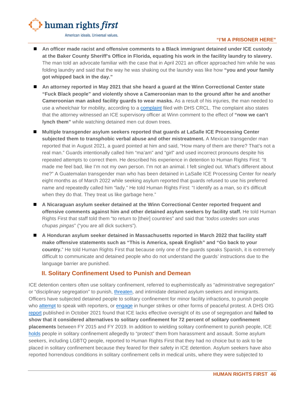

#### **"I'M A PRISONER HERE"**

- **An officer made racist and offensive comments to a Black immigrant detained under ICE custody at the Baker County Sheriff's Office in Florida, equating his work in the facility laundry to slavery.**  The man told an advocate familiar with the case that in April 2021 an officer approached him while he was folding laundry and said that the way he was shaking out the laundry was like how **"you and your family got whipped back in the day."**
- **An attorney reported in May 2021 that she heard a guard at the Winn Correctional Center state "Fuck Black people" and violently shove a Cameroonian man to the ground after he and another Cameroonian man asked facility guards to wear masks.** As a result of his injuries, the man needed to use a wheelchair for mobility, according to a [complaint](https://drive.google.com/file/d/1NMWCXhOwUDE2e15RXfQ2ep9F69Zl-rva/view) filed with DHS CRCL. The complaint also states that the attorney witnessed an ICE supervisory officer at Winn comment to the effect of **"now we can't lynch them"** while watching detained men cut down trees.
- Multiple transgender asylum seekers reported that guards at LaSalle ICE Processing Center **subjected them to transphobic verbal abuse and other mistreatment.** A Mexican transgender man reported that in August 2021, a guard pointed at him and said, "How many of them are there? That's not a real man." Guards intentionally called him "ma'am" and "girl" and used incorrect pronouns despite his repeated attempts to correct them. He described his experience in detention to Human Rights First: "It made me feel bad, like I'm not my own person. I'm not an animal. I felt singled out. What's different about me?" A Guatemalan transgender man who has been detained in LaSalle ICE Processing Center for nearly eight months as of March 2022 while seeking asylum reported that guards refused to use his preferred name and repeatedly called him "lady." He told Human Rights First: "I identify as a man, so it's difficult when they do that. They treat us like garbage here."
- **A Nicaraguan asylum seeker detained at the Winn Correctional Center reported frequent and offensive comments against him and other detained asylum seekers by facility staff.** He told Human Rights First that staff told them "to return to [their] countries" and said that "*todos ustedes son unas chupas pingas*" ("you are all dick suckers").
- **A Honduran asylum seeker detained in Massachusetts reported in March 2022 that facility staff make offensive statements such as "This is America, speak English" and "Go back to your country.**" He told Human Rights First that because only one of the guards speaks Spanish, it is extremely difficult to communicate and detained people who do not understand the guards' instructions due to the language barrier are punished.

## <span id="page-47-0"></span>**II. Solitary Confinement Used to Punish and Demean**

ICE detention centers often use solitary confinement, referred to euphemistically as "administrative segregation" or "disciplinary segregation" to punish, [threaten,](http://static1.squarespace.com/static/5a33042eb078691c386e7bce/t/615defe5e76a986c1af29d7a/1633546214397/Multi-Individual+CRCL+Anti-Blackness+and+Other+Abuse+of+Black+immigrants+at+Krome+Oct+2021.pdf) and intimidate detained asylum seekers and immigrants. Officers have subjected detained people to solitary confinement for minor facility infractions, to punish people who [attempt](https://static1.squarespace.com/static/5a33042eb078691c386e7bce/t/61c0b47c15319f67d4045ca3/1640019069450/12%3A20%3A21+DHS+NOLA+ICE+Investigation+Follow-Up+Letter+%282%29.pdf) to speak with reporters, or [engage](http://static1.squarespace.com/static/5a33042eb078691c386e7bce/t/615defe5e76a986c1af29d7a/1633546214397/Multi-Individual+CRCL+Anti-Blackness+and+Other+Abuse+of+Black+immigrants+at+Krome+Oct+2021.pdf) in hunger strikes or other forms of peaceful protest. A DHS OIG [report](https://www.oig.dhs.gov/sites/default/files/assets/2021-10/OIG-22-01-Oct21.pdf) published in October 2021 found that ICE lacks effective oversight of its use of segregation and **failed to show that it considered alternatives to solitary confinement for 72 percent of solitary confinement placements** between FY 2015 and FY 2019. In addition to wielding solitary confinement to punish people, ICE [holds](https://aldianews.com/articles/politics/attorneys-turn-focus-louisianas-winn-correctional-center-over-terrible-migrant) people in solitary confinement allegedly to "protect" them from harassment and assault. Some asylum seekers, including LGBTQ people, reported to Human Rights First that they had no choice but to ask to be placed in solitary confinement because they feared for their safety in ICE detention. Asylum seekers have also reported horrendous conditions in solitary confinement cells in medical units, where they were subjected to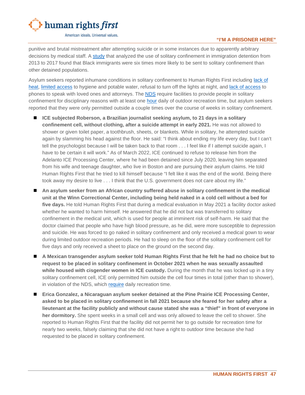

#### **"I'M A PRISONER HERE"**

punitive and brutal mistreatment after attempting suicide or in some instances due to apparently arbitrary decisions by medical staff. A [study](https://osf.io/preprints/socarxiv/zdy7f/) that analyzed the use of solitary confinement in immigration detention from 2013 to 2017 found that Black immigrants were six times more likely to be sent to solitary confinement than other detained populations.

Asylum seekers reported inhumane conditions in solitary confinement to Human Rights First including lack of [heat,](https://theintercept.com/2021/02/19/ice-detention-cold-freezing-texas-louisiana/?fbclid=IwAR0huiTIynwO2u7kcQCnRW3kOox3e_b-47em04P0sHQx49iu5LnS9rX6sho) [limited access](https://static1.squarespace.com/static/5a33042eb078691c386e7bce/t/61c0b47c15319f67d4045ca3/1640019069450/12%3A20%3A21+DHS+NOLA+ICE+Investigation+Follow-Up+Letter+%282%29.pdf) to hygiene and potable water, refusal to turn off the lights at night, and [lack of access](http://static1.squarespace.com/static/5a33042eb078691c386e7bce/t/615defe5e76a986c1af29d7a/1633546214397/Multi-Individual+CRCL+Anti-Blackness+and+Other+Abuse+of+Black+immigrants+at+Krome+Oct+2021.pdf) to phones to speak with loved ones and attorneys. The **NDS** require facilities to provide people in solitary confinement for disciplinary reasons with at least one [hour](https://www.ice.gov/doclib/detention-standards/2011/pbnds2011r2016.pdf) daily of outdoor recreation time, but asylum seekers reported that they were only permitted outside a couple times over the course of weeks in solitary confinement.

- **ICE subjected Roberson, a Brazilian journalist seeking asylum, to 21 days in a solitary confinement cell, without clothing, after a suicide attempt in early 2021.** He was not allowed to shower or given toilet paper, a toothbrush, sheets, or blankets. While in solitary, he attempted suicide again by slamming his head against the floor. He said: "I think about ending my life every day, but I can't tell the psychologist because I will be taken back to that room . . . I feel like if I attempt suicide again, I have to be certain it will work." As of March 2022, ICE continued to refuse to release him from the Adelanto ICE Processing Center, where he had been detained since July 2020, leaving him separated from his wife and teenage daughter, who live in Boston and are pursuing their asylum claims. He told Human Rights First that he tried to kill himself because "I felt like it was the end of the world. Being there took away my desire to live . . . I think that the U.S. government does not care about my life."
- **An asylum seeker from an African country suffered abuse in solitary confinement in the medical unit at the Winn Correctional Center, including being held naked in a cold cell without a bed for five days.** He told Human Rights First that during a medical evaluation in May 2021 a facility doctor asked whether he wanted to harm himself. He answered that he did not but was transferred to solitary confinement in the medical unit, which is used for people at imminent risk of self-harm. He said that the doctor claimed that people who have high blood pressure, as he did, were more susceptible to depression and suicide. He was forced to go naked in solitary confinement and only received a medical gown to wear during limited outdoor recreation periods. He had to sleep on the floor of the solitary confinement cell for five days and only received a sheet to place on the ground on the second day.
- **A Mexican transgender asylum seeker told Human Rights First that he felt he had no choice but to request to be placed in solitary confinement in October 2021 when he was sexually assaulted while housed with cisgender women in ICE custody.** During the month that he was locked up in a tiny solitary confinement cell, ICE only permitted him outside the cell four times in total (other than to shower), in violation of the NDS, which [require](https://www.ice.gov/doclib/detention-standards/2019/2_9.pdf) daily recreation time.
- Erica Gonzalez, a Nicaraguan asylum seeker detained at the Pine Prairie ICE Processing Center, **asked to be placed in solitary confinement in fall 2021 because she feared for her safety after a lieutenant at the facility publicly and without cause stated she was a "thief" in front of everyone in her dormitory.** She spent weeks in a small cell and was only allowed to leave the cell to shower. She reported to Human Rights First that the facility did not permit her to go outside for recreation time for nearly two weeks, falsely claiming that she did not have a right to outdoor time because she had requested to be placed in solitary confinement.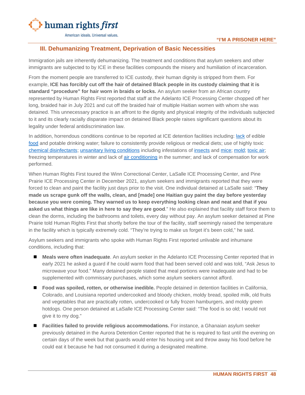

### <span id="page-49-0"></span>**III. Dehumanizing Treatment, Deprivation of Basic Necessities**

Immigration jails are inherently dehumanizing. The treatment and conditions that asylum seekers and other immigrants are subjected to by ICE in these facilities compounds the misery and humiliation of incarceration.

From the moment people are transferred to ICE custody, their human dignity is stripped from them. For example, **ICE has forcibly cut off the hair of detained Black people in its custody claiming that it is standard "procedure" for hair worn in braids or locks.** An asylum seeker from an African country represented by Human Rights First reported that staff at the Adelanto ICE Processing Center chopped off her long, braided hair in July 2021 and cut off the braided hair of multiple Haitian women with whom she was detained. This unnecessary practice is an affront to the dignity and physical integrity of the individuals subjected to it and its clearly racially disparate impact on detained Black people raises significant questions about its legality under federal antidiscrimination law.

In addition, horrendous conditions continue to be reported at ICE detention facilities including: [lack](http://static1.squarespace.com/static/5a33042eb078691c386e7bce/t/615defe5e76a986c1af29d7a/1633546214397/Multi-Individual+CRCL+Anti-Blackness+and+Other+Abuse+of+Black+immigrants+at+Krome+Oct+2021.pdf) of edible [food](https://www.ccijustice.org/starving-for-justice) and potable drinking water; failure to consistently provide religious or medical diets; use of highly toxic [chemical disinfectants;](https://static1.squarespace.com/static/5a33042eb078691c386e7bce/t/6127a66552e8b52e7b718445/1629988453454/CRCL_Conditions+for+Women+at+Glades_8.26.2021-final.pdf) [unsanitary living conditions](https://static1.squarespace.com/static/5a33042eb078691c386e7bce/t/612f9e2f027dca73174a517f/1630510639988/redacted_Abuses+%26+Torturous+Conditions+at+Caroline+Detention+Facility.pdf) including infestations of [insects](https://drive.google.com/file/d/1NMWCXhOwUDE2e15RXfQ2ep9F69Zl-rva/view) and [mice;](https://static1.squarespace.com/static/5a33042eb078691c386e7bce/t/60edadae5dd1eb1c29083a53/1626189231131/Multi-Individual+CRCL_+Bergen+County+Jail+Abuses.pdf) [mold;](https://www.aclunc.org/sites/default/files/OCRCL%20complaint.08.26.21%20_0.pdf) [toxic air;](https://earthjustice.org/sites/default/files/files/multi-individual_complaint_toxic_air_dust_water_mold_final_jan_2022_1.pdf) freezing temperatures in winter and lack of [air conditioning](https://www.aclunc.org/sites/default/files/OCRCL%20complaint.08.26.21%20_0.pdf) in the summer; and lack of compensation for work performed.

When Human Rights First toured the Winn Correctional Center, LaSalle ICE Processing Center, and Pine Prairie ICE Processing Center in December 2021, asylum seekers and immigrants reported that they were forced to clean and paint the facility just days prior to the visit. One individual detained at LaSalle said: "**They made us scrape gunk off the walls, clean, and [made] one Haitian guy paint the day before yesterday because you were coming. They warned us to keep everything looking clean and neat and that if you asked us what things are like in here to say they are good**." He also explained that facility staff force them to clean the dorms, including the bathrooms and toilets, every day without pay. An asylum seeker detained at Pine Prairie told Human Rights First that shortly before the tour of the facility, staff seemingly raised the temperature in the facility which is typically extremely cold. "They're trying to make us forget it's been cold," he said.

Asylum seekers and immigrants who spoke with Human Rights First reported unlivable and inhumane conditions, including that:

- **Meals were often inadequate**. An asylum seeker in the Adelanto ICE Processing Center reported that in early 2021 he asked a guard if he could warm food that had been served cold and was told, "Ask Jesus to microwave your food." Many detained people stated that meal portions were inadequate and had to be supplemented with commissary purchases, which some asylum seekers cannot afford.
- **Food was spoiled, rotten, or otherwise inedible.** People detained in detention facilities in California, Colorado, and Louisiana reported undercooked and bloody chicken, moldy bread, spoiled milk, old fruits and vegetables that are practically rotten, undercooked or fully frozen hamburgers, and moldy green hotdogs. One person detained at LaSalle ICE Processing Center said: "The food is so old; I would not give it to my dog."
- **Facilities failed to provide religious accommodations.** For instance, a Ghanaian asylum seeker previously detained in the Aurora Detention Center reported that he is required to fast until the evening on certain days of the week but that guards would enter his housing unit and throw away his food before he could eat it because he had not consumed it during a designated mealtime.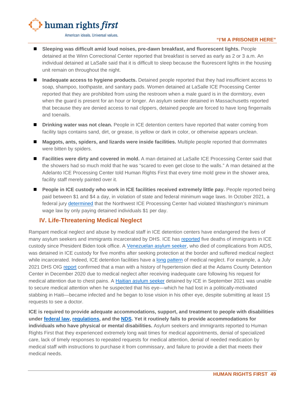

#### **"I'M A PRISONER HERE"**

- Sleeping was difficult amid loud noises, pre-dawn breakfast, and fluorescent lights. People detained at the Winn Correctional Center reported that breakfast is served as early as 2 or 3 a.m. An individual detained at LaSalle said that it is difficult to sleep because the fluorescent lights in the housing unit remain on throughout the night.
- **Inadequate access to hygiene products.** Detained people reported that they had insufficient access to soap, shampoo, toothpaste, and sanitary pads. Women detained at LaSalle ICE Processing Center reported that they are prohibited from using the restroom when a male guard is in the dormitory, even when the guard is present for an hour or longer. An asylum seeker detained in Massachusetts reported that because they are denied access to nail clippers, detained people are forced to have long fingernails and toenails.
- **Drinking water was not clean.** People in ICE detention centers have reported that water coming from facility taps contains sand, dirt, or grease, is yellow or dark in color, or otherwise appears unclean.
- Maggots, ants, spiders, and lizards were inside facilities. Multiple people reported that dormmates were bitten by spiders.
- **Facilities were dirty and covered in mold.** A man detained at LaSalle ICE Processing Center said that the showers had so much mold that he was "scared to even get close to the walls." A man detained at the Adelanto ICE Processing Center told Human Rights First that every time mold grew in the shower area, facility staff merely painted over it.
- **People in ICE custody who work in ICE facilities received extremely little pay.** People reported being paid between \$1 and \$4 a day, in violation of state and federal minimum wage laws. In October 2021, a federal jury [determined](https://www.atg.wa.gov/news/news-releases/ag-ferguson-jury-finds-geo-profit-operator-tacoma-ice-detention-center-must-pay) that the Northwest ICE Processing Center had violated Washington's minimum wage law by only paying detained individuals \$1 per day.

## <span id="page-50-0"></span>**IV. Life-Threatening Medical Neglect**

Rampant medical neglect and abuse by medical staff in ICE detention centers have endangered the lives of many asylum seekers and immigrants incarcerated by DHS. ICE has [reported](https://www.aila.org/infonet/deaths-at-adult-detention-centers) five deaths of immigrants in ICE custody since President Biden took office. A [Venezuelan asylum seeker,](https://www.washingtonblade.com/2021/10/20/venezuelan-man-with-aids-dies-in-ice-custody/) who died of complications from AIDS, was detained in ICE custody for five months after seeking protection at the border and suffered medical neglect while incarcerated. Indeed, ICE detention facilities have a [long](https://www.americanimmigrationcouncil.org/sites/default/files/litigation_documents/council_sues_press_records_about_treatment_black_immigrants_in_detention_complaint.pdf) [pattern](https://static1.squarespace.com/static/5a33042eb078691c386e7bce/t/61c0b47c15319f67d4045ca3/1640019069450/12%3A20%3A21+DHS+NOLA+ICE+Investigation+Follow-Up+Letter+%282%29.pdf) of medical neglect. For example, a July 2021 DHS OIG [report](https://www.oig.dhs.gov/sites/default/files/assets/2021-07/OIG-21-46-Jul21.pdf) confirmed that a man with a history of hypertension died at the Adams County Detention Center in December 2020 due to medical neglect after receiving inadequate care following his request for medical attention due to chest pains. A [Haitian asylum seeker](https://www.buzzfeednews.com/article/adolfoflores/asylum-seekers-medical-release-delays) detained by ICE in September 2021 was unable to secure medical attention when he suspected that his eye—which he had lost in a politically-motivated stabbing in Haiti—became infected and he began to lose vision in his other eye, despite submitting at least 15 requests to see a doctor.

**ICE is required to provide adequate accommodations, support, and treatment to people with disabilities under [federal law,](https://www.dol.gov/agencies/oasam/centers-offices/civil-rights-center/statutes/section-504-rehabilitation-act-of-1973) [regulations,](https://www.law.cornell.edu/cfr/text/6/part-15) and the [NDS.](https://www.ice.gov/factsheets/facilities-pbnds) Yet it routinely fails to provide accommodations for individuals who have physical or mental disabilities.** Asylum seekers and immigrants reported to Human Rights First that they experienced extremely long wait times for medical appointments, denial of specialized care, lack of timely responses to repeated requests for medical attention, denial of needed medication by medical staff with instructions to purchase it from commissary, and failure to provide a diet that meets their medical needs.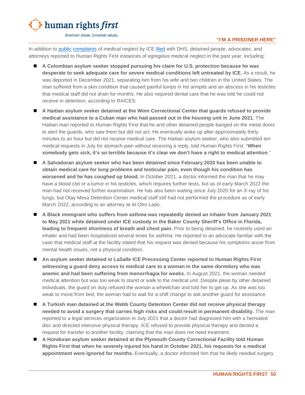

#### **"I'M A PRISONER HERE"**

In addition to [public](https://drive.google.com/file/d/1NMWCXhOwUDE2e15RXfQ2ep9F69Zl-rva/view) [complaints](https://static1.squarespace.com/static/5a33042eb078691c386e7bce/t/61c0b47c15319f67d4045ca3/1640019069450/12%3A20%3A21+DHS+NOLA+ICE+Investigation+Follow-Up+Letter+%282%29.pdf) of medical neglect by ICE [filed](http://static1.squarespace.com/static/5a33042eb078691c386e7bce/t/615defe5e76a986c1af29d7a/1633546214397/Multi-Individual+CRCL+Anti-Blackness+and+Other+Abuse+of+Black+immigrants+at+Krome+Oct+2021.pdf) with DHS, detained people, advocates, and attorneys reported to Human Rights First instances of egregious medical neglect in the past year, including:

- **A Colombian asylum seeker stopped pursuing his claim for U.S. protection because he was desperate to seek adequate care for severe medical conditions left untreated by ICE.** As a result, he was deported in December 2021, separating him from his wife and two children in the United States. The man suffered from a skin condition that caused painful lumps in his armpits and an abscess in his testicles that medical staff did not drain for months. He also required dental care that he was told he could not receive in detention, according to RAICES.
- **A Haitian asylum seeker detained at the Winn Correctional Center that guards refused to provide medical assistance to a Cuban man who had passed out in the housing unit in June 2021.** The Haitian man reported to Human Rights First that he and other detained people banged on the metal doors to alert the guards, who saw them but did not act. He eventually woke up after approximately thirty minutes to an hour but did not receive medical care. The Haitian asylum seeker, who also submitted ten medical requests in July for stomach pain without receiving a reply, told Human Rights First: "**When somebody gets sick, it's so terrible because it's clear we don't have a right to medical attention**."
- **A Salvadoran asylum seeker who has been detained since February 2020 has been unable to obtain medical care for lung problems and testicular pain, even though his condition has worsened and he has coughed up blood.** In October 2021, a doctor informed the man that he may have a blood clot or a tumor in his testicles, which requires further tests, but as of early March 2022 the man had not received further examination. He has also been waiting since July 2020 for an X-ray of his lungs, but Otay Mesa Detention Center medical staff still had not performed the procedure as of early March 2022, according to an attorney at Al Otro Lado.
- **A Black immigrant who suffers from asthma was repeatedly denied an inhaler from January 2021 to May 2021 while detained under ICE custody in the Baker County Sheriff's Office in Florida, leading to frequent shortness of breath and chest pain.** Prior to being detained, he routinely used an inhaler and had been hospitalized several times for asthma. He reported to an advocate familiar with the case that medical staff at the facility stated that his request was denied because his symptoms arose from mental health issues, not a physical condition.
- **An asylum seeker detained in LaSalle ICE Processing Center reported to Human Rights First witnessing a guard deny access to medical care to a woman in the same dormitory who was anemic and had been suffering from menorrhagia for weeks.** In August 2021, the woman needed medical attention but was too weak to stand or walk to the medical unit. Despite pleas by other detained individuals, the guard on duty refused the woman a wheelchair and told her to get up. As she was too weak to move from bed, the woman had to wait for a shift change to ask another guard for assistance.
- **A Turkish man detained at the Webb County Detention Center did not receive physical therapy needed to avoid a surgery that carries high risks and could result in permanent disability.** The man reported to a legal services organization in July 2021 that a doctor had diagnosed him with a herniated disc and directed intensive physical therapy. ICE refused to provide physical therapy and denied a request for transfer to another facility, claiming that the man does not need treatment.
- **A Honduran asylum seeker detained at the Plymouth County Correctional Facility told Human Rights First that when he severely injured his hand in October 2021, his requests for a medical appointment were ignored for months.** Eventually, a doctor informed him that he likely needed surgery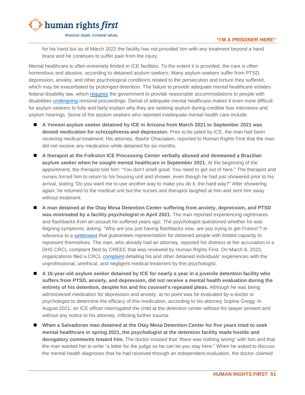

for his hand but as of March 2022 the facility has not provided him with any treatment beyond a hand brace and he continues to suffer pain from the injury.

Mental healthcare is often extremely limited in ICE facilities. To the extent it is provided, the care is often horrendous and abusive, according to detained asylum seekers. Many asylum seekers suffer from PTSD, depression, anxiety, and other psychological conditions related to the persecution and torture they suffered, which may be exacerbated by prolonged detention. The failure to provide adequate mental healthcare violates federal disability law, which [requires](https://www.law.cornell.edu/uscode/text/29/794) the government to provide reasonable accommodations to people with disabilities [undergoing](https://www.scribd.com/document/137620089/Franco-Order-Re-Permanent-Injunction) removal proceedings. Denial of adequate mental healthcare makes it even more difficult for asylum seekers to fully and fairly explain why they are seeking asylum during credible fear interviews and asylum hearings. Some of the asylum seekers who reported inadequate mental health care include:

- **A Yemeni asylum seeker detained by ICE in Arizona from March 2021 to September 2021 was denied medication for schizophrenia and depression.** Prior to be jailed by ICE, the man had been receiving medical treatment. His attorney, Bashir Ghazialam, reported to Human Rights First that the man did not receive any medication while detained for six months.
- **A therapist at the Folkston ICE Processing Center verbally abused and demeaned a Brazilian asylum seeker when he sought mental healthcare in September 2021.** At the beginning of the appointment, the therapist told him: "You don't smell good. You need to get out of here." The therapist and nurses forced him to return to his housing unit and shower, even though he had just showered prior to his arrival, stating "Do you want me to use another way to make you do it, the hard way?" After showering again, he returned to the medical unit but the nurses and therapist laughed at him and sent him away without treatment.
- **A man detained at the Otay Mesa Detention Center suffering from anxiety, depression, and PTSD was mistreated by a facility psychologist in April 2021.** The man reported experiencing nightmares and flashbacks from an assault he suffered years ago. The psychologist questioned whether he was feigning symptoms, asking: "Why are you just having flashbacks now, are you trying to get *Franco*"? in reference to a [settlement](https://www.aclusocal.org/en/cases/franco-v-holder) that guarantees representation for detained people with limited capacity to represent themselves. The man, who already had an attorney, reported his distress at her accusation in a DHS CRCL complaint filed by CREEC that was reviewed by Human Rights First. On March 8, 2022, organizations filed a CRCL [complaint](https://static1.squarespace.com/static/5a33042eb078691c386e7bce/t/622775db6ffa1b1b002be444/1646753244019/Complaint+regarding+Unprofessional%2C+Unethical%2C+and+Negligent+Treatment+by+Dr.+Fernbach+%285%29.pdf) detailing his and other detained individuals' experiences with the unprofessional, unethical, and negligent medical treatment by this psychologist.
- **A 16-year-old asylum seeker detained by ICE for nearly a year in a juvenile detention facility who suffers from PTSD, anxiety, and depression, did not receive a mental health evaluation during the entirety of his detention, despite his and his counsel's repeated pleas.** Although he was being administered medication for depression and anxiety, at no point was he evaluated by a doctor or psychologist to determine the efficacy of this medication, according to his attorney Sophia Gregg. In August 2021, an ICE officer interrogated the child at the detention center without his lawyer present and without any notice to his attorney, inflicting further trauma.
- **When a Salvadoran man detained at the Otay Mesa Detention Center for five years tried to seek mental healthcare in spring 2021, the psychologist at the detention facility made hostile and derogatory comments toward him.** The doctor insisted that "there was nothing wrong" with him and that the man wanted her to write "a letter for the judge so he can let you stay here." When he asked to discuss the mental health diagnoses that he had received through an independent evaluation, the doctor claimed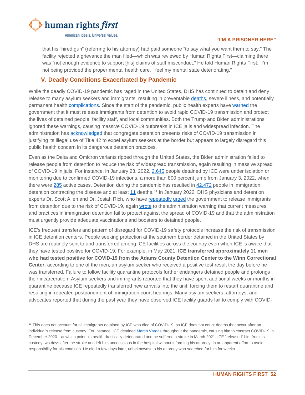

that his "hired gun" (referring to his attorney) had paid someone "to say what you want them to say." The facility rejected a grievance the man filed—which was reviewed by Human Rights First—claiming there was "not enough evidence to support [his] claims of staff misconduct." He told Human Rights First: "I'm not being provided the proper mental health care. I feel my mental state deteriorating."

# <span id="page-53-0"></span>**V. Deadly Conditions Exacerbated by Pandemic**

While the deadly COVID-19 pandemic has raged in the United States, DHS has continued to detain and deny release to many asylum seekers and immigrants, resulting in preventable [deaths,](https://www.aila.org/infonet/deaths-at-adult-detention-centers) severe illness, and potentially permanent health [complications.](https://www.al.com/news/birmingham/2021/03/were-supposed-to-have-rights-rally-held-for-etowah-county-ice-detainee-karim-golding.html) Since the start of the pandemic, public health experts have [warned](https://www.humanrightsfirst.org/resource/public-health-experts-medical-doctors-prison-experts-and-former-ice-officials-urge-releases) the government that it must release immigrants from detention to avoid rapid COVID-19 transmission and protect the lives of detained people, facility staff, and local communities. Both the Trump and Biden administrations ignored these warnings, causing massive COVID-19 outbreaks in ICE jails and widespread infection. The administration has [acknowledged](https://www.cdc.gov/coronavirus/2019-ncov/downloads/CDC-Order-Suspending-Right-to-Introduce-_Final_8-2-21.pdf) that congregate detention presents risks of COVID-19 transmission in justifying its illegal use of Title 42 to expel asylum seekers at the border but appears to largely disregard this public health concern in its dangerous detention practices.

Even as the Delta and Omicron variants ripped through the United States, the Biden administration failed to release people from detention to reduce the risk of widespread transmission, again resulting in massive spread of COVID-19 in jails. For instance, in January 23, 2022, [2,645](https://www.ice.gov/coronavirus) people detained by ICE were under isolation or monitoring due to confirmed COVID-19 infections, a more than 800 percent jump from January 3, 2022, when there were [285](https://www.cbsnews.com/news/immigration-detention-covid-cases-surge/) active cases. Detention during the pandemic has resulted in [42,472](https://www.ice.gov/coronavirus) people in immigration detention contracting the disease and at least [11](https://www.ice.gov/coronavirus) deaths.<sup>[11](#page-53-1)</sup> In January 2022, DHS physicians and detention experts Dr. Scott Allen and Dr. Josiah Rich, who have [repeatedly](https://whistleblower.org/wp-content/uploads/2021/06/062521-Ltr-to-Congress-fr-Allen-McPherson-Rich-FINAL-for-Dist.pdf) [urged](https://www.splcenter.org/sites/default/files/sifi_appendix_b-covid-19_drs_allen_and_rich_letter_to_congress-may_2020.pdf) the government to release immigrants from detention due to the risk of COVID-19, again [wrote](https://whistleblower.org/wp-content/uploads/2022/01/012622-LETTER-TO-MAYORKAS-FROM-DRS-RE-COVID-IN-IMM-DETENTION.pdf) to the administration warning that current measures and practices in immigration detention fail to protect against the spread of COVID-19 and that the administration must urgently provide adequate vaccinations and boosters to detained people.

ICE's frequent transfers and pattern of disregard for COVID-19 safety protocols increase the risk of transmission in ICE detention centers. People seeking protection at the southern border detained in the United States by DHS are routinely sent to and transferred among ICE facilities across the country even when ICE is aware that they have tested positive for COVID-19. For example, in May 2021, **ICE transferred approximately 11 men who had tested positive for COVID-19 from the Adams County Detention Center to the Winn Correctional Center**, according to one of the men, an asylum seeker who received a positive test result the day before he was transferred. Failure to follow facility quarantine protocols further endangers detained people and prolongs their incarceration. Asylum seekers and immigrants reported that they have spent additional weeks or months in quarantine because ICE repeatedly transferred new arrivals into the unit, forcing them to restart quarantine and resulting in repeated postponement of immigration court hearings. Many asylum seekers, attorneys, and advocates reported that during the past year they have observed ICE facility guards fail to comply with COVID-

<span id="page-53-1"></span><sup>&</sup>lt;sup>11</sup> This does not account for all immigrants detained by ICE who died of COVID-19, as ICE does not count deaths that occur after an individual's release from custody. For instance, ICE detaine[d Martin Vargas](https://www.latimes.com/california/story/2021-03-20/adelanto-detainee-death) throughout the pandemic, causing him to contract COVID-19 in December 2020—at which point his health drastically deteriorated and he suffered a stroke in March 2021. ICE "released" him from its custody two days after the stroke and left him unconscious in the hospital without informing his attorney, in an apparent effort to avoid responsibility for his condition. He died a few days later, unbeknownst to his attorney who searched for him for weeks.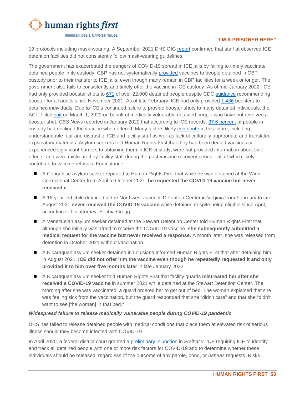

#### **"I'M A PRISONER HERE"**

19 protocols including mask-wearing. A September 2021 DHS OIG [report](https://www.oig.dhs.gov/sites/default/files/assets/2021-09/OIG-21-58-Sep21.pdf) confirmed that staff at observed ICE detention facilities did not consistently follow mask-wearing guidelines.

The government has exacerbated the dangers of COVID-19 spread in ICE jails by failing to timely vaccinate detained people in its custody. CBP has not systematically [provided](https://whistleblower.org/in-the-news/cbs-coronavirus-infections-inside-u-s-immigration-detention-centers-surge-by-520-in-2022/) vaccines to people detained in CBP custody prior to their transfer to ICE jails, even though many remain in CBP facilities for a week or longer. The government also fails to consistently and timely offer the vaccine in ICE custody. As of mid-January 2022, ICE had only provided booster shots to [671](https://twitter.com/eunicehcho/status/1482033109038206978?cxt=HHwWhMC4mdbQnpEpAAAA) of over 22,000 detained people despite CDC [guidance](https://www.cdc.gov/media/releases/2021/s1129-booster-recommendations.html) recommending booster for all adults since November 2021. As of late February, ICE had only provided [1,436](https://www.aclu.org/escalante-v-ice-complaint) boosters to detained individuals. Due to ICE's continued failure to provide booster shots to many detained individuals, the ACLU filed [suit](https://www.aclu.org/escalante-v-ice-complaint) on March 1, 2022 on behalf of medically vulnerable detained people who have not received a booster shot. *CBS News* reported in January 2022 that according to ICE records, [37.6 percent](https://www.cbsnews.com/news/immigration-detention-covid-cases-surge/) of people in custody had declined the vaccine when offered. Many factors likely [contribute](https://www.cbsnews.com/news/immigration-detention-covid-cases-surge/) to this figure, including understandable fear and distrust of ICE and facility staff as well as lack of culturally appropriate and translated explanatory materials. Asylum seekers told Human Rights First that they had been denied vaccines or experienced significant barriers to obtaining them in ICE custody, were not provided information about side effects, and were mistreated by facility staff during the post-vaccine recovery period—all of which likely contribute to vaccine refusals. For instance:

- A Congolese asylum seeker reported to Human Rights First that while he was detained at the Winn Correctional Center from April to October 2021, **he requested the COVID-19 vaccine but never received it**.
- A 16-year-old child detained at the Northwest Juvenile Detention Center in Virginia from February to late August 2021 **never received the COVID-19 vaccine** while detained despite being eligible since April, according to his attorney, Sophia Gregg.
- A Venezuelan asylum seeker detained at the Stewart Detention Center told Human Rights First that although she initially was afraid to receive the COVID-19 vaccine, **she subsequently submitted a medical request for the vaccine but never received a response.** A month later, she was released from detention in October 2021 without vaccination.
- A Nicaraguan asylum seeker detained in Louisiana informed Human Rights First that after detaining him in August 2021, **ICE did not offer him the vaccine even though he repeatedly requested it and only provided it to him over five months later** in late January 2022.
- A Nicaraguan asylum seeker told Human Rights First that facility guards **mistreated her after she received a COVID-19 vaccine** in summer 2021 while detained at the Stewart Detention Center. The morning after she was vaccinated, a guard ordered her to get out of bed. The woman explained that she was feeling sick from the vaccination, but the guard responded that she "didn't care" and that she "didn't want to see [the woman] in that bed."

#### *Widespread failure to release medically vulnerable people during COVID-19 pandemic*

DHS has failed to release detained people with medical conditions that place them at elevated risk of serious illness should they become infected with COVID-19.

In April 2020, a federal district court granted a [preliminary injunction](https://creeclaw.org/wp-content/uploads/2021/08/2020-04-20-132-Order-Granting-Amicus-Brs.-Subclass-Cert.-PI.pdf) in *Fraihat v. ICE* requiring ICE to identify and track all detained people with one or more risk factors for COVID-19 and to determine whether these individuals should be released, regardless of the outcome of any parole, bond, or *habeas* requests. Risks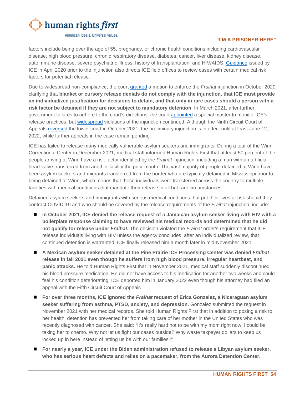

#### **"I'M A PRISONER HERE"**

factors include being over the age of 55, pregnancy, or chronic health conditions including cardiovascular disease, high blood pressure, chronic respiratory disease, diabetes, cancer, liver disease, kidney disease, autoimmune disease, severe psychiatric illness, history of transplantation, and HIV/AIDS. [Guidance](https://www.ice.gov/doclib/coronavirus/attk.pdf) issued by ICE in April 2020 prior to the injunction also directs ICE field offices to review cases with certain medical risk factors for potential release.

Due to widespread non-compliance, the court [granted](https://creeclaw.org/wp-content/uploads/2021/08/2020-10-07-240-Order-Granting-Motion-to-Enforce-in-part.pdf) a motion to enforce the *Fraihat* injunction in October 2020 clarifying that **blanket or cursory release denials do not comply with the injunction, that ICE must provide an individualized justification for decisions to detain, and that only in rare cases should a person with a risk factor be detained if they are not subject to mandatory detention**. In March 2021, after further government failures to adhere to the court's directions, the court [appointed](https://creeclaw.org/wp-content/uploads/2021/08/2021-03-11-281-Order-Granting-Motion-to-Appoint-Special-Master.pdf) a special master to monitor ICE's release practices, but [widespread](https://www.courtlistener.com/docket/16074864/321/faour-abdallah-fraihat-v-us-immigration-and-customs-enforcement/) violations of the injunction continued. Although the Ninth Circuit Court of Appeals [reversed](https://cdn.ca9.uscourts.gov/datastore/opinions/2021/10/20/20-55634.pdf) the lower court in October 2021, the preliminary injunction is in effect until at least June 12, 2022, while further appeals in the case remain pending.

ICE has failed to release many medically vulnerable asylum seekers and immigrants. During a tour of the Winn Correctional Center in December 2021, medical staff informed Human Rights First that at least 50 percent of the people arriving at Winn have a risk factor identified by the *Fraihat* injunction, including a man with an artificial heart valve transferred from another facility the prior month. The vast majority of people detained at Winn have been asylum seekers and migrants transferred from the border who are typically detained in Mississippi prior to being detained at Winn, which means that these individuals were transferred across the country to multiple facilities with medical conditions that mandate their release in all but rare circumstances.

Detained asylum seekers and immigrants with serious medical conditions that put their lives at risk should they contract COVID-19 and who should be covered by the release requirements of the *Fraihat* injunction, include:

- **In October 2021, ICE denied the release request of a Jamaican asylum seeker living with HIV with a boilerplate response claiming to have reviewed his medical records and determined that he did not qualify for release under** *Fraihat***.** The decision violated the *Fraihat* order's requirement that ICE release individuals living with HIV unless the agency concludes, after an individualized review, that continued detention is warranted*.* ICE finally released him a month later in mid-November 2021.
- A Mexican asylum seeker detained at the Pine Prairie ICE Processing Center was denied Fraihat **release in fall 2021 even though he suffers from high blood pressure, irregular heartbeat, and panic attacks.** He told Human Rights First that in November 2021, medical staff suddenly discontinued his blood pressure medication. He did not have access to his medication for another two weeks and could feel his condition deteriorating. ICE deported him in January 2022 even though his attorney had filed an appeal with the Fifth Circuit Court of Appeals.
- For over three months, ICE ignored the *Fraihat* request of Erica Gonzalez, a Nicaraguan asylum **seeker suffering from asthma, PTSD, anxiety, and depression.** Gonzalez submitted the request in November 2021 with her medical records. She told Human Rights First that in addition to posing a risk to her health, detention has prevented her from taking care of her mother in the United States who was recently diagnosed with cancer. She said: "It's really hard not to be with my mom right now. I could be taking her to chemo. Why not let us fight our cases outside? Why waste taxpayer dollars to keep us locked up in here instead of letting us be with our families?"
- **For nearly a year, ICE under the Biden administration refused to release a Libyan asylum seeker, who has serious heart defects and relies on a pacemaker, from the Aurora Detention Center.**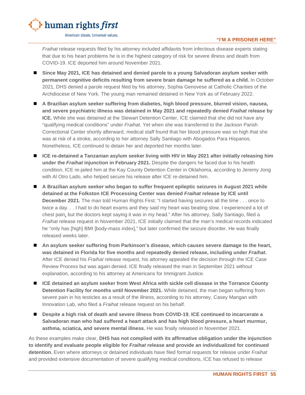

*Fraihat* release requests filed by his attorney included affidavits from infectious disease experts stating that due to his heart problems he is in the highest category of risk for severe illness and death from COVID-19. ICE deported him around November 2021.

- **Since May 2021, ICE has detained and denied parole to a young Salvadoran asylum seeker with permanent cognitive deficits resulting from severe brain damage he suffered as a child.** In October 2021, DHS denied a parole request filed by his attorney, Sophia Genovese at Catholic Charities of the Archdiocese of New York. The young man remained detained in New York as of February 2022.
- A Brazilian asylum seeker suffering from diabetes, high blood pressure, blurred vision, nausea, **and severe psychiatric illness was detained in May 2021 and repeatedly denied** *Fraihat* **release by ICE.** While she was detained at the Stewart Detention Center, ICE claimed that she did not have any "qualifying medical conditions" under *Fraihat*. Yet when she was transferred to the Jackson Parish Correctional Center shortly afterward, medical staff found that her blood pressure was so high that she was at risk of a stroke, according to her attorney Sally Santiago with Abogados Para Hispanos. Nonetheless, ICE continued to detain her and deported her months later.
- ICE re-detained a Tanzanian asylum seeker living with HIV in May 2021 after initially releasing him **under the** *Fraihat* **injunction in February 2021.** Despite the dangers he faced due to his health condition, ICE re-jailed him at the Kay County Detention Center in Oklahoma, according to Jeremy Jong with Al Otro Lado, who helped secure his release after ICE re-detained him.
- **A Brazilian asylum seeker who began to suffer frequent epileptic seizures in August 2021 while detained at the Folkston ICE Processing Center was denied** *Fraihat* **release by ICE until December 2021***.* The man told Human Rights First: "I started having seizures all the time . . . once to twice a day. . . I had to do heart exams and they said my heart was beating slow. I experienced a lot of chest pain, but the doctors kept saying it was in my head." After his attorney, Sally Santiago, filed a *Fraihat* release request in November 2021, ICE initially claimed that the man's medical records indicated he "only has [high] BMI [body-mass index]," but later confirmed the seizure disorder. He was finally released weeks later.
- An asylum seeker suffering from Parkinson's disease, which causes severe damage to the heart, **was detained in Florida for five months and repeatedly denied release, including under** *Fraihat***.**  After ICE denied his *Fraihat* release request, his attorney appealed the decision through the ICE Case Review Process but was again denied. ICE finally released the man in September 2021 without explanation, according to his attorney at Americans for Immigrant Justice.
- **ICE detained an asylum seeker from West Africa with sickle cell disease in the Torrance County Detention Facility for months until November 2021.** While detained, the man began suffering from severe pain in his testicles as a result of the illness, according to his attorney, Casey Mangan with Innovation Lab, who filed a *Fraihat* release request on his behalf.
- Despite a high risk of death and severe illness from COVID-19, ICE continued to incarcerate a **Salvadoran man who had suffered a heart attack and has high blood pressure, a heart murmur, asthma, sciatica, and severe mental illness.** He was finally released in November 2021.

As these examples make clear, **DHS has not complied with its affirmative obligation under the injunction to identify and evaluate people eligible for** *Fraihat* **release and provide an individualized for continued detention.** Even where attorneys or detained individuals have filed formal requests for release under *Fraihat*  and provided extensive documentation of severe qualifying medical conditions, ICE has refused to release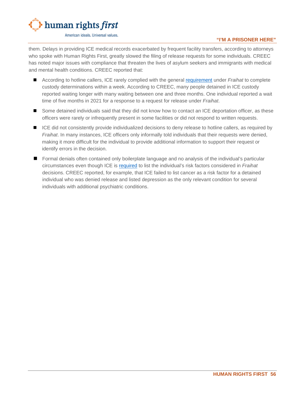

#### **"I'M A PRISONER HERE"**

them. Delays in providing ICE medical records exacerbated by frequent facility transfers, according to attorneys who spoke with Human Rights First, greatly slowed the filing of release requests for some individuals. CREEC has noted major issues with compliance that threaten the lives of asylum seekers and immigrants with medical and mental health conditions. CREEC reported that:

- According to hotline callers, ICE rarely complied with the general [requirement](https://creeclaw.org/wp-content/uploads/2021/08/2020-10-07-240-Order-Granting-Motion-to-Enforce-in-part.pdf) under *Fraihat* to complete custody determinations within a week. According to CREEC, many people detained in ICE custody reported waiting longer with many waiting between one and three months. One individual reported a wait time of five months in 2021 for a response to a request for release under *Fraihat*.
- Some detained individuals said that they did not know how to contact an ICE deportation officer, as these officers were rarely or infrequently present in some facilities or did not respond to written requests.
- ICE did not consistently provide individualized decisions to deny release to hotline callers, as required by *Fraihat*. In many instances, ICE officers only informally told individuals that their requests were denied, making it more difficult for the individual to provide additional information to support their request or identify errors in the decision.
- **Formal denials often contained only boilerplate language and no analysis of the individual's particular** circumstances even though ICE is [required](https://creeclaw.org/wp-content/uploads/2021/08/2020-10-07-240-Order-Granting-Motion-to-Enforce-in-part.pdf) to list the individual's risk factors considered in *Fraihat*  decisions. CREEC reported, for example, that ICE failed to list cancer as a risk factor for a detained individual who was denied release and listed depression as the only relevant condition for several individuals with additional psychiatric conditions.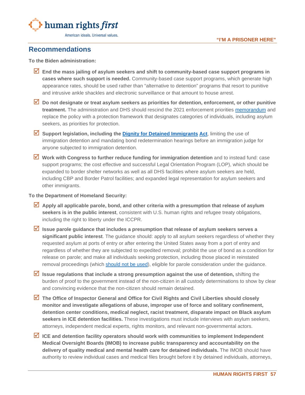

# <span id="page-58-0"></span>**Recommendations**

**To the Biden administration:**

- **End the mass jailing of asylum seekers and shift to community-based case support programs in cases where such support is needed.** Community-based case support programs, which generate high appearance rates, should be used rather than "alternative to detention" programs that resort to punitive and intrusive ankle shackles and electronic surveillance or that amount to house arrest.
- **Do not designate or treat asylum seekers as priorities for detention, enforcement, or other punitive treatment.** The administration and DHS should rescind the 2021 enforcement priorities [memorandum](https://www.ice.gov/doclib/news/guidelines-civilimmigrationlaw.pdf) and replace the policy with a protection framework that designates categories of individuals, including asylum seekers, as priorities for protection.
- **Support legislation, including the [Dignity for Detained Immigrants](https://www.congress.gov/bill/117th-congress/senate-bill/1186/text) [Act](https://www.congress.gov/bill/117th-congress/house-bill/2222/all-info)**, limiting the use of immigration detention and mandating bond redetermination hearings before an immigration judge for anyone subjected to immigration detention.
- Work with Congress to further reduce funding for immigration detention and to instead fund: case support programs; the cost effective and successful Legal Orientation Program (LOP), which should be expanded to border shelter networks as well as all DHS facilities where asylum seekers are held, including CBP and Border Patrol facilities; and expanded legal representation for asylum seekers and other immigrants.

#### **To the Department of Homeland Security:**

- Apply all applicable parole, bond, and other criteria with a presumption that release of asylum **seekers is in the public interest**, consistent with U.S. human rights and refugee treaty obligations, including the right to liberty under the ICCPR.
- **Issue parole guidance that includes a presumption that release of asylum seekers serves a significant public interest**. The guidance should: apply to all asylum seekers regardless of whether they requested asylum at ports of entry or after entering the United States away from a port of entry and regardless of whether they are subjected to expedited removal; prohibit the use of bond as a condition for release on parole; and make all individuals seeking protection, including those placed in reinstated removal proceedings (which [should not be used\)](https://www.humanrightsfirst.org/resource/letter-dhs-prolonged-detention-asylum-seekers-following-guzman-chavez-ruling), eligible for parole consideration under the guidance.
- **Issue regulations that include a strong presumption against the use of detention,** shifting the burden of proof to the government instead of the non-citizen in all custody determinations to show by clear and convincing evidence that the non-citizen should remain detained.
- **The Office of Inspector General and Office for Civil Rights and Civil Liberties should closely monitor and investigate allegations of abuse, improper use of force and solitary confinement, detention center conditions, medical neglect, racist treatment, disparate impact on Black asylum seekers in ICE detention facilities.** These investigations must include interviews with asylum seekers, attorneys, independent medical experts, rights monitors, and relevant non-governmental actors.
- **ICE and detention facility operators should work with communities to implement Independent Medical Oversight Boards (IMOB) to increase public transparency and accountability on the delivery of quality medical and mental health care for detained individuals.** The IMOB should have authority to review individual cases and medical files brought before it by detained individuals, attorneys,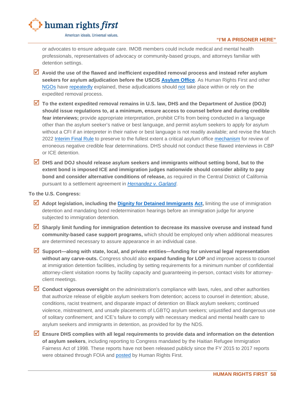

#### **"I'M A PRISONER HERE"**

or advocates to ensure adequate care. IMOB members could include medical and mental health professionals, representatives of advocacy or community-based groups, and attorneys familiar with detention settings.

- **Avoid the use of the flawed and inefficient expedited removal process and instead refer asylum seekers for asylum adjudication before the USCIS [Asylum Office](https://www.humanrightsfirst.org/sites/default/files/AddressingBacklogsRecommendationsJanuary2022.pdf)**. As Human Rights First and other [NGOs](https://www.humanrightsfirst.org/resource/letter-attorney-general-and-dhs-secretary-asylum-system-reforms) have [repeatedly](https://www.humanrightsfirst.org/sites/default/files/FairandTimelyAsylumHearings.pdf) explained, these adjudications should [not](https://www.humanrightsfirst.org/resource/human-rights-first-comment-asylum-process-notice-proposed-rulemaking) take place within or rely on the expedited removal process.
- **To the extent expedited removal remains in U.S. law, DHS and the Department of Justice (DOJ) should issue regulations to, at a minimum, ensure access to counsel before and during credible fear interviews;** provide appropriate interpretation, prohibit CFIs from being conducted in a language other than the asylum seeker's native or best language, and permit asylum seekers to apply for asylum without a CFI if an interpreter in their native or best language is not readily available; and revise the March 2022 [Interim Final Rule](https://www.federalregister.gov/documents/2022/03/29/2022-06148/procedures-for-credible-fear-screening-and-consideration-of-asylum-withholding-of-removal-and-cat) to preserve to the fullest extent a critical asylum office [mechanism](https://www.humanrightsfirst.org/resource/biden-administration-move-eliminate-requests-reconsideration-would-endanger-asylum-seekers) for review of erroneous negative credible fear determinations. DHS should not conduct these flawed interviews in CBP or ICE detention.
- **DHS and DOJ should release asylum seekers and immigrants without setting bond, but to the extent bond is imposed ICE and immigration judges nationwide should consider ability to pay bond and consider alternative conditions of release,** as required in the Central District of California pursuant to a settlement agreement in *[Hernandez v. Garland](https://www.aclusocal.org/en/cases/hernandez-v-lynch/settlement-notice)*.

#### **To the U.S. Congress:**

- **Adopt legislation, including the [Dignity for Detained Immigrants](https://www.congress.gov/bill/117th-congress/senate-bill/1186/text) [Act,](https://www.congress.gov/bill/117th-congress/house-bill/2222/all-info)** limiting the use of immigration detention and mandating bond redetermination hearings before an immigration judge for anyone subjected to immigration detention.
- **Sharply limit funding for immigration detention to decrease its massive overuse and instead fund community-based case support programs,** which should be employed only when additional measures are determined necessary to assure appearance in an individual case.
- **Support—along with state, local, and private entities—funding for universal legal representation without any carve-outs.** Congress should also **expand funding for LOP** and improve access to counsel at immigration detention facilities, including by setting requirements for a minimum number of confidential attorney-client visitation rooms by facility capacity and guaranteeing in-person, contact visits for attorneyclient meetings.
- Conduct vigorous oversight on the administration's compliance with laws, rules, and other authorities that authorize release of eligible asylum seekers from detention; access to counsel in detention; abuse, conditions, racist treatment, and disparate impact of detention on Black asylum seekers; continued violence, mistreatment, and unsafe placements of LGBTQ asylum seekers; unjustified and dangerous use of solitary confinement; and ICE's failure to comply with necessary medical and mental health care to asylum seekers and immigrants in detention, as provided for by the NDS.
- **Ensure DHS complies with all legal requirements to provide data and information on the detention of asylum seekers**, including reporting to Congress mandated by the Haitian Refugee Immigration Fairness Act of 1998. These reports have not been released publicly since the FY 2015 to 2017 reports were obtained through FOIA and [posted](https://www.humanrightsfirst.org/blog/our-foia-hrifa-reports-over-140000-asylum-seekers-detained-between-2015-and-2017) by Human Rights First.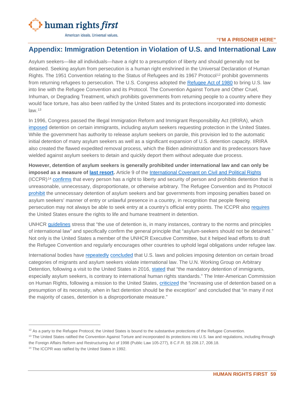

#### **"I'M A PRISONER HERE"**

# <span id="page-60-0"></span>**Appendix: Immigration Detention in Violation of U.S. and International Law**

Asylum seekers—like all individuals—have a right to a presumption of liberty and should generally not be detained. Seeking asylum from persecution is a human right enshrined in the Universal Declaration of Human Rights. The 1951 Convention relating to the Status of Refugees and its 1967 Protocol<sup>[12](#page-60-1)</sup> prohibit governments from returning refugees to persecution. The U.S. Congress adopted the [Refugee Act of 1980](https://www.govinfo.gov/content/pkg/STATUTE-94/pdf/STATUTE-94-Pg102.pdf) to bring U.S. law into line with the Refugee Convention and its Protocol. The Convention Against Torture and Other Cruel, Inhuman, or Degrading Treatment, which prohibits governments from returning people to a country where they would face torture, has also been ratified by the United States and its protections incorporated into domestic law.[13](#page-60-2)

In 1996, Congress passed the Illegal Immigration Reform and Immigrant Responsibility Act (IIRIRA), which [imposed](https://uscode.house.gov/view.xhtml?req=granuleid:USC-prelim-title8-section1225&num=0&edition=prelim) detention on certain immigrants, including asylum seekers requesting protection in the United States. While the government has authority to release asylum seekers on parole, this provision led to the automatic initial detention of many asylum seekers as well as a significant expansion of U.S. detention capacity. IIRIRA also created the flawed expedited removal process, which the Biden administration and its predecessors have wielded against asylum seekers to detain and quickly deport them without adequate due process.

**However, detention of asylum seekers is generally prohibited under international law and can only be imposed as a measure of [last resort.](https://www.unhcr.org/en-us/publications/legal/505b10ee9/unhcr-detention-guidelines.html)** Article 9 of the [International Covenant on Civil and Political Rights](https://www.ohchr.org/en/professionalinterest/pages/ccpr.aspx)  $(ICCPR)<sup>14</sup>$  $(ICCPR)<sup>14</sup>$  $(ICCPR)<sup>14</sup>$  [confirms](https://www.ohchr.org/EN/HRBodies/CCPR/Pages/GC35-Article9LibertyandSecurityofperson.aspx) that every person has a right to liberty and security of person and prohibits detention that is unreasonable, unnecessary, disproportionate, or otherwise arbitrary. The Refugee Convention and its Protocol [prohibit](https://www.ohchr.org/Documents/ProfessionalInterest/refugees.pdf) the unnecessary detention of asylum seekers and bar governments from imposing penalties based on asylum seekers' manner of entry or unlawful presence in a country, in recognition that people fleeing persecution may not always be able to seek entry at a country's official entry points. The ICCPR also [requires](https://tbinternet.ohchr.org/Treaties/CCPR/Shared%20Documents/1_Global/CCPR_C_GC_36_8785_E.pdf) the United States ensure the rights to life and humane treatment in detention.

UNHCR [guidelines](https://www.unhcr.org/en-us/publications/legal/505b10ee9/unhcr-detention-guidelines.html) stress that "the use of detention is, in many instances, contrary to the norms and principles of international law" and specifically confirm the general principle that "asylum-seekers should not be detained." Not only is the United States a member of the UNHCR Executive Committee, but it helped lead efforts to draft the Refugee Convention and regularly encourages other countries to uphold legal obligations under refugee law.

International bodies have [repeatedly](https://documents-dds-ny.un.org/doc/UNDOC/GEN/G17/193/37/PDF/G1719337.pdf?OpenElement) [concluded](https://www.refworld.org/docid/5374afcd4.html) that U.S. laws and policies imposing detention on certain broad categories of migrants and asylum seekers violate international law. The U.N. Working Group on Arbitrary Detention, following a visit to the United States in 2016, [stated](https://documents-dds-ny.un.org/doc/UNDOC/GEN/G17/193/37/PDF/G1719337.pdf?OpenElement) that "the mandatory detention of immigrants, especially asylum seekers, is contrary to international human rights standards." The Inter-American Commission on Human Rights, following a mission to the United States, [criticized](https://www.oas.org/en/iachr/migrants/docs/pdf/migrants2011.pdf) the "increasing use of detention based on a presumption of its necessity, when in fact detention should be the exception" and concluded that "in many if not the majority of cases, detention is a disproportionate measure."

<span id="page-60-1"></span> $12$  As a party to the Refugee Protocol, the United States is bound to the substantive protections of the Refugee Convention.

<span id="page-60-2"></span><sup>&</sup>lt;sup>13</sup> The United States ratified the Convention Against Torture and incorporated its protections into U.S. law and regulations, including through the Foreign Affairs Reform and Restructuring Act of 1998 (Public Law 105-277), 8 C.F.R. §§ 208.17, 208.18.

<span id="page-60-3"></span><sup>&</sup>lt;sup>14</sup> The ICCPR was ratified by the United States in 1992.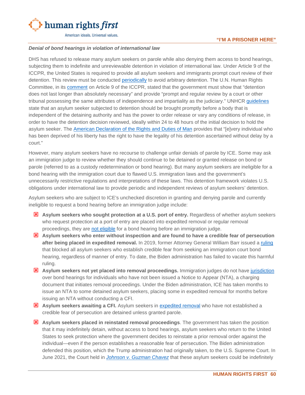

#### *Denial of bond hearings in violation of international law*

DHS has refused to release many asylum seekers on parole while also denying them access to bond hearings, subjecting them to indefinite and unreviewable detention in violation of international law. Under Article 9 of the ICCPR, the United States is required to provide all asylum seekers and immigrants prompt court review of their detention. This review must be conducted [periodically](https://documents-dds-ny.un.org/doc/UNDOC/GEN/G17/193/37/PDF/G1719337.pdf?OpenElement) to avoid arbitrary detention. The U.N. Human Rights Committee, in its [comment](https://www.refworld.org/docid/553e0f984.html) on Article 9 of the ICCPR, stated that the government must show that "detention does not last longer than absolutely necessary" and provide "prompt and regular review by a court or other tribunal possessing the same attributes of independence and impartiality as the judiciary." UNHCR [guidelines](https://www.unhcr.org/en-us/publications/legal/505b10ee9/unhcr-detention-guidelines.html) state that an asylum seeker subjected to detention should be brought promptly before a body that is independent of the detaining authority and has the power to order release or vary any conditions of release, in order to have the detention decision reviewed, ideally within 24 to 48 hours of the initial decision to hold the asylum seeker. The [American Declaration of the Rights and Duties of Man](https://www.cidh.oas.org/basicos/english/basic2.american%20declaration.htm) provides that "[e]very individual who has been deprived of his liberty has the right to have the legality of his detention ascertained without delay by a court."

However, many asylum seekers have no recourse to challenge unfair denials of parole by ICE. Some may ask an immigration judge to review whether they should continue to be detained or granted release on bond or parole (referred to as a custody redetermination or bond hearing). But many asylum seekers are ineligible for a bond hearing with the immigration court due to flawed U.S. immigration laws and the government's unnecessarily restrictive regulations and interpretations of these laws. This detention framework violates U.S. obligations under international law to provide periodic and independent reviews of asylum seekers' detention.

Asylum seekers who are subject to ICE's unchecked discretion in granting and denying parole and currently ineligible to request a bond hearing before an immigration judge include:

- **E** Asylum seekers who sought protection at a U.S. port of entry. Regardless of whether asylum seekers who request protection at a port of entry are placed into expedited removal or regular removal proceedings, they are [not eligible](https://www.law.cornell.edu/cfr/text/8/1003.19) for a bond hearing before an immigration judge.
- **Asylum seekers who enter without inspection and are found to have a credible fear of persecution after being placed in expedited removal.** In 2019, former Attorney General William Barr issued a [ruling](https://www.justice.gov/eoir/file/1154747/download) that blocked all asylum seekers who establish credible fear from seeking an immigration court bond hearing, regardless of manner of entry. To date, the Biden administration has failed to vacate this harmful ruling.
- **Asylum seekers not yet placed into removal proceedings.** Immigration judges do not have [jurisdiction](https://www.law.cornell.edu/cfr/text/8/1003.14) over bond hearings for individuals who have not been issued a Notice to Appear (NTA), a charging document that initiates removal proceedings. Under the Biden administration, ICE has taken months to issue an NTA to some detained asylum seekers, placing some in expedited removal for months before issuing an NTA without conducting a CFI.
- **Asylum seekers awaiting a CFI.** Asylum seekers in [expedited removal](https://uscode.house.gov/view.xhtml?req=granuleid:USC-prelim-title8-section1225&num=0&edition=prelim) who have not established a credible fear of persecution are detained unless granted parole.
- **Asylum seekers placed in reinstated removal proceedings**. The government has taken the position that it may indefinitely detain, without access to bond hearings, asylum seekers who return to the United States to seek protection where the government decides to reinstate a prior removal order against the individual—even if the person establishes a reasonable fear of persecution. The Biden administration defended this position, which the Trump administration had originally taken, to the U.S. Supreme Court. In June 2021, the Court held in *[Johnson v. Guzman Chavez](https://www.supremecourt.gov/opinions/20pdf/19-897_c07d.pdf)* that these asylum seekers could be indefinitely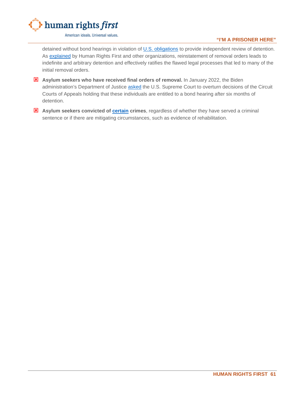

**"I'M A PRISONER HERE"**

detained without bond hearings in violation of [U.S. obligations](https://www.humanrightsfirst.org/resource/amicus-brief-pham-v-guzman-chavez) to provide independent review of detention. As [explained](https://www.humanrightsfirst.org/resource/letter-dhs-prolonged-detention-asylum-seekers-following-guzman-chavez-ruling) by Human Rights First and other organizations, reinstatement of removal orders leads to indefinite and arbitrary detention and effectively ratifies the flawed legal processes that led to many of the initial removal orders.

- **EX** Asylum seekers who have received final orders of removal. In January 2022, the Biden administration's Department of Justice [asked](https://thehill.com/regulation/court-battles/589362-supreme-court-considers-whether-detained-immigrants-entitled-to-bond) the U.S. Supreme Court to overturn decisions of the Circuit Courts of Appeals holding that these individuals are entitled to a bond hearing after six months of detention.
- **Asylum seekers convicted of [certain](https://uscode.house.gov/view.xhtml?req=granuleid:USC-prelim-title8-section1226&num=0&edition=prelim) crimes**, regardless of whether they have served a criminal sentence or if there are mitigating circumstances, such as evidence of rehabilitation.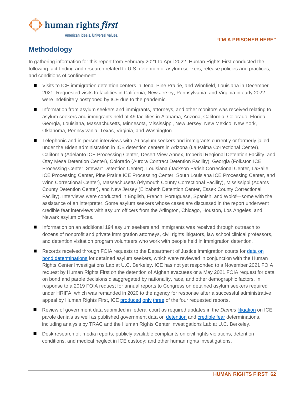

# <span id="page-63-0"></span>**Methodology**

In gathering information for this report from February 2021 to April 2022, Human Rights First conducted the following fact-finding and research related to U.S. detention of asylum seekers, release policies and practices, and conditions of confinement:

- Visits to ICE immigration detention centers in Jena, Pine Prairie, and Winnfield, Louisiana in December 2021. Requested visits to facilities in California, New Jersey, Pennsylvania, and Virginia in early 2022 were indefinitely postponed by ICE due to the pandemic.
- Information from asylum seekers and immigrants, attorneys, and other monitors was received relating to asylum seekers and immigrants held at 49 facilities in Alabama, Arizona, California, Colorado, Florida, Georgia, Louisiana, Massachusetts, Minnesota, Mississippi, New Jersey, New Mexico, New York, Oklahoma, Pennsylvania, Texas, Virginia, and Washington.
- Telephonic and in-person interviews with 76 asylum seekers and immigrants currently or formerly jailed under the Biden administration in ICE detention centers in Arizona (La Palma Correctional Center), California (Adelanto ICE Processing Center, Desert View Annex, Imperial Regional Detention Facility, and Otay Mesa Detention Center), Colorado (Aurora Contract Detention Facility), Georgia (Folkston ICE Processing Center, Stewart Detention Center), Louisiana (Jackson Parish Correctional Center, LaSalle ICE Processing Center, Pine Prairie ICE Processing Center, South Louisiana ICE Processing Center, and Winn Correctional Center), Massachusetts (Plymouth County Correctional Facility), Mississippi (Adams County Detention Center), and New Jersey (Elizabeth Detention Center, Essex County Correctional Facility). Interviews were conducted in English, French, Portuguese, Spanish, and Wolof—some with the assistance of an interpreter. Some asylum seekers whose cases are discussed in the report underwent credible fear interviews with asylum officers from the Arlington, Chicago, Houston, Los Angeles, and Newark asylum offices.
- Information on an additional 194 asylum seekers and immigrants was received through outreach to dozens of nonprofit and private immigration attorneys, civil rights litigators, law school clinical professors, and detention visitation program volunteers who work with people held in immigration detention.
- Records received through FOIA requests to the Department of Justice immigration courts for data on [bond determinations](https://www.humanrightsfirst.org/sites/default/files/EOIR%20Bond%20Decisions%20in%20Response%20to%20HRF%20FOIA%20Request.pdf) for detained asylum seekers, which were reviewed in conjunction with the Human Rights Center Investigations Lab at U.C. Berkeley. ICE has not yet responded to a November 2021 FOIA request by Human Rights First on the detention of Afghan evacuees or a May 2021 FOIA request for data on bond and parole decisions disaggregated by nationality, race, and other demographic factors. In response to a 2019 FOIA request for annual reports to Congress on detained asylum seekers required under HRIFA, which was remanded in 2020 to the agency for response after a successful administrative appeal by Human Rights First, ICE [produced](https://www.humanrightsfirst.org/sites/default/files/HRIFA%20Report%20FY%202015.pdf) [only](https://www.humanrightsfirst.org/sites/default/files/HRIFA%20Report%20FY%202016.pdf) [three](https://www.humanrightsfirst.org/sites/default/files/HRIFA%20Report%20FY%202017.pdf) of the four requested reports.
- Review of government data submitted in federal court as required updates in the *Damus* [litigation](https://www.humanrightsfirst.org/resource/taking-fight-asylum-seekers-court) on ICE parole denials as well as published government data on [detention](https://www.ice.gov/detain/detention-management) and [credible](https://www.uscis.gov/tools/reports-studies/immigration-forms-data/semi-monthly-credible-fear-and-reasonable-fear-receipts-and-decisions) fear determinations, including analysis by TRAC and the Human Rights Center Investigations Lab at U.C. Berkeley.
- Desk research of: media reports; publicly available complaints on civil rights violations, detention conditions, and medical neglect in ICE custody; and other human rights investigations.